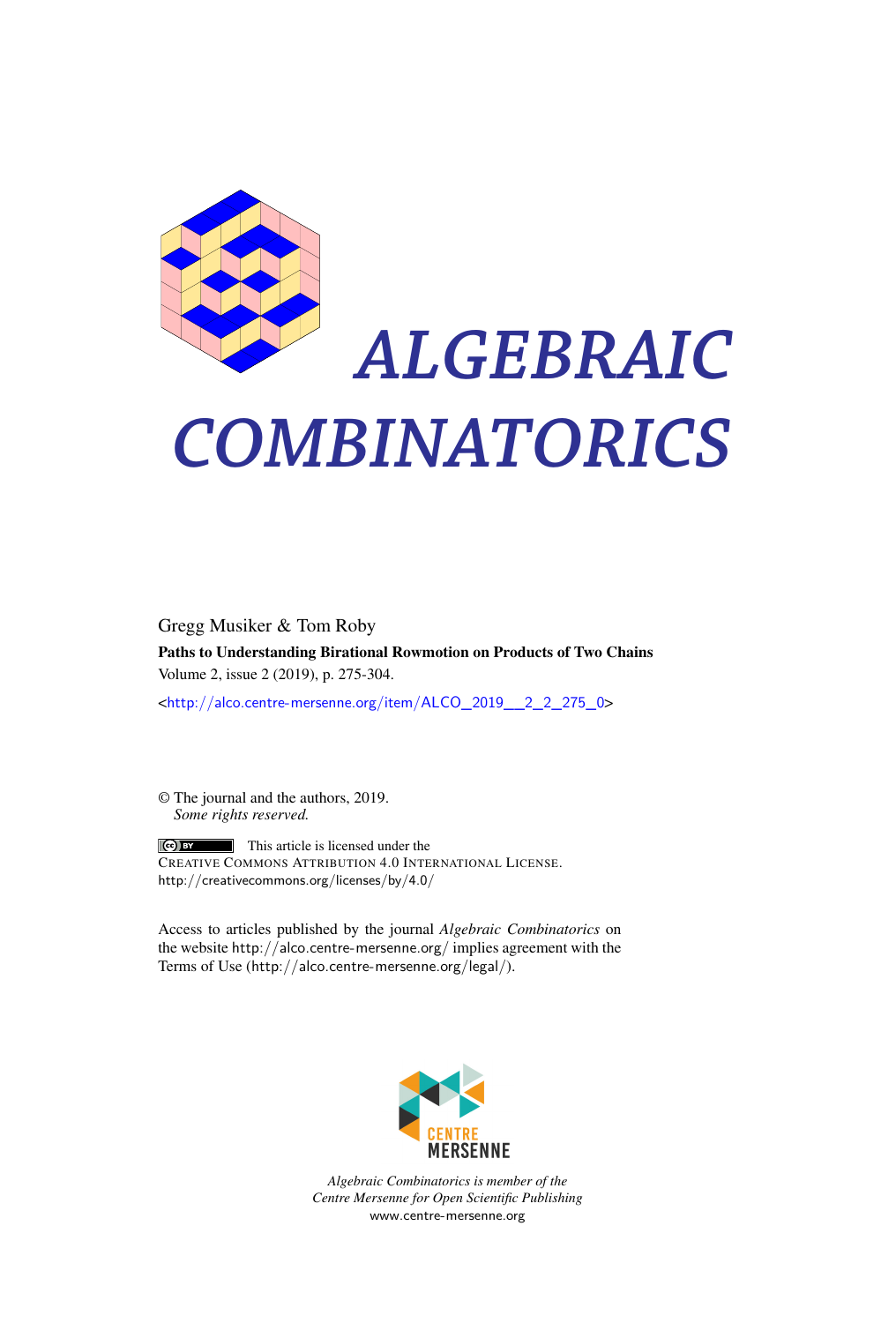

# *ALGEBRAIC COMBINATORICS*

Gregg Musiker & Tom Roby Paths to Understanding Birational Rowmotion on Products of Two Chains Volume 2, issue 2 (2019), p. 275-304.

<[http://alco.centre-mersenne.org/item/ALCO\\_2019\\_\\_2\\_2\\_275\\_0](http://alco.centre-mersenne.org/item/ALCO_2019__2_2_275_0)>

© The journal and the authors, 2019. *Some rights reserved.*

This article is licensed under the CREATIVE COMMONS ATTRIBUTION 4.0 INTERNATIONAL LICENSE. <http://creativecommons.org/licenses/by/4.0/>

Access to articles published by the journal *Algebraic Combinatorics* on the website <http://alco.centre-mersenne.org/> implies agreement with the Terms of Use (<http://alco.centre-mersenne.org/legal/>).



*Algebraic Combinatorics is member of the Centre Mersenne for Open Scientific Publishing* <www.centre-mersenne.org>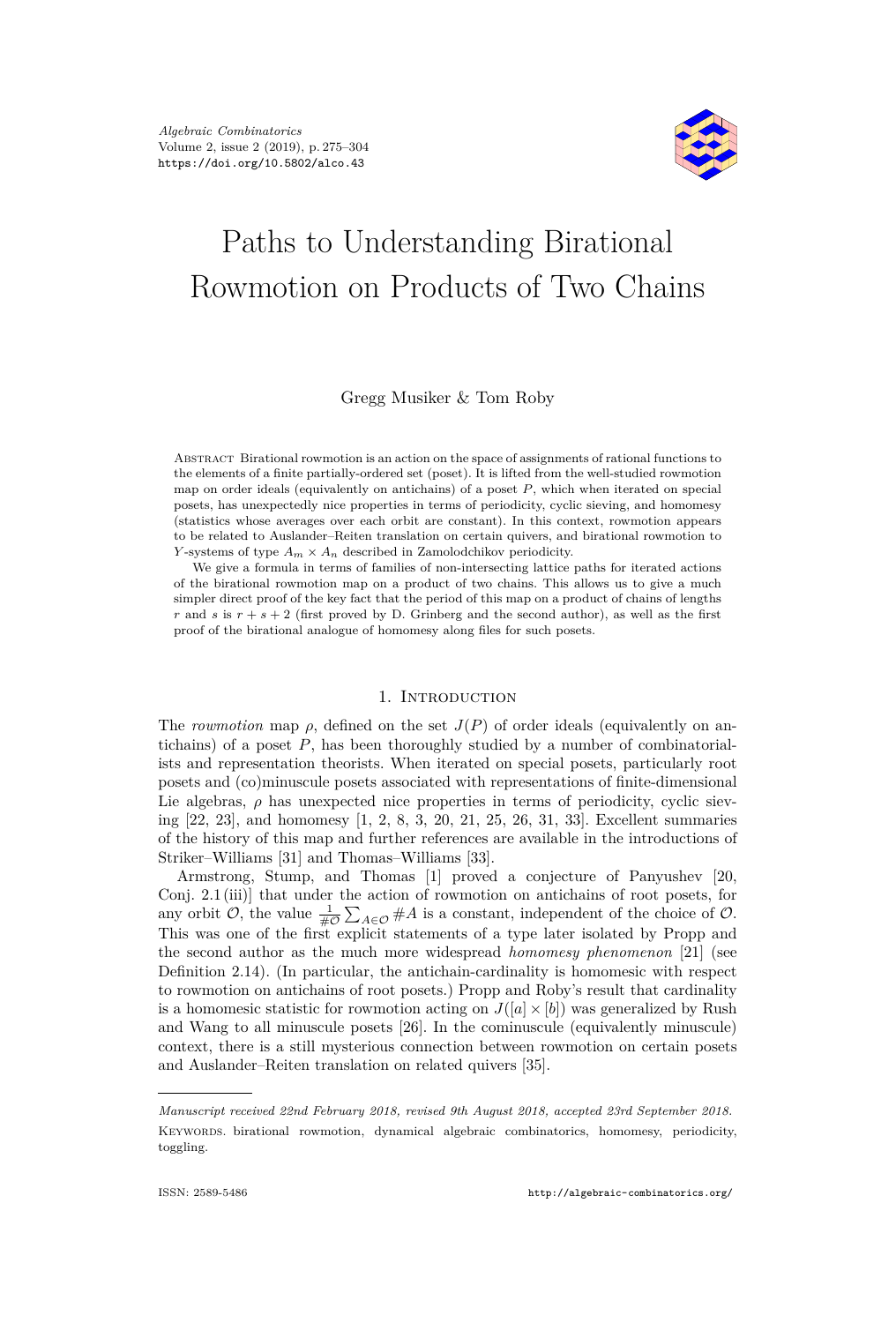

# Paths to Understanding Birational Rowmotion on Products of Two Chains

# Gregg Musiker & Tom Roby

Abstract Birational rowmotion is an action on the space of assignments of rational functions to the elements of a finite partially-ordered set (poset). It is lifted from the well-studied rowmotion map on order ideals (equivalently on antichains) of a poset *P*, which when iterated on special posets, has unexpectedly nice properties in terms of periodicity, cyclic sieving, and homomesy (statistics whose averages over each orbit are constant). In this context, rowmotion appears to be related to Auslander–Reiten translation on certain quivers, and birational rowmotion to *Y*-systems of type  $A_m \times A_n$  described in Zamolodchikov periodicity.

We give a formula in terms of families of non-intersecting lattice paths for iterated actions of the birational rowmotion map on a product of two chains. This allows us to give a much simpler direct proof of the key fact that the period of this map on a product of chains of lengths *r* and *s* is  $r + s + 2$  (first proved by D. Grinberg and the second author), as well as the first proof of the birational analogue of homomesy along files for such posets.

# 1. INTRODUCTION

The *rowmotion* map  $\rho$ , defined on the set  $J(P)$  of order ideals (equivalently on antichains) of a poset *P*, has been thoroughly studied by a number of combinatorialists and representation theorists. When iterated on special posets, particularly root posets and (co)minuscule posets associated with representations of finite-dimensional Lie algebras,  $\rho$  has unexpected nice properties in terms of periodicity, cyclic sieving [\[22,](#page-30-0) [23\]](#page-30-1), and homomesy [\[1,](#page-29-0) [2,](#page-29-1) [8,](#page-29-2) [3,](#page-29-3) [20,](#page-30-2) [21,](#page-30-3) [25,](#page-30-4) [26,](#page-30-5) [31,](#page-30-6) [33\]](#page-30-7). Excellent summaries of the history of this map and further references are available in the introductions of Striker–Williams [\[31\]](#page-30-6) and Thomas–Williams [\[33\]](#page-30-7).

Armstrong, Stump, and Thomas [\[1\]](#page-29-0) proved a conjecture of Panyushev [\[20,](#page-30-2) Conj. 2.1 (iii)] that under the action of rowmotion on antichains of root posets, for any orbit  $\mathcal{O}$ , the value  $\frac{1}{\# \mathcal{O}} \sum_{A \in \mathcal{O}} \# A$  is a constant, independent of the choice of  $\mathcal{O}$ . This was one of the first explicit statements of a type later isolated by Propp and the second author as the much more widespread *homomesy phenomenon* [\[21\]](#page-30-3) (see Definition [2.14\)](#page-10-0). (In particular, the antichain-cardinality is homomesic with respect to rowmotion on antichains of root posets.) Propp and Roby's result that cardinality is a homomesic statistic for rowmotion acting on  $J([a] \times [b])$  was generalized by Rush and Wang to all minuscule posets [\[26\]](#page-30-5). In the cominuscule (equivalently minuscule) context, there is a still mysterious connection between rowmotion on certain posets and Auslander–Reiten translation on related quivers [\[35\]](#page-30-8).

*Manuscript received 22nd February 2018, revised 9th August 2018, accepted 23rd September 2018.* Keywords. birational rowmotion, dynamical algebraic combinatorics, homomesy, periodicity, toggling.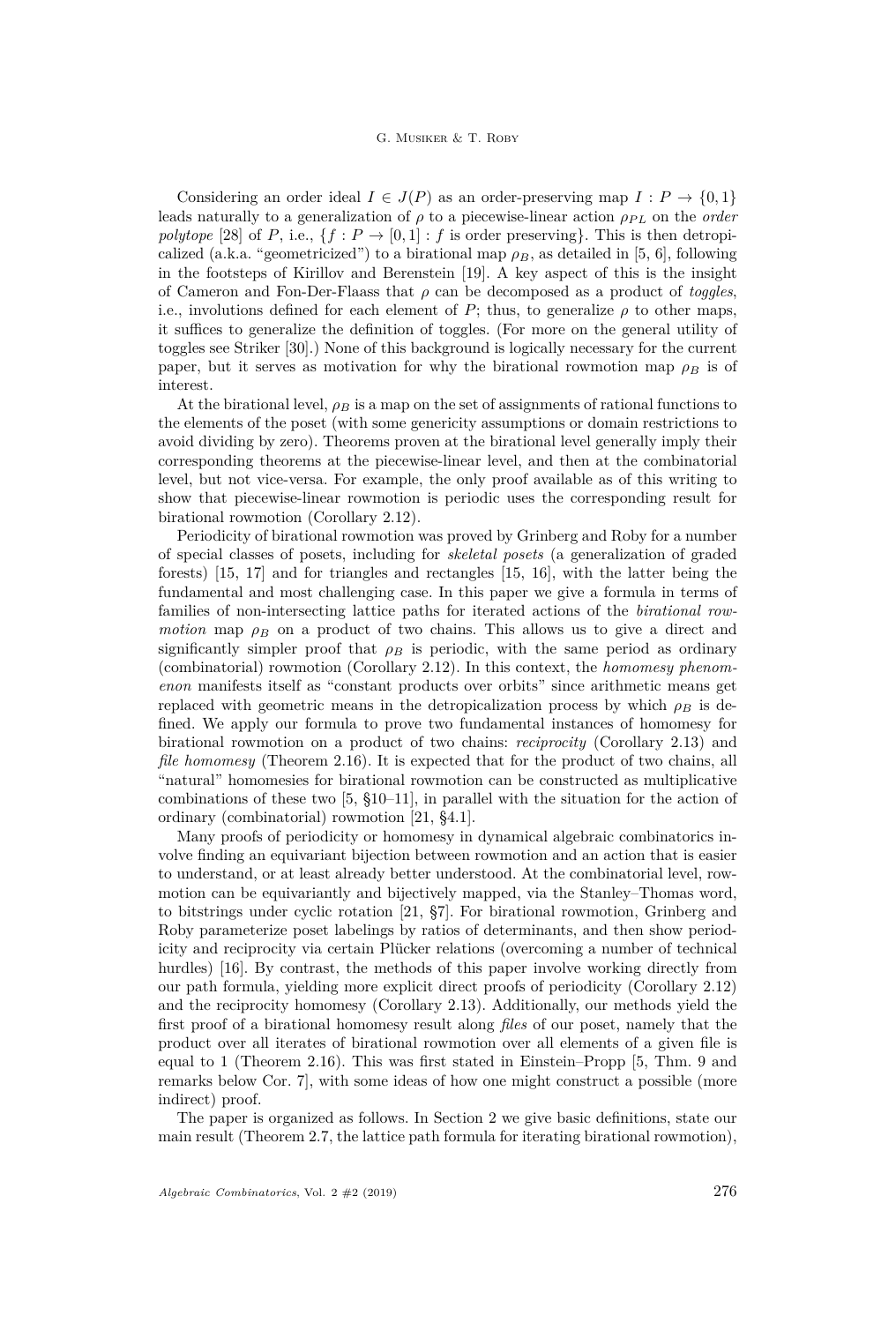Considering an order ideal  $I \in J(P)$  as an order-preserving map  $I: P \to \{0,1\}$ leads naturally to a generalization of  $\rho$  to a piecewise-linear action  $\rho_{PL}$  on the *order polytope* [\[28\]](#page-30-9) of *P*, i.e.,  $\{f : P \to [0,1] : f$  is order preserving}. This is then detropicalized (a.k.a. "geometricized") to a birational map  $\rho_B$ , as detailed in [\[5,](#page-29-4) [6\]](#page-29-5), following in the footsteps of Kirillov and Berenstein [\[19\]](#page-30-10). A key aspect of this is the insight of Cameron and Fon-Der-Flaass that *ρ* can be decomposed as a product of *toggles*, i.e., involutions defined for each element of  $P$ ; thus, to generalize  $\rho$  to other maps, it suffices to generalize the definition of toggles. (For more on the general utility of toggles see Striker [\[30\]](#page-30-11).) None of this background is logically necessary for the current paper, but it serves as motivation for why the birational rowmotion map  $\rho_B$  is of interest.

At the birational level,  $\rho_B$  is a map on the set of assignments of rational functions to the elements of the poset (with some genericity assumptions or domain restrictions to avoid dividing by zero). Theorems proven at the birational level generally imply their corresponding theorems at the piecewise-linear level, and then at the combinatorial level, but not vice-versa. For example, the only proof available as of this writing to show that piecewise-linear rowmotion is periodic uses the corresponding result for birational rowmotion (Corollary [2.12\)](#page-10-1).

Periodicity of birational rowmotion was proved by Grinberg and Roby for a number of special classes of posets, including for *skeletal posets* (a generalization of graded forests) [\[15,](#page-29-6) [17\]](#page-29-7) and for triangles and rectangles [\[15,](#page-29-6) [16\]](#page-29-8), with the latter being the fundamental and most challenging case. In this paper we give a formula in terms of families of non-intersecting lattice paths for iterated actions of the *birational rowmotion* map  $\rho_B$  on a product of two chains. This allows us to give a direct and significantly simpler proof that  $\rho_B$  is periodic, with the same period as ordinary (combinatorial) rowmotion (Corollary [2.12\)](#page-10-1). In this context, the *homomesy phenomenon* manifests itself as "constant products over orbits" since arithmetic means get replaced with geometric means in the detropicalization process by which  $\rho_B$  is defined. We apply our formula to prove two fundamental instances of homomesy for birational rowmotion on a product of two chains: *reciprocity* (Corollary [2.13\)](#page-10-2) and *file homomesy* (Theorem [2.16\)](#page-11-0). It is expected that for the product of two chains, all "natural" homomesies for birational rowmotion can be constructed as multiplicative combinations of these two [\[5,](#page-29-4) §10–11], in parallel with the situation for the action of ordinary (combinatorial) rowmotion [\[21,](#page-30-3) §4.1].

Many proofs of periodicity or homomesy in dynamical algebraic combinatorics involve finding an equivariant bijection between rowmotion and an action that is easier to understand, or at least already better understood. At the combinatorial level, rowmotion can be equivariantly and bijectively mapped, via the Stanley–Thomas word, to bitstrings under cyclic rotation [\[21,](#page-30-3) §7]. For birational rowmotion, Grinberg and Roby parameterize poset labelings by ratios of determinants, and then show periodicity and reciprocity via certain Plücker relations (overcoming a number of technical hurdles) [\[16\]](#page-29-8). By contrast, the methods of this paper involve working directly from our path formula, yielding more explicit direct proofs of periodicity (Corollary [2.12\)](#page-10-1) and the reciprocity homomesy (Corollary [2.13\)](#page-10-2). Additionally, our methods yield the first proof of a birational homomesy result along *files* of our poset, namely that the product over all iterates of birational rowmotion over all elements of a given file is equal to 1 (Theorem [2.16\)](#page-11-0). This was first stated in Einstein–Propp [\[5,](#page-29-4) Thm. 9 and remarks below Cor. 7], with some ideas of how one might construct a possible (more indirect) proof.

The paper is organized as follows. In Section [2](#page-3-0) we give basic definitions, state our main result (Theorem [2.7,](#page-7-0) the lattice path formula for iterating birational rowmotion),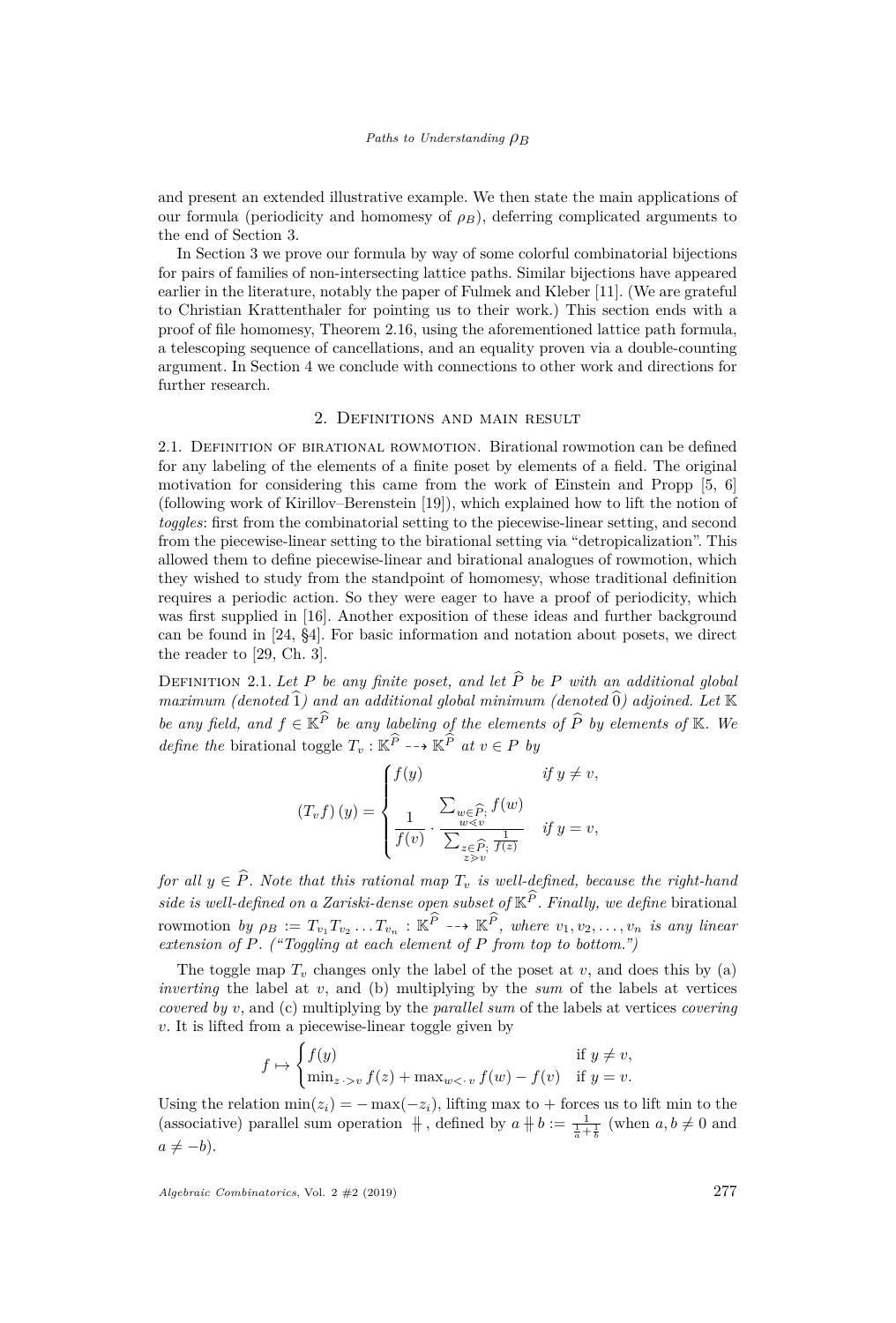and present an extended illustrative example. We then state the main applications of our formula (periodicity and homomesy of  $\rho_B$ ), deferring complicated arguments to the end of Section [3.](#page-12-0)

In Section [3](#page-12-0) we prove our formula by way of some colorful combinatorial bijections for pairs of families of non-intersecting lattice paths. Similar bijections have appeared earlier in the literature, notably the paper of Fulmek and Kleber [\[11\]](#page-29-9). (We are grateful to Christian Krattenthaler for pointing us to their work.) This section ends with a proof of file homomesy, Theorem [2.16,](#page-11-0) using the aforementioned lattice path formula, a telescoping sequence of cancellations, and an equality proven via a double-counting argument. In Section 4 we conclude with connections to other work and directions for further research.

#### 2. Definitions and main result

<span id="page-3-0"></span>2.1. DEFINITION OF BIRATIONAL ROWMOTION. Birational rowmotion can be defined for any labeling of the elements of a finite poset by elements of a field. The original motivation for considering this came from the work of Einstein and Propp [\[5,](#page-29-4) [6\]](#page-29-5) (following work of Kirillov–Berenstein [\[19\]](#page-30-10)), which explained how to lift the notion of *toggles*: first from the combinatorial setting to the piecewise-linear setting, and second from the piecewise-linear setting to the birational setting via "detropicalization". This allowed them to define piecewise-linear and birational analogues of rowmotion, which they wished to study from the standpoint of homomesy, whose traditional definition requires a periodic action. So they were eager to have a proof of periodicity, which was first supplied in [\[16\]](#page-29-8). Another exposition of these ideas and further background can be found in [\[24,](#page-30-12) §4]. For basic information and notation about posets, we direct the reader to [\[29,](#page-30-13) Ch. 3].

<span id="page-3-1"></span>DEFINITION 2.1. Let P be any finite poset, and let  $\widehat{P}$  be P with an additional global  $maximum (denoted \hat{1})$  and an additional global minimum (denoted  $\hat{0}$ ) adjoined. Let K *be any field, and*  $f \in \mathbb{K}^P$  *be any labeling of the elements of*  $\widehat{P}$  *by elements of*  $\mathbb{K}$ *. We define the* birational toggle  $T_v : \mathbb{K}^P \dashrightarrow \mathbb{K}^P$  *at*  $v \in P$  *by* 

$$
(T_v f) (y) = \begin{cases} f(y) & \text{if } y \neq v, \\ \frac{1}{f(v)} \cdot \frac{\sum_{w \in \widehat{P}; f(w)} f(w)}{\sum_{z \in \widehat{P}; \ f(z)} & \text{if } y = v, \end{cases}
$$

*for all*  $y \in \hat{P}$ *. Note that this rational map*  $T_v$  *is well-defined, because the right-hand side is well-defined on a Zariski-dense open subset of*  $\mathbb{K}^{\widehat{P}}$ *. Finally, we define* birational  $\text{rowmotion}$   $by$   $\rho_B := T_{v_1} T_{v_2} \dots T_{v_n} : \mathbb{K}^P \dashrightarrow \mathbb{K}^P$ *, where*  $v_1, v_2, \dots, v_n$  *is any linear extension of P. ("Toggling at each element of P from top to bottom.")*

The toggle map  $T_v$  changes only the label of the poset at  $v$ , and does this by (a) *inverting* the label at *v*, and (b) multiplying by the *sum* of the labels at vertices *covered by v*, and (c) multiplying by the *parallel sum* of the labels at vertices *covering v*. It is lifted from a piecewise-linear toggle given by

$$
f \mapsto \begin{cases} f(y) & \text{if } y \neq v, \\ \min_{z \to v} f(z) + \max_{w < v} f(w) - f(v) & \text{if } y = v. \end{cases}
$$

Using the relation  $min(z_i) = -max(-z_i)$ , lifting max to + forces us to lift min to the (associative) parallel sum operation  $\frac{1}{b}$ , defined by  $a + b := \frac{1}{\frac{1}{a} + \frac{1}{b}}$  (when  $a, b \neq 0$  and  $a \neq -b$ ).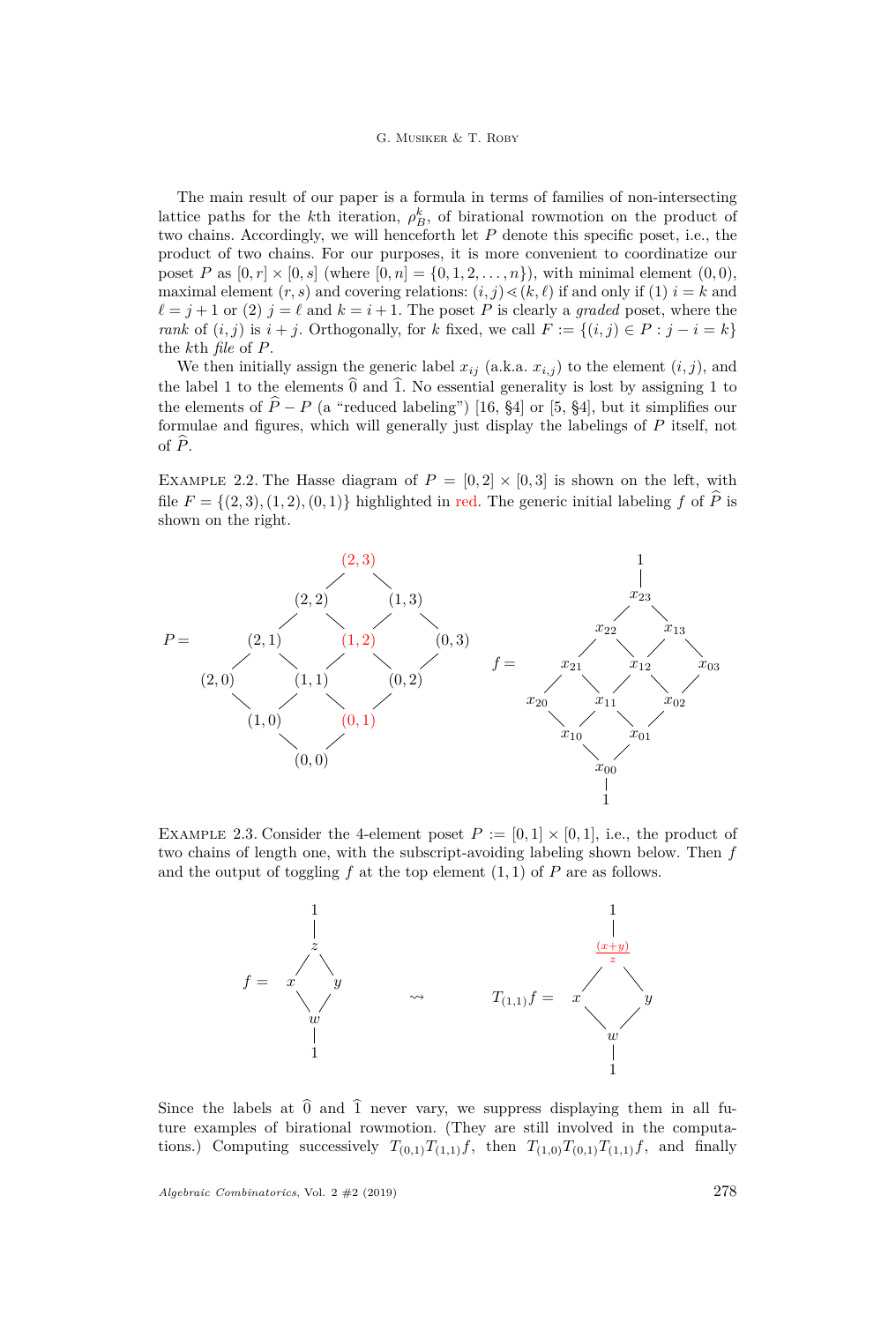# G. Musiker & T. Roby

The main result of our paper is a formula in terms of families of non-intersecting lattice paths for the *k*<sup>th</sup> iteration,  $\rho_B^k$ , of birational rowmotion on the product of two chains. Accordingly, we will henceforth let *P* denote this specific poset, i.e., the product of two chains. For our purposes, it is more convenient to coordinatize our poset *P* as  $[0, r] \times [0, s]$  (where  $[0, n] = \{0, 1, 2, ..., n\}$ ), with minimal element  $(0, 0)$ , maximal element  $(r, s)$  and covering relations:  $(i, j) \leq (k, \ell)$  if and only if (1)  $i = k$  and  $\ell = j + 1$  or (2)  $j = \ell$  and  $k = i + 1$ . The poset *P* is clearly a *graded* poset, where the *rank* of  $(i, j)$  is  $i + j$ . Orthogonally, for *k* fixed, we call  $F := \{(i, j) \in P : j - i = k\}$ the *k*th *file* of *P*.

We then initially assign the generic label  $x_{ij}$  (a.k.a.  $x_{i,j}$ ) to the element  $(i, j)$ , and the label 1 to the elements  $\hat{0}$  and  $\hat{1}$ . No essential generality is lost by assigning 1 to the elements of  $\hat{P} - P$  (a "reduced labeling") [\[16,](#page-29-8) §4] or [\[5,](#page-29-4) §4], but it simplifies our formulae and figures, which will generally just display the labelings of *P* itself, not of  $\widehat{P}$ .

<span id="page-4-0"></span>EXAMPLE 2.2. The Hasse diagram of  $P = [0, 2] \times [0, 3]$  is shown on the left, with file  $F = \{(2, 3), (1, 2), (0, 1)\}\$ highlighted in red. The generic initial labeling f of  $\widehat{P}$  is shown on the right.



EXAMPLE 2.3. Consider the 4-element poset  $P := [0,1] \times [0,1]$ , i.e., the product of two chains of length one, with the subscript-avoiding labeling shown below. Then *f* and the output of toggling  $f$  at the top element  $(1, 1)$  of  $P$  are as follows.



Since the labels at  $\hat{0}$  and  $\hat{1}$  never vary, we suppress displaying them in all future examples of birational rowmotion. (They are still involved in the computations.) Computing successively  $T_{(0,1)}T_{(1,1)}f$ , then  $T_{(1,0)}T_{(0,1)}T_{(1,1)}f$ , and finally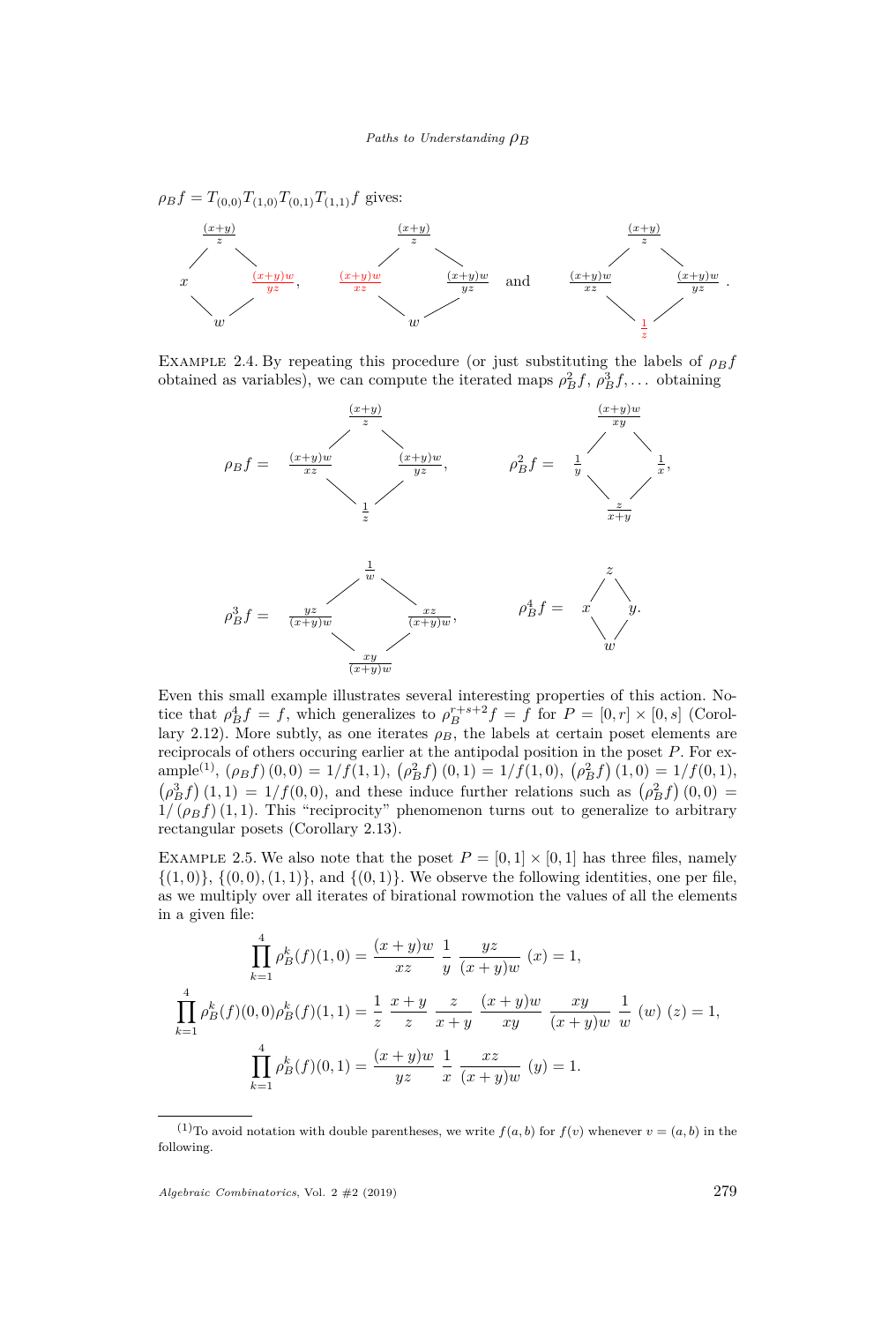$\rho_B f = T_{(0,0)} T_{(1,0)} T_{(0,1)} T_{(1,1)} f$  gives:



<span id="page-5-0"></span>EXAMPLE 2.4. By repeating this procedure (or just substituting the labels of  $\rho_B f$ obtained as variables), we can compute the iterated maps  $\rho_B^2 f$ ,  $\rho_B^3 f$ ,... obtaining



Even this small example illustrates several interesting properties of this action. Notice that  $\rho_B^4 f = f$ , which generalizes to  $\rho_B^{r+s+2} f = f$  for  $P = [0, r] \times [0, s]$  (Corol-lary [2.12\)](#page-10-1). More subtly, as one iterates  $\rho_B$ , the labels at certain poset elements are reciprocals of others occuring earlier at the antipodal position in the poset *P*. For ex- $\text{ample}^{(1)}$ ,  $(\rho_B f)(0,0) = 1/f(1,1)$ ,  $(\rho_B^2 f)(0,1) = 1/f(1,0)$ ,  $(\rho_B^2 f)(1,0) = 1/f(0,1)$ ,  $(\rho_B^3 f)(1,1) = 1/f(0,0)$ , and these induce further relations such as  $(\rho_B^2 f)(0,0) =$  $1/(\rho_B f)(1,1)$ . This "reciprocity" phenomenon turns out to generalize to arbitrary rectangular posets (Corollary [2.13\)](#page-10-2).

<span id="page-5-1"></span>EXAMPLE 2.5. We also note that the poset  $P = [0, 1] \times [0, 1]$  has three files, namely  $\{(1,0)\}, \{(0,0), (1,1)\},$  and  $\{(0,1)\}.$  We observe the following identities, one per file, as we multiply over all iterates of birational rowmotion the values of all the elements in a given file:

$$
\prod_{k=1}^{4} \rho_{B}^{k}(f)(1,0) = \frac{(x+y)w}{xz} \frac{1}{y} \frac{yz}{(x+y)w} (x) = 1,
$$
  

$$
\prod_{k=1}^{4} \rho_{B}^{k}(f)(0,0)\rho_{B}^{k}(f)(1,1) = \frac{1}{z} \frac{x+y}{z} \frac{z}{x+y} \frac{(x+y)w}{xy} \frac{xy}{(x+y)w} \frac{1}{w} (w) (z) = 1,
$$
  

$$
\prod_{k=1}^{4} \rho_{B}^{k}(f)(0,1) = \frac{(x+y)w}{yz} \frac{1}{x} \frac{xz}{(x+y)w} (y) = 1.
$$

<sup>&</sup>lt;sup>(1)</sup>To avoid notation with double parentheses, we write  $f(a, b)$  for  $f(v)$  whenever  $v = (a, b)$  in the following.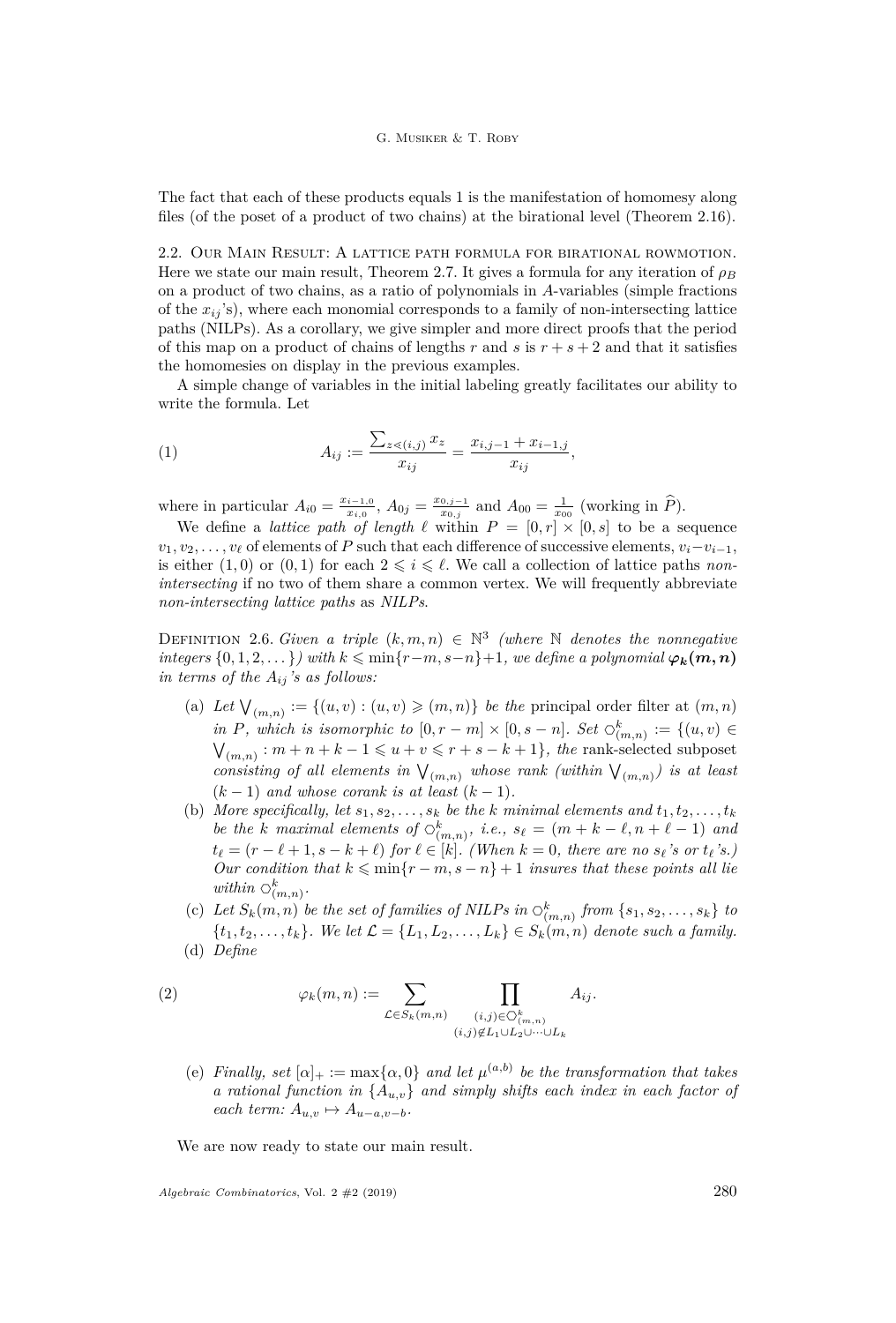The fact that each of these products equals 1 is the manifestation of homomesy along files (of the poset of a product of two chains) at the birational level (Theorem [2.16\)](#page-11-0).

2.2. Our Main Result: A lattice path formula for birational rowmotion. Here we state our main result, Theorem [2.7.](#page-7-0) It gives a formula for any iteration of  $\rho_B$ on a product of two chains, as a ratio of polynomials in *A*-variables (simple fractions of the  $x_{ii}$ 's), where each monomial corresponds to a family of non-intersecting lattice paths (NILPs). As a corollary, we give simpler and more direct proofs that the period of this map on a product of chains of lengths  $r$  and  $s$  is  $r + s + 2$  and that it satisfies the homomesies on display in the previous examples.

A simple change of variables in the initial labeling greatly facilitates our ability to write the formula. Let

<span id="page-6-3"></span>(1) 
$$
A_{ij} := \frac{\sum_{z \leq (i,j)} x_z}{x_{ij}} = \frac{x_{i,j-1} + x_{i-1,j}}{x_{ij}},
$$

where in particular  $A_{i0} = \frac{x_{i-1,0}}{x_{i,0}}$  $\frac{i-1,0}{x_{i,0}}, A_{0j} = \frac{x_{0,j-1}}{x_{0,j}}$  $\frac{0,j-1}{x_{0,j}}$  and  $A_{00} = \frac{1}{x_{00}}$  (working in  $\hat{P}$ ).

We define a *lattice path of length*  $\ell$  within  $P = [0, r] \times [0, s]$  to be a sequence  $v_1, v_2, \ldots, v_\ell$  of elements of *P* such that each difference of successive elements,  $v_i - v_{i-1}$ , is either  $(1,0)$  or  $(0,1)$  for each  $2 \leq i \leq \ell$ . We call a collection of lattice paths *nonintersecting* if no two of them share a common vertex. We will frequently abbreviate *non-intersecting lattice paths* as *NILPs*.

<span id="page-6-2"></span>DEFINITION 2.6. *Given a triple*  $(k, m, n) \in \mathbb{N}^3$  (where N *denotes the nonnegative integers*  $\{0, 1, 2, \ldots\}$ *) with*  $k \leq \min\{r - m, s - n\} + 1$ *, we define a polynomial*  $\varphi_k(m, n)$ *in terms of the*  $A_{ij}$  *'s as follows:* 

- (a) Let  $\bigvee_{(m,n)} := \{(u, v) : (u, v) \geqslant (m, n)\}\$ be the principal order filter at  $(m, n)$ *in P, which is isomorphic to*  $[0, r - m] \times [0, s - n]$ *. Set*  $\bigcirc_{(m,n)}^k := \{(u, v) \in$  $\mathcal{V}_{(m,n)}$ :  $m+n+k-1 \leq u+v \leq r+s-k+1$ *, the rank-selected subposet*  $\mathcal{V}_{(m,n)}$ . *consisting of all elements in*  $\mathcal{V}_{(m,n)}$  whose rank (within  $\mathcal{V}_{(m,n)}$ ) is at least  $(k-1)$  *and whose corank is at least*  $(k-1)$ *.*
- (b) More specifically, let  $s_1, s_2, \ldots, s_k$  be the *k* minimal elements and  $t_1, t_2, \ldots, t_k$ *be the k maximal elements of*  $\circlearrowleft_{(m,n)}^k$ , *i.e.*,  $s_\ell = (m + k - \ell, n + \ell - 1)$  *and*  $t_{\ell} = (r - \ell + 1, s - k + \ell)$  *for*  $\ell \in [k]$ *. (When*  $k = 0$ *, there are no*  $s_{\ell}$ *'s or*  $t_{\ell}$ *'s.) Our condition that*  $k \leq \min\{r - m, s - n\} + 1$  *insures that these points all lie within*  $\circlearrowright_{(m,n)}^k$ .
- <span id="page-6-4"></span>(c) Let  $S_k(m, n)$  be the set of families of NILPs in  $\circlearrowleft_{(m,n)}^k$  from  $\{s_1, s_2, \ldots, s_k\}$  to  ${t_1, t_2, \ldots, t_k}$ *. We let*  $\mathcal{L} = {L_1, L_2, \ldots, L_k} \in S_k(m, n)$  *denote such a family.* (d) *Define*

<span id="page-6-0"></span>(2) 
$$
\varphi_k(m,n) := \sum_{\mathcal{L} \in S_k(m,n)} \prod_{\substack{(i,j) \in \mathcal{O}_{(m,n)}^k \\ (i,j) \notin L_1 \cup L_2 \cup \dots \cup L_k}} A_{ij}.
$$

<span id="page-6-1"></span>(e) *Finally, set*  $[\alpha]_+ := \max{\{\alpha, 0\}}$  *and let*  $\mu^{(a,b)}$  *be the transformation that takes a rational function in* {*Au,v*} *and simply shifts each index in each factor of*  $each$   $term: A_{u,v} \mapsto A_{u-a,v-b}$ .

We are now ready to state our main result.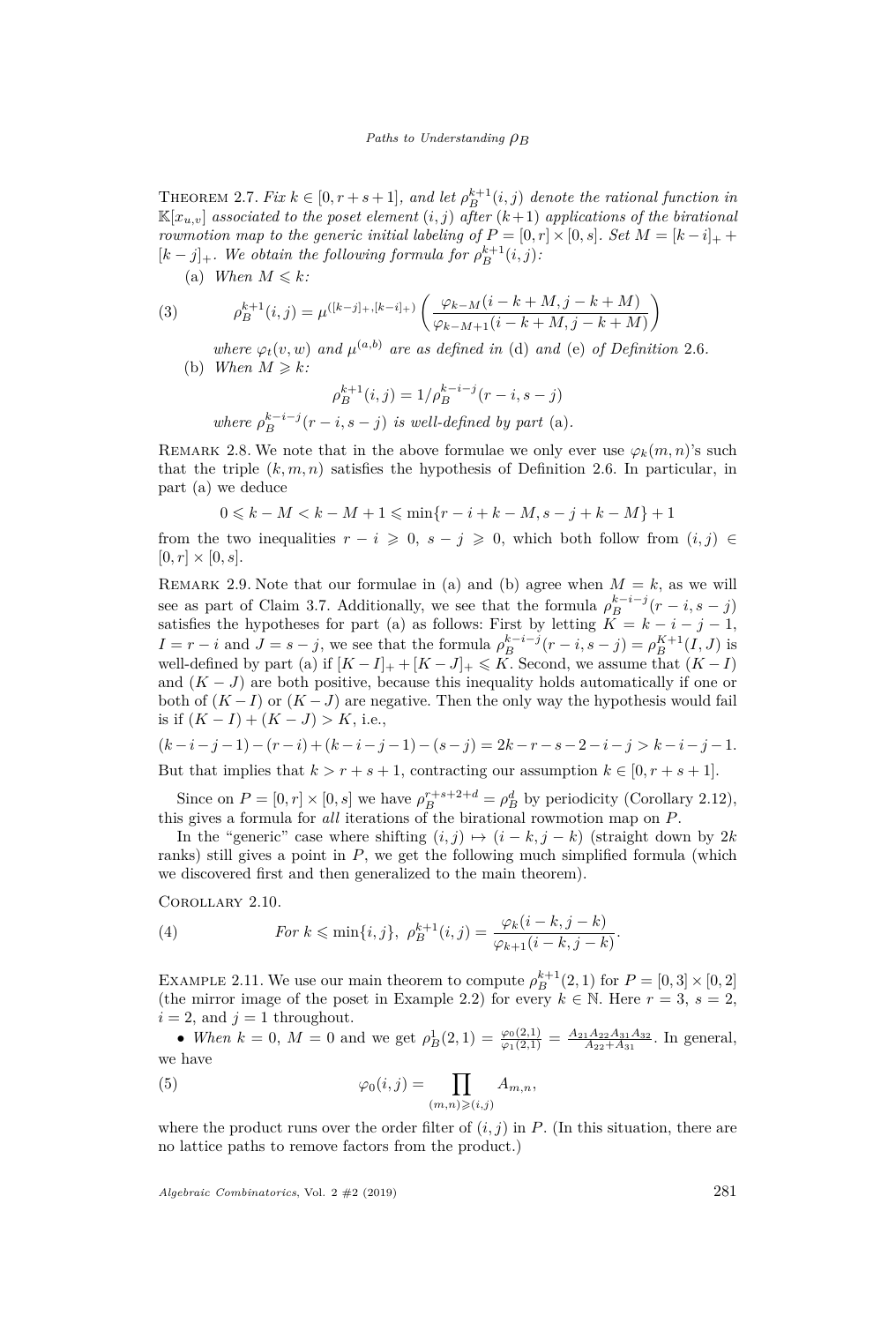<span id="page-7-0"></span>THEOREM 2.7. *Fix*  $k \in [0, r + s + 1]$ *, and let*  $\rho_B^{k+1}(i, j)$  *denote the rational function in*  $\mathbb{K}[x_{u,v}]$  *associated to the poset element*  $(i, j)$  *after*  $(k+1)$  *applications of the birational rowmotion map to the generic initial labeling of*  $P = [0, r] \times [0, s]$ *. Set*  $M = [k - i]_+$  $[k - j]_+$ *. We obtain the following formula for*  $\rho_B^{k+1}(i, j)$ *:* 

<span id="page-7-3"></span><span id="page-7-1"></span>(a) *When*  $M \leq k$ *:* 

(3) 
$$
\rho_B^{k+1}(i,j) = \mu^{([k-j]_+, [k-i]_+)} \left( \frac{\varphi_{k-M}(i-k+M,j-k+M)}{\varphi_{k-M+1}(i-k+M,j-k+M)} \right)
$$

<span id="page-7-2"></span>*where*  $\varphi_t(v, w)$  *and*  $\mu^{(a,b)}$  *are as defined in* [\(d\)](#page-6-0) *and* [\(e\)](#page-6-1) *of Definition* [2.6](#page-6-2)*.* (b) *When*  $M \ge k$ *:* 

$$
\rho_B^{k+1}(i,j) = 1/\rho_B^{k-i-j}(r-i,s-j)
$$
  
where 
$$
\rho_B^{k-i-j}(r-i,s-j)
$$
 is well-defined by part (a).

REMARK 2.8. We note that in the above formulae we only ever use  $\varphi_k(m,n)$ 's such that the triple  $(k, m, n)$  satisfies the hypothesis of Definition [2.6.](#page-6-2) In particular, in part [\(a\)](#page-7-1) we deduce

$$
0 \leq k - M < k - M + 1 \leq \min\{r - i + k - M, s - j + k - M\} + 1
$$

from the two inequalities  $r - i \geq 0$ ,  $s - j \geq 0$ , which both follow from  $(i, j) \in$  $[0, r] \times [0, s].$ 

REMARK 2.9. Note that our formulae in [\(a\)](#page-7-1) and [\(b\)](#page-7-2) agree when  $M = k$ , as we will see as part of Claim [3.7.](#page-21-0) Additionally, we see that the formula  $\rho_B^{k-i-j}(r-i,s-j)$ satisfies the hypotheses for part [\(a\)](#page-7-1) as follows: First by letting  $K = k - i - j - 1$ ,  $I = r - i$  and  $J = s - j$ , we see that the formula  $\rho_B^{k-i-j}(r-i, s-j) = \rho_B^{K+1}(I, J)$  is well-defined by part [\(a\)](#page-7-1) if  $[K - I]_+ + [K - J]_+ \leq K$ . Second, we assume that  $(K - I)$ and  $(K-J)$  are both positive, because this inequality holds automatically if one or both of  $(K-I)$  or  $(K-J)$  are negative. Then the only way the hypothesis would fail is if  $(K - I) + (K - J) > K$ , i.e.,

$$
(k-i-j-1)-(r-i)+(k-i-j-1)-(s-j)=2k-r-s-2-i-j>k-i-j-1.
$$
  
But that implies that  $k>r+s+1$ , contracting our assumption  $k \in [0, r+s+1]$ .

Since on  $P = [0, r] \times [0, s]$  we have  $\rho_B^{r+s+2+d} = \rho_B^d$  by periodicity (Corollary [2.12\)](#page-10-1), this gives a formula for *all* iterations of the birational rowmotion map on *P*.

In the "generic" case where shifting  $(i, j) \mapsto (i - k, j - k)$  (straight down by 2*k*) ranks) still gives a point in *P*, we get the following much simplified formula (which we discovered first and then generalized to the main theorem).

Corollary 2.10.

(4) 
$$
\text{For } k \leq \min\{i, j\}, \ \rho_B^{k+1}(i, j) = \frac{\varphi_k(i-k, j-k)}{\varphi_{k+1}(i-k, j-k)}.
$$

EXAMPLE 2.11. We use our main theorem to compute  $\rho_B^{k+1}(2,1)$  for  $P = [0,3] \times [0,2]$ (the mirror image of the poset in Example [2.2\)](#page-4-0) for every  $k \in \mathbb{N}$ . Here  $r = 3$ ,  $s = 2$ ,  $i = 2$ , and  $j = 1$  throughout.

• *When*  $k = 0$ ,  $M = 0$  and we get  $\rho_B^1(2, 1) = \frac{\varphi_0(2, 1)}{\varphi_1(2, 1)} = \frac{A_{21}A_{22}A_{31}A_{32}}{A_{22}+A_{31}}$ . In general, we have

<span id="page-7-4"></span>(5) 
$$
\varphi_0(i,j) = \prod_{(m,n)\geqslant (i,j)} A_{m,n},
$$

where the product runs over the order filter of  $(i, j)$  in  $P$ . (In this situation, there are no lattice paths to remove factors from the product.)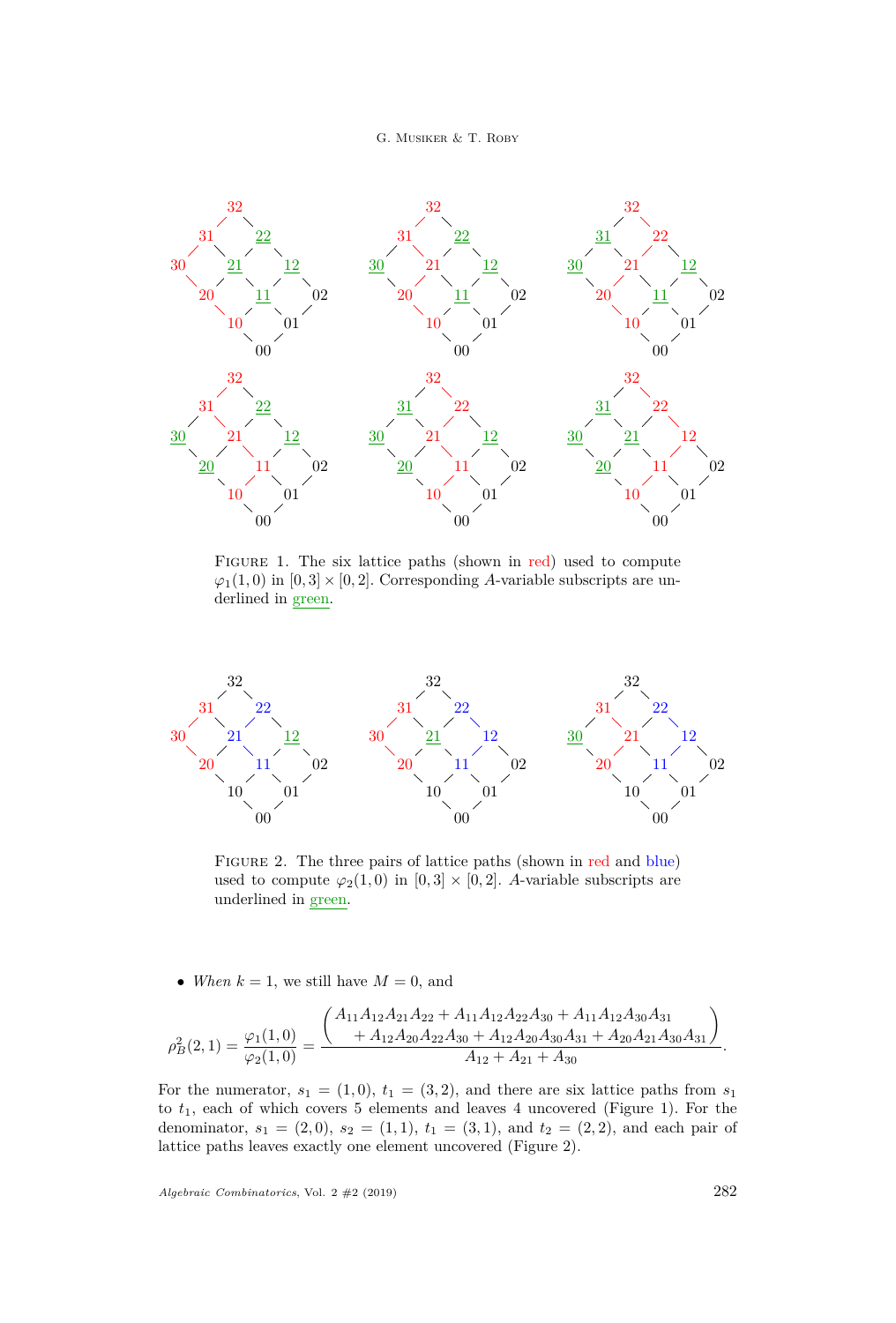G. MUSIKER & T. ROBY

<span id="page-8-0"></span>

FIGURE 1. The six lattice paths (shown in red) used to compute  $\varphi_1(1,0)$  in  $[0,3] \times [0,2]$ . Corresponding *A*-variable subscripts are underlined in green.

<span id="page-8-1"></span>

FIGURE 2. The three pairs of lattice paths (shown in red and blue) used to compute  $\varphi_2(1,0)$  in  $[0,3] \times [0,2]$ . *A*-variable subscripts are underlined in green.

• *When*  $k = 1$ , we still have  $M = 0$ , and

$$
\rho_B^2(2,1) = \frac{\varphi_1(1,0)}{\varphi_2(1,0)} = \frac{\left(\begin{matrix} A_{11}A_{12}A_{21}A_{22} + A_{11}A_{12}A_{22}A_{30} + A_{11}A_{12}A_{30}A_{31} \\ + A_{12}A_{20}A_{22}A_{30} + A_{12}A_{20}A_{30}A_{31} + A_{20}A_{21}A_{30}A_{31} \end{matrix}\right)}{A_{12} + A_{21} + A_{30}}.
$$

For the numerator,  $s_1 = (1,0), t_1 = (3,2)$ , and there are six lattice paths from  $s_1$ to *t*1, each of which covers 5 elements and leaves 4 uncovered (Figure [1\)](#page-8-0). For the denominator,  $s_1 = (2,0)$ ,  $s_2 = (1,1)$ ,  $t_1 = (3,1)$ , and  $t_2 = (2,2)$ , and each pair of lattice paths leaves exactly one element uncovered (Figure [2\)](#page-8-1).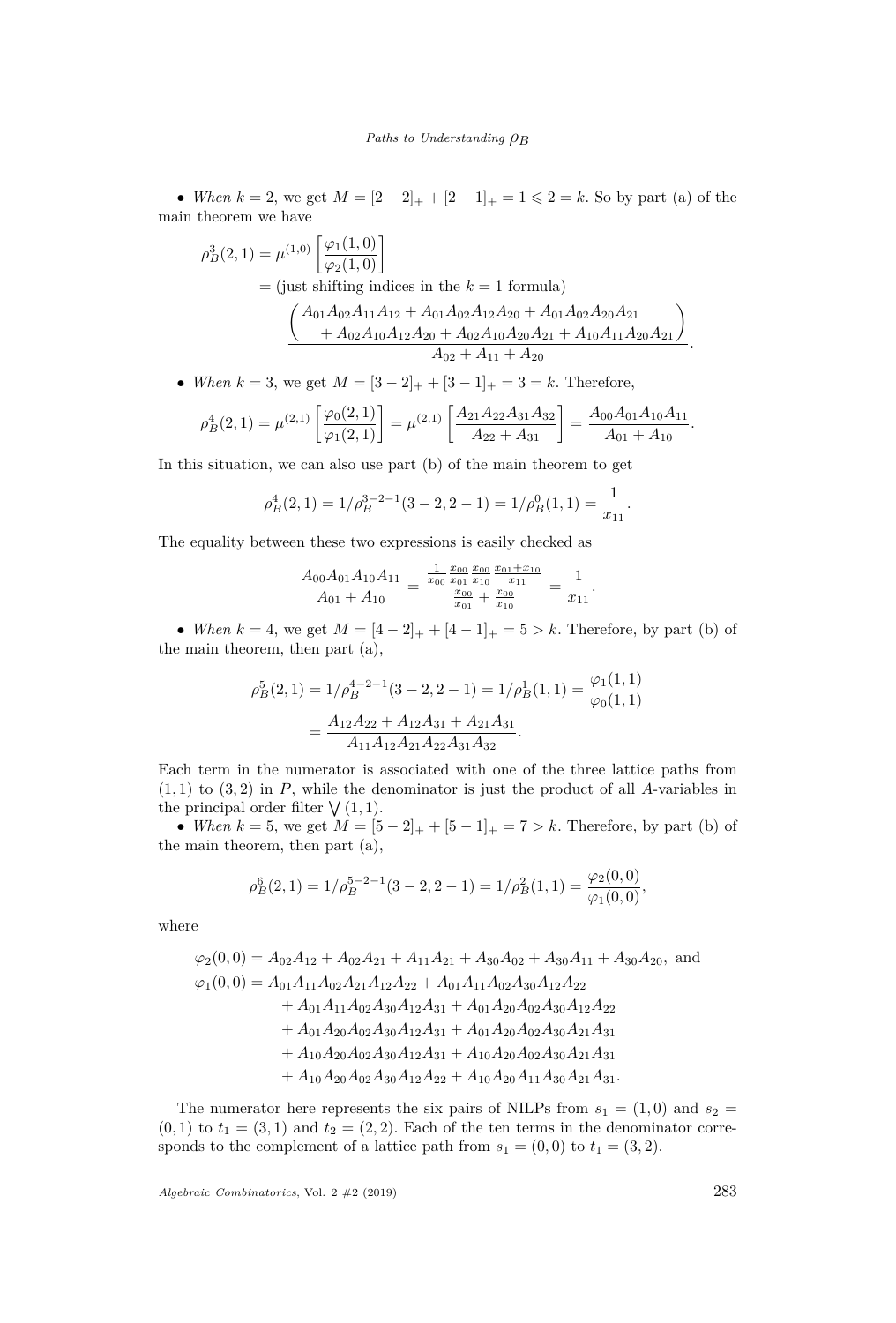• *When*  $k = 2$ , we get  $M = \{2 - 2\}$ ,  $+ \{2 - 1\}$ ,  $k = 1 \le 2 = k$ . So by part [\(a\)](#page-7-1) of the main theorem we have

$$
\rho_B^3(2,1) = \mu^{(1,0)} \left[ \frac{\varphi_1(1,0)}{\varphi_2(1,0)} \right]
$$
  
= (just shifting indices in the  $k = 1$  formula)  

$$
\frac{A_{01}A_{02}A_{11}A_{12} + A_{01}A_{02}A_{12}A_{20} + A_{01}A_{02}A_{20}A_{21}}{+ A_{02}A_{10}A_{12}A_{20} + A_{02}A_{10}A_{20}A_{21} + A_{10}A_{11}A_{20}A_{21}}.
$$

• *When*  $k = 3$ , we get  $M = \begin{bmatrix} 3 & -2 \end{bmatrix}$  +  $\begin{bmatrix} 3 & -1 \end{bmatrix}$  +  $\begin{bmatrix} 3 & -1 \end{bmatrix}$  +  $\begin{bmatrix} 3 & -1 \end{bmatrix}$  +  $\begin{bmatrix} 3 & -1 \end{bmatrix}$ 

$$
\rho_B^4(2,1) = \mu^{(2,1)} \left[ \frac{\varphi_0(2,1)}{\varphi_1(2,1)} \right] = \mu^{(2,1)} \left[ \frac{A_{21}A_{22}A_{31}A_{32}}{A_{22}+A_{31}} \right] = \frac{A_{00}A_{01}A_{10}A_{11}}{A_{01}+A_{10}}.
$$

In this situation, we can also use part [\(b\)](#page-7-2) of the main theorem to get

$$
\rho_B^4(2,1) = 1/\rho_B^{3-2-1}(3-2,2-1) = 1/\rho_B^0(1,1) = \frac{1}{x_{11}}
$$

*.*

The equality between these two expressions is easily checked as

$$
\frac{A_{00}A_{01}A_{10}A_{11}}{A_{01} + A_{10}} = \frac{\frac{1}{x_{00}}\frac{x_{00}}{x_{01}}\frac{x_{00}}{x_{10}}\frac{x_{01} + x_{10}}{x_{11}}}{\frac{x_{00}}{x_{01}} + \frac{x_{00}}{x_{10}}} = \frac{1}{x_{11}}.
$$

• *When*  $k = 4$ , we get  $M = [4 - 2]_+ + [4 - 1]_+ = 5 > k$ . Therefore, by part [\(b\)](#page-7-2) of the main theorem, then part [\(a\),](#page-7-1)

$$
\rho_B^5(2,1) = 1/\rho_B^{4-2-1}(3-2,2-1) = 1/\rho_B^1(1,1) = \frac{\varphi_1(1,1)}{\varphi_0(1,1)}
$$

$$
= \frac{A_{12}A_{22} + A_{12}A_{31} + A_{21}A_{31}}{A_{11}A_{12}A_{21}A_{22}A_{31}A_{32}}.
$$

Each term in the numerator is associated with one of the three lattice paths from  $(1,1)$  to  $(3,2)$  in *P*, while the denominator is just the product of all *A*-variables in the principal order filter  $\bigvee (1,1)$ .

• *When*  $k = 5$ , we get  $M = [5 - 2]_+ + [5 - 1]_+ = 7 > k$ . Therefore, by part [\(b\)](#page-7-2) of the main theorem, then part [\(a\),](#page-7-1)

$$
\rho_B^6(2,1) = 1/\rho_B^{5-2-1}(3-2,2-1) = 1/\rho_B^2(1,1) = \frac{\varphi_2(0,0)}{\varphi_1(0,0)},
$$

where

$$
\varphi_2(0,0) = A_{02}A_{12} + A_{02}A_{21} + A_{11}A_{21} + A_{30}A_{02} + A_{30}A_{11} + A_{30}A_{20}, \text{ and}
$$
  
\n
$$
\varphi_1(0,0) = A_{01}A_{11}A_{02}A_{21}A_{12}A_{22} + A_{01}A_{11}A_{02}A_{30}A_{12}A_{22} + A_{01}A_{11}A_{02}A_{30}A_{12}A_{31} + A_{01}A_{20}A_{02}A_{30}A_{12}A_{22} + A_{01}A_{20}A_{02}A_{30}A_{12}A_{31} + A_{01}A_{20}A_{02}A_{30}A_{21}A_{31} + A_{10}A_{20}A_{02}A_{30}A_{12}A_{31} + A_{10}A_{20}A_{02}A_{30}A_{21}A_{31} + A_{10}A_{20}A_{02}A_{30}A_{12}A_{31} + A_{10}A_{20}A_{02}A_{30}A_{12}A_{22} + A_{10}A_{20}A_{11}A_{30}A_{21}A_{31}.
$$

The numerator here represents the six pairs of NILPs from  $s_1 = (1,0)$  and  $s_2 =$  $(0,1)$  to  $t_1 = (3,1)$  and  $t_2 = (2,2)$ . Each of the ten terms in the denominator corresponds to the complement of a lattice path from  $s_1 = (0,0)$  to  $t_1 = (3,2)$ .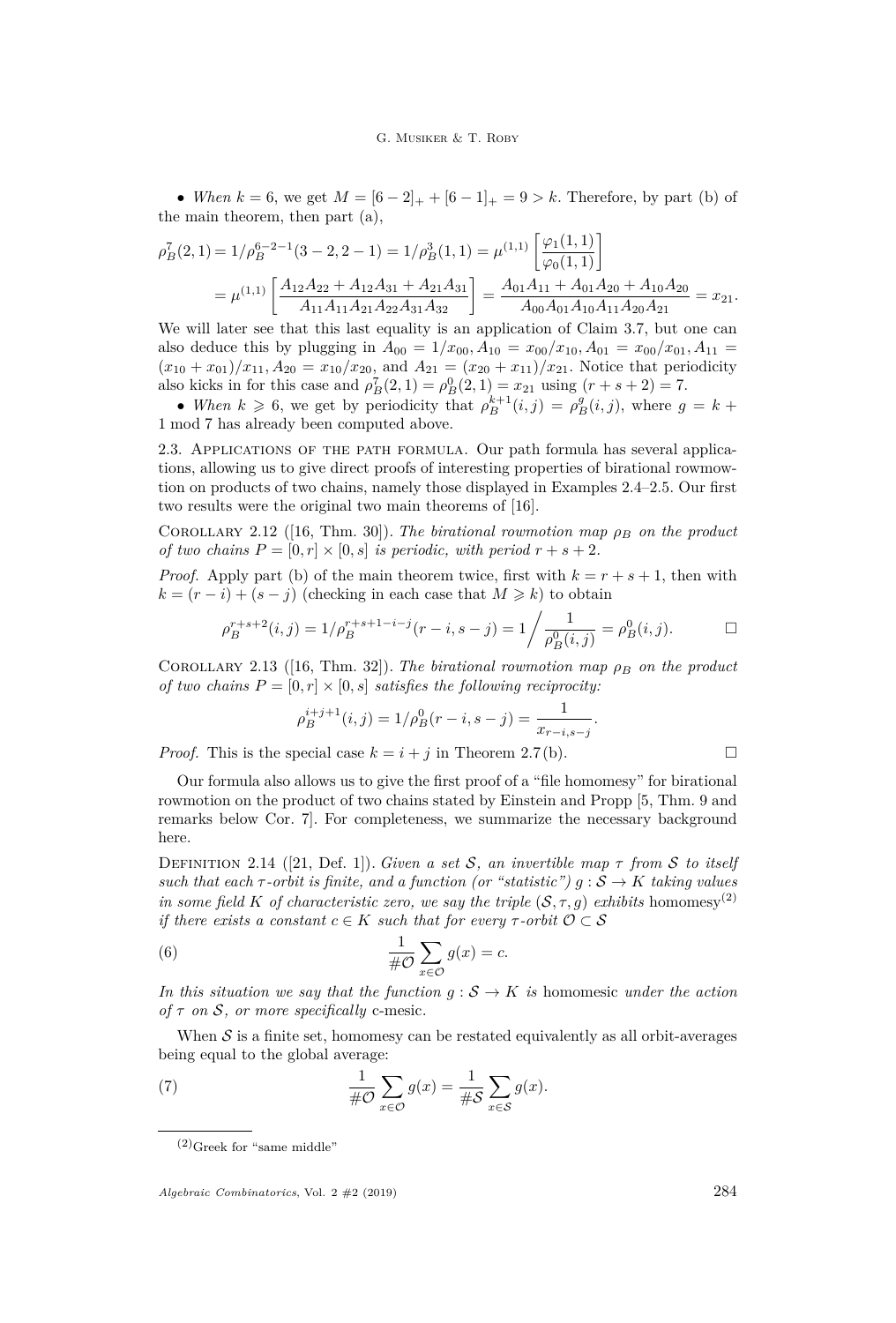• *When*  $k = 6$ , we get  $M = [6 - 2]_+ + [6 - 1]_+ = 9 > k$ . Therefore, by part [\(b\)](#page-7-2) of the main theorem, then part [\(a\),](#page-7-1)

$$
\rho_B^7(2,1) = 1/\rho_B^{6-2-1}(3-2,2-1) = 1/\rho_B^3(1,1) = \mu^{(1,1)} \left[ \frac{\varphi_1(1,1)}{\varphi_0(1,1)} \right]
$$
  
= 
$$
\mu^{(1,1)} \left[ \frac{A_{12}A_{22} + A_{12}A_{31} + A_{21}A_{31}}{A_{11}A_{11}A_{21}A_{22}A_{31}A_{32}} \right] = \frac{A_{01}A_{11} + A_{01}A_{20} + A_{10}A_{20}}{A_{00}A_{01}A_{10}A_{11}A_{20}A_{21}} = x_{21}.
$$

We will later see that this last equality is an application of Claim [3.7,](#page-21-0) but one can also deduce this by plugging in  $A_{00} = 1/x_{00}$ ,  $A_{10} = x_{00}/x_{10}$ ,  $A_{01} = x_{00}/x_{01}$ ,  $A_{11} =$  $(x_{10} + x_{01})/x_{11}$ ,  $A_{20} = x_{10}/x_{20}$ , and  $A_{21} = (x_{20} + x_{11})/x_{21}$ . Notice that periodicity also kicks in for this case and  $\rho_B^7(2, 1) = \rho_B^0(2, 1) = x_{21}$  using  $(r + s + 2) = 7$ .

• *When*  $k \ge 6$ , we get by periodicity that  $\rho_B^{k+1}(i,j) = \rho_B^g(i,j)$ , where  $g = k + 1$ 1 mod 7 has already been computed above.

2.3. Applications of the path formula. Our path formula has several applications, allowing us to give direct proofs of interesting properties of birational rowmowtion on products of two chains, namely those displayed in Examples [2.4](#page-5-0)[–2.5.](#page-5-1) Our first two results were the original two main theorems of [\[16\]](#page-29-8).

<span id="page-10-1"></span>COROLLARY 2.12 ([\[16,](#page-29-8) Thm. 30]). *The birational rowmotion map*  $\rho_B$  *on the product of two chains*  $P = [0, r] \times [0, s]$  *is periodic, with period*  $r + s + 2$ *.* 

*Proof.* Apply part [\(b\)](#page-7-2) of the main theorem twice, first with  $k = r + s + 1$ , then with  $k = (r - i) + (s - j)$  (checking in each case that  $M \ge k$ ) to obtain

$$
\rho_B^{r+s+2}(i,j) = 1/\rho_B^{r+s+1-i-j}(r-i,s-j) = 1/\frac{1}{\rho_B^0(i,j)} = \rho_B^0(i,j).
$$

<span id="page-10-2"></span>COROLLARY 2.13 ([\[16,](#page-29-8) Thm. 32]). *The birational rowmotion map*  $\rho_B$  *on the product of two chains*  $P = [0, r] \times [0, s]$  *satisfies the following reciprocity:* 

$$
\rho_B^{i+j+1}(i,j) = 1/\rho_B^0(r-i,s-j) = \frac{1}{x_{r-i,s-j}}.
$$

*Proof.* This is the special case  $k = i + j$  in Theorem [2.7](#page-7-0)[\(b\).](#page-7-2)

Our formula also allows us to give the first proof of a "file homomesy" for birational rowmotion on the product of two chains stated by Einstein and Propp [\[5,](#page-29-4) Thm. 9 and remarks below Cor. 7]. For completeness, we summarize the necessary background here.

<span id="page-10-0"></span>Definition 2.14 ([\[21,](#page-30-3) Def. 1]). *Given a set* S*, an invertible map τ from* S *to itself such that each*  $\tau$ -*orbit is finite, and a function (or "statistic")*  $g : \mathcal{S} \to K$  *taking values in some field K of characteristic zero, we say the triple*  $(S, \tau, g)$  *exhibits* homomesy<sup>(2)</sup> *if there exists a constant*  $c \in K$  *such that for every*  $\tau$ -*orbit*  $\mathcal{O} \subset \mathcal{S}$ 

(6) 
$$
\frac{1}{\#\mathcal{O}}\sum_{x\in\mathcal{O}}g(x)=c.
$$

*In this situation we say that the function*  $g : \mathcal{S} \to K$  *is* homomesic *under the action of τ on* S*, or more specifically* c-mesic*.*

When  $S$  is a finite set, homomesy can be restated equivalently as all orbit-averages being equal to the global average:

(7) 
$$
\frac{1}{\#\mathcal{O}}\sum_{x\in\mathcal{O}}g(x)=\frac{1}{\#\mathcal{S}}\sum_{x\in\mathcal{S}}g(x).
$$

 $(2)$ Greek for "same middle"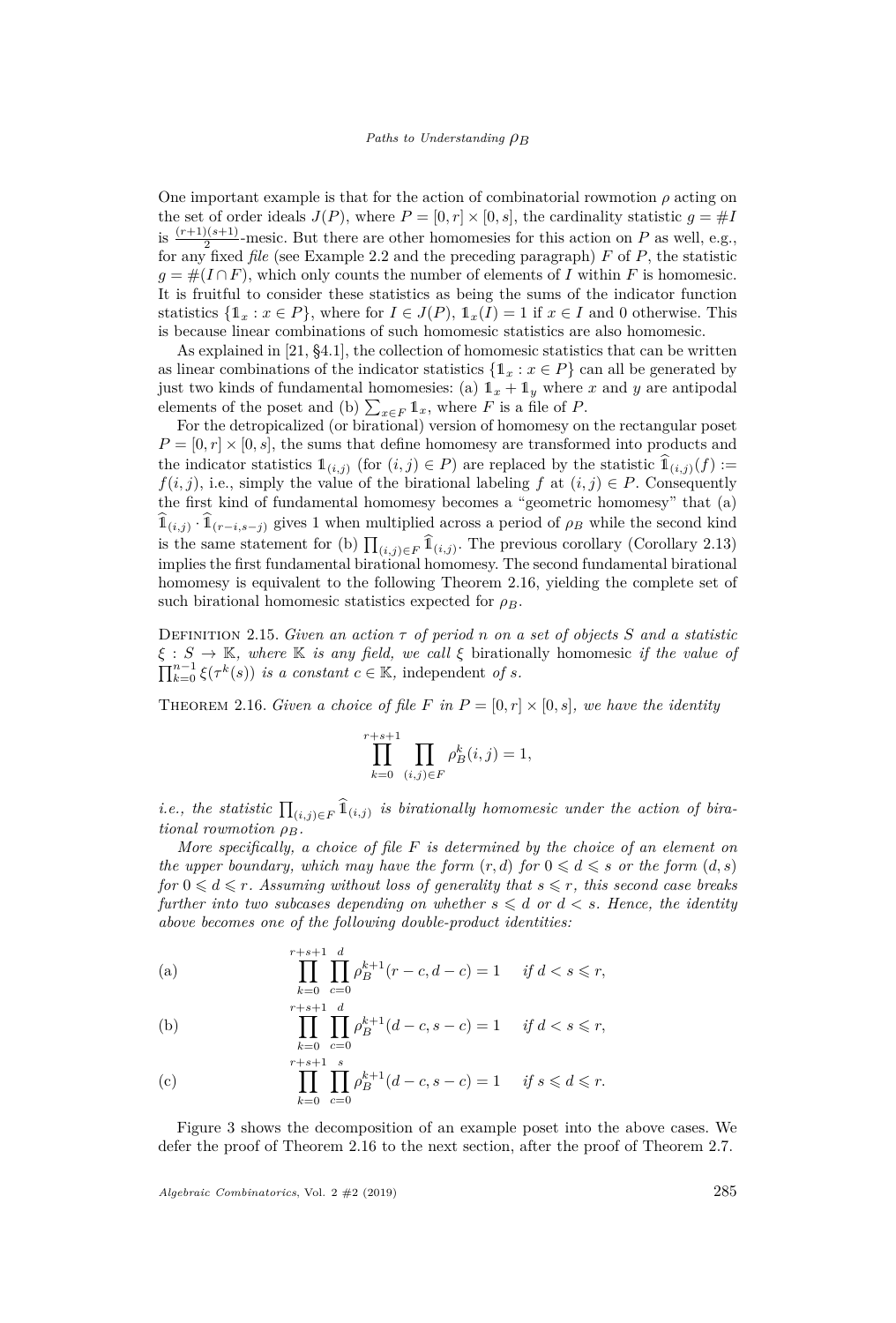One important example is that for the action of combinatorial rowmotion  $\rho$  acting on the set of order ideals  $J(P)$ , where  $P = [0, r] \times [0, s]$ , the cardinality statistic  $g = \#I$ is  $\frac{(r+1)(s+1)}{2}$ -mesic. But there are other homomesies for this action on *P* as well, e.g., for any fixed *file* (see Example [2.2](#page-4-0) and the preceding paragraph) *F* of *P*, the statistic  $g = \#(I \cap F)$ , which only counts the number of elements of *I* within *F* is homomesic. It is fruitful to consider these statistics as being the sums of the indicator function statistics  $\{1_x : x \in P\}$ , where for  $I \in J(P)$ ,  $1_x(I) = 1$  if  $x \in I$  and 0 otherwise. This is because linear combinations of such homomesic statistics are also homomesic.

As explained in [\[21,](#page-30-3) §4.1], the collection of homomesic statistics that can be written as linear combinations of the indicator statistics  $\{1_x : x \in P\}$  can all be generated by just two kinds of fundamental homomesies: (a)  $\mathbb{1}_x + \mathbb{1}_y$  where *x* and *y* are antipodal elements of the poset and (b)  $\sum_{x \in F} \mathbb{1}_x$ , where *F* is a file of *P*.

For the detropicalized (or birational) version of homomesy on the rectangular poset  $P = [0, r] \times [0, s]$ , the sums that define homomesy are transformed into products and the indicator statistics  $\mathbb{1}_{(i,j)}$  (for  $(i,j) \in P$ ) are replaced by the statistic  $\mathbb{1}_{(i,j)}(f) :=$ *f*(*i, j*), i.e., simply the value of the birational labeling *f* at  $(i, j) \in P$ . Consequently the first kind of fundamental homomesy becomes a "geometric homomesy" that (a)  $\widehat{\mathbb{1}}_{(i,j)} \cdot \widehat{\mathbb{1}}_{(r-i,s-j)}$  gives 1 when multiplied across a period of  $\rho_B$  while the second kind is the same statement for (b)  $\prod_{(i,j)\in F} \hat{\mathbb{1}}_{(i,j)}$ . The previous corollary (Corollary [2.13\)](#page-10-2) implies the first fundamental birational homomesy. The second fundamental birational homomesy is equivalent to the following Theorem [2.16,](#page-11-0) yielding the complete set of such birational homomesic statistics expected for  $\rho_B$ .

Definition 2.15. *Given an action τ of period n on a set of objects S and a statistic ξ* : *S* → K*, where* K *is any field, we call ξ* birationally homomesic *if the value of*  $\prod_{k=0}^{n-1} \xi(\tau^k(s))$  *is a constant*  $c \in \mathbb{K}$ , independent *of s.* 

<span id="page-11-0"></span>THEOREM 2.16. *Given a choice of file F* in  $P = [0, r] \times [0, s]$ *, we have the identity* 

$$
\prod_{k=0}^{r+s+1} \prod_{(i,j)\in F} \rho_B^k(i,j) = 1,
$$

*i.e., the statistic*  $\prod_{(i,j)\in F} \hat{\mathbb{1}}_{(i,j)}$  *is birationally homomesic under the action of birational rowmotion ρB.*

*More specifically, a choice of file F is determined by the choice of an element on the upper boundary, which may have the form*  $(r, d)$  *for*  $0 \le d \le s$  *or the form*  $(d, s)$ *for*  $0 \leq d \leq r$ . Assuming without loss of generality that  $s \leq r$ , this second case breaks *further into two subcases depending on whether*  $s \leq d$  *or*  $d \leq s$ *. Hence, the identity above becomes one of the following double-product identities:*

(a) 
$$
\prod_{k=0}^{r+s+1} \prod_{c=0}^{d} \rho_B^{k+1}(r-c, d-c) = 1 \quad \text{if } d < s \leq r,
$$

(b) 
$$
\prod_{k=0}^{r+s+1} \prod_{c=0}^{d} \rho_B^{k+1}(d-c, s-c) = 1 \quad \text{if } d < s \leq r,
$$

(c) 
$$
\prod_{k=0}^{r+s+1} \prod_{c=0}^{s} \rho_B^{k+1}(d-c, s-c) = 1 \quad \text{if } s \leq d \leq r.
$$

Figure [3](#page-12-1) shows the decomposition of an example poset into the above cases. We defer the proof of Theorem [2.16](#page-11-0) to the next section, after the proof of Theorem [2.7.](#page-7-0)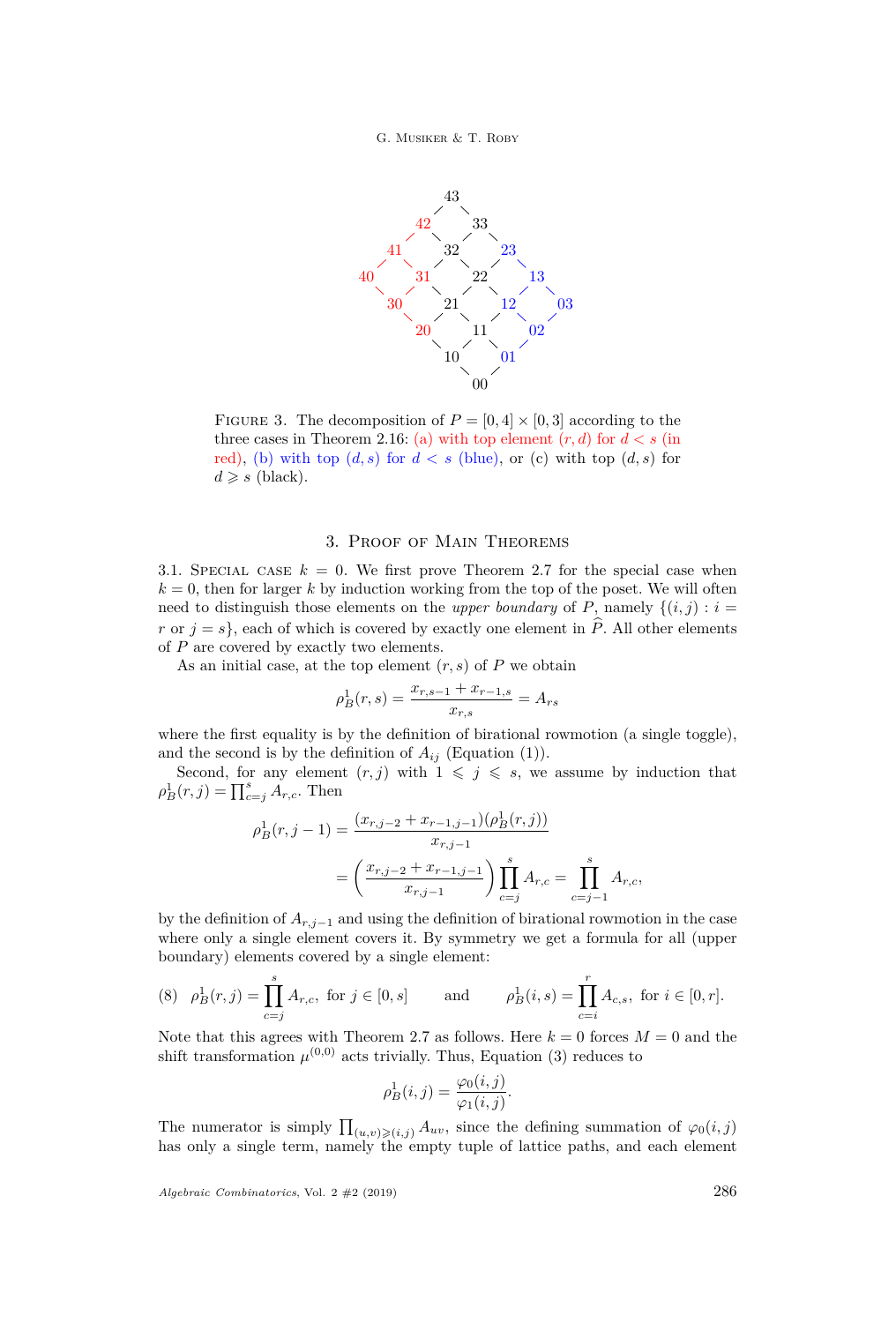### G. Musiker & T. Roby

<span id="page-12-1"></span>

FIGURE 3. The decomposition of  $P = [0, 4] \times [0, 3]$  according to the three cases in Theorem [2.16:](#page-11-0) (a) with top element  $(r, d)$  for  $d < s$  (in red), (b) with top  $(d, s)$  for  $d < s$  (blue), or (c) with top  $(d, s)$  for  $d \geqslant s$  (black).

## 3. Proof of Main Theorems

<span id="page-12-0"></span>3.1. SPECIAL CASE  $k = 0$ . We first prove Theorem [2.7](#page-7-0) for the special case when  $k = 0$ , then for larger k by induction working from the top of the poset. We will often need to distinguish those elements on the *upper boundary* of *P*, namely  $\{(i, j) : i =$ *r* or  $j = s$ , each of which is covered by exactly one element in  $\hat{P}$ . All other elements of *P* are covered by exactly two elements.

As an initial case, at the top element  $(r, s)$  of  $P$  we obtain

$$
\rho_B^1(r,s) = \frac{x_{r,s-1} + x_{r-1,s}}{x_{r,s}} = A_{rs}
$$

where the first equality is by the definition of birational rowmotion (a single toggle), and the second is by the definition of  $A_{ij}$  (Equation [\(1\)](#page-6-3)).

Second, for any element  $(r, j)$  with  $1 \leq j \leq s$ , we assume by induction that  $\rho_B^1(r, j) = \prod_{c=j}^s A_{r,c}$ . Then

$$
\rho_B^1(r, j-1) = \frac{(x_{r,j-2} + x_{r-1,j-1})(\rho_B^1(r, j))}{x_{r,j-1}}
$$

$$
= \left(\frac{x_{r,j-2} + x_{r-1,j-1}}{x_{r,j-1}}\right) \prod_{c=j}^s A_{r,c} = \prod_{c=j-1}^s A_{r,c},
$$

by the definition of  $A_{r,i-1}$  and using the definition of birational rowmotion in the case where only a single element covers it. By symmetry we get a formula for all (upper boundary) elements covered by a single element:

<span id="page-12-2"></span>
$$
(8) \quad \rho_B^1(r, j) = \prod_{c=j}^s A_{r, c}, \text{ for } j \in [0, s] \qquad \text{and} \qquad \rho_B^1(i, s) = \prod_{c=i}^r A_{c, s}, \text{ for } i \in [0, r].
$$

Note that this agrees with Theorem [2.7](#page-7-0) as follows. Here  $k = 0$  forces  $M = 0$  and the shift transformation  $\mu^{(0,0)}$  acts trivially. Thus, Equation [\(3\)](#page-7-3) reduces to

$$
\rho_B^1(i,j) = \frac{\varphi_0(i,j)}{\varphi_1(i,j)}.
$$

The numerator is simply  $\prod_{(u,v)\geqslant (i,j)} A_{uv}$ , since the defining summation of  $\varphi_0(i,j)$ has only a single term, namely the empty tuple of lattice paths, and each element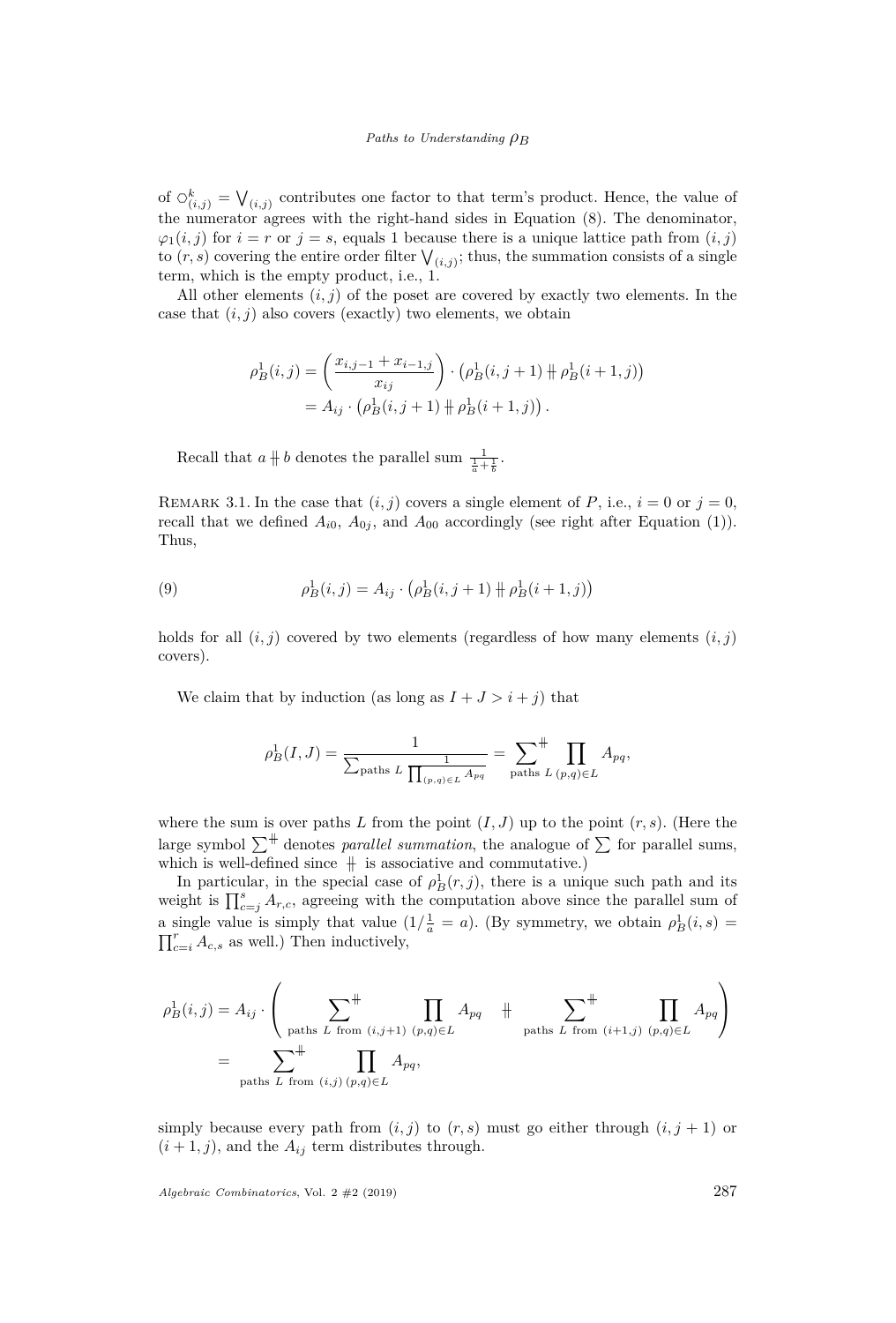of  $\circlearrowleft_{(i,j)}^k = \bigvee_{(i,j)}$  contributes one factor to that term's product. Hence, the value of the numerator agrees with the right-hand sides in Equation [\(8\)](#page-12-2). The denominator,  $\varphi_1(i,j)$  for  $i = r$  or  $j = s$ , equals 1 because there is a unique lattice path from  $(i,j)$ to  $(r, s)$  covering the entire order filter  $\bigvee_{(i,j)}$ ; thus, the summation consists of a single term, which is the empty product, i.e., 1.

All other elements (*i, j*) of the poset are covered by exactly two elements. In the case that  $(i, j)$  also covers (exactly) two elements, we obtain

$$
\rho_B^1(i,j) = \left(\frac{x_{i,j-1} + x_{i-1,j}}{x_{ij}}\right) \cdot \left(\rho_B^1(i,j+1) + \rho_B^1(i+1,j)\right)
$$
  
=  $A_{ij} \cdot \left(\rho_B^1(i,j+1) + \rho_B^1(i+1,j)\right)$ .

Recall that  $a \nparallel b$  denotes the parallel sum  $\frac{1}{\frac{1}{a} + \frac{1}{b}}$ .

REMARK 3.1. In the case that  $(i, j)$  covers a single element of *P*, i.e.,  $i = 0$  or  $j = 0$ , recall that we defined  $A_{i0}$ ,  $A_{0j}$ , and  $A_{00}$  accordingly (see right after Equation [\(1\)](#page-6-3)). Thus,

(9) 
$$
\rho_B^1(i,j) = A_{ij} \cdot \left(\rho_B^1(i,j+1) + \rho_B^1(i+1,j)\right)
$$

holds for all  $(i, j)$  covered by two elements (regardless of how many elements  $(i, j)$ ) covers).

We claim that by induction (as long as  $I + J > i + j$ ) that

$$
\rho_B^1(I, J) = \frac{1}{\sum_{\text{paths } L} \frac{1}{\prod_{(p,q)\in L} A_{pq}}} = \sum_{\text{paths } L} \prod_{(p,q)\in L} A_{pq},
$$

where the sum is over paths *L* from the point  $(I, J)$  up to the point  $(r, s)$ . (Here the large symbol  $\sum^{\#}$  denotes *parallel summation*, the analogue of  $\sum$  for parallel sums, which is well-defined since  $\overline{+}$  is associative and commutative.)

In particular, in the special case of  $\rho_B^1(r, j)$ , there is a unique such path and its weight is  $\prod_{c=j}^{s} A_{r,c}$ , agreeing with the computation above since the parallel sum of a single value is simply that value  $\left(1/\frac{1}{a} = a\right)$ . (By symmetry, we obtain  $\rho_B^1(i, s) =$  $\prod_{c=i}^{r} A_{c,s}$  as well.) Then inductively,

$$
\rho_B^1(i,j) = A_{ij} \cdot \left( \sum_{\text{paths } L \text{ from } (i,j+1) \ (p,q) \in L} \n\right) A_{pq} + \sum_{\text{paths } L \text{ from } (i+1,j) \ (p,q) \in L} \n\prod_{\text{paths } L \text{ from } (i+1,j) \ (p,q) \in L} A_{pq} \right)
$$

simply because every path from  $(i, j)$  to  $(r, s)$  must go either through  $(i, j + 1)$  or  $(i + 1, j)$ , and the  $A_{ij}$  term distributes through.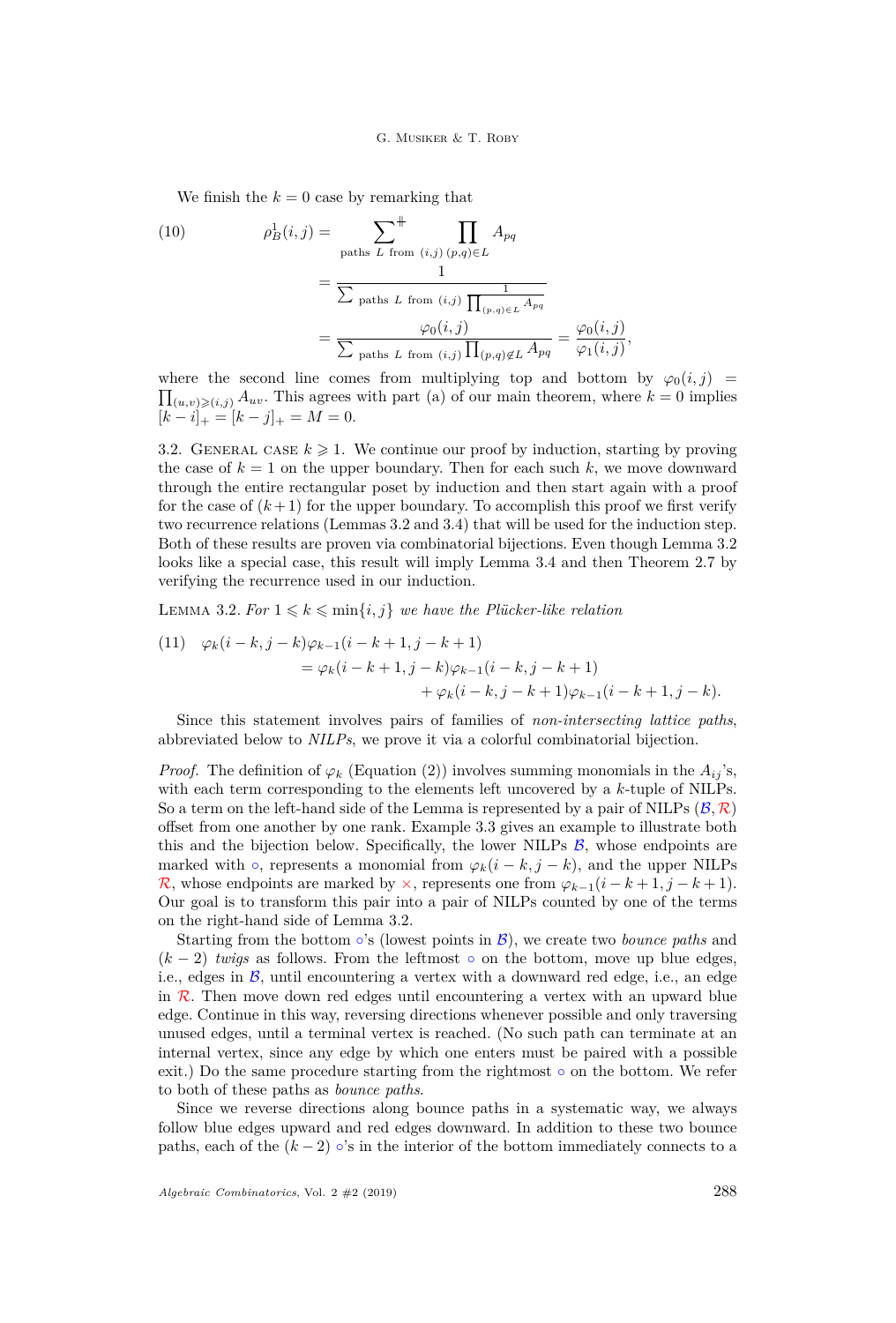#### G. MUSIKER & T. ROBY

<span id="page-14-1"></span>We finish the  $k = 0$  case by remarking that

(10) 
$$
\rho_B^1(i,j) = \sum_{\text{paths } L \text{ from } (i,j)} \prod_{(p,q)\in L} A_{pq}
$$

$$
= \frac{1}{\sum_{\text{paths } L \text{ from } (i,j)} \prod_{(p,q)\in L} A_{pq}}
$$

$$
= \frac{\varphi_0(i,j)}{\sum_{\text{paths } L \text{ from } (i,j)} \prod_{(p,q)\notin L} A_{pq}} = \frac{\varphi_0(i,j)}{\varphi_1(i,j)}
$$

 $\prod_{(u,v)\geqslant (i,j)} A_{uv}$ . This agrees with part [\(a\)](#page-7-1) of our main theorem, where  $k=0$  implies where the second line comes from multiplying top and bottom by  $\varphi_0(i,j)$  $[k-i]_+ = [k-j]_+ = M = 0.$ 

*,*

3.2. GENERAL CASE  $k \geq 1$ . We continue our proof by induction, starting by proving the case of  $k = 1$  on the upper boundary. Then for each such k, we move downward through the entire rectangular poset by induction and then start again with a proof for the case of  $(k+1)$  for the upper boundary. To accomplish this proof we first verify two recurrence relations (Lemmas [3.2](#page-14-0) and [3.4\)](#page-18-0) that will be used for the induction step. Both of these results are proven via combinatorial bijections. Even though Lemma [3.2](#page-14-0) looks like a special case, this result will imply Lemma [3.4](#page-18-0) and then Theorem [2.7](#page-7-0) by verifying the recurrence used in our induction.

<span id="page-14-0"></span>LEMMA 3.2. For  $1 \leq k \leq \min\{i, j\}$  we have the Plücker-like relation

<span id="page-14-2"></span>(11) 
$$
\varphi_k(i-k,j-k)\varphi_{k-1}(i-k+1,j-k+1) = \varphi_k(i-k+1,j-k)\varphi_{k-1}(i-k,j-k+1) + \varphi_k(i-k,j-k+1)\varphi_{k-1}(i-k+1,j-k).
$$

Since this statement involves pairs of families of *non-intersecting lattice paths*, abbreviated below to *NILPs*, we prove it via a colorful combinatorial bijection.

*Proof.* The definition of  $\varphi_k$  (Equation [\(2\)](#page-6-4)) involves summing monomials in the  $A_{ij}$ 's, with each term corresponding to the elements left uncovered by a *k*-tuple of NILPs. So a term on the left-hand side of the Lemma is represented by a pair of NILPs  $(\mathcal{B}, \mathcal{R})$ offset from one another by one rank. Example [3.3](#page-16-0) gives an example to illustrate both this and the bijection below. Specifically, the lower NILPs  $\beta$ , whose endpoints are marked with  $\circ$ , represents a monomial from  $\varphi_k(i - k, j - k)$ , and the upper NILPs R, whose endpoints are marked by  $\times$ , represents one from  $\varphi_{k-1}(i - k + 1, j - k + 1)$ . Our goal is to transform this pair into a pair of NILPs counted by one of the terms on the right-hand side of Lemma [3.2.](#page-14-0)

Starting from the bottom  $\circ$ 's (lowest points in  $\mathcal{B}$ ), we create two *bounce paths* and  $(k-2)$  *twigs* as follows. From the leftmost  $\circ$  on the bottom, move up blue edges, i.e., edges in  $\beta$ , until encountering a vertex with a downward red edge, i.e., an edge in  $\mathcal{R}$ . Then move down red edges until encountering a vertex with an upward blue edge. Continue in this way, reversing directions whenever possible and only traversing unused edges, until a terminal vertex is reached. (No such path can terminate at an internal vertex, since any edge by which one enters must be paired with a possible exit.) Do the same procedure starting from the rightmost  $\circ$  on the bottom. We refer to both of these paths as *bounce paths*.

Since we reverse directions along bounce paths in a systematic way, we always follow blue edges upward and red edges downward. In addition to these two bounce paths, each of the  $(k-2)$  ∘'s in the interior of the bottom immediately connects to a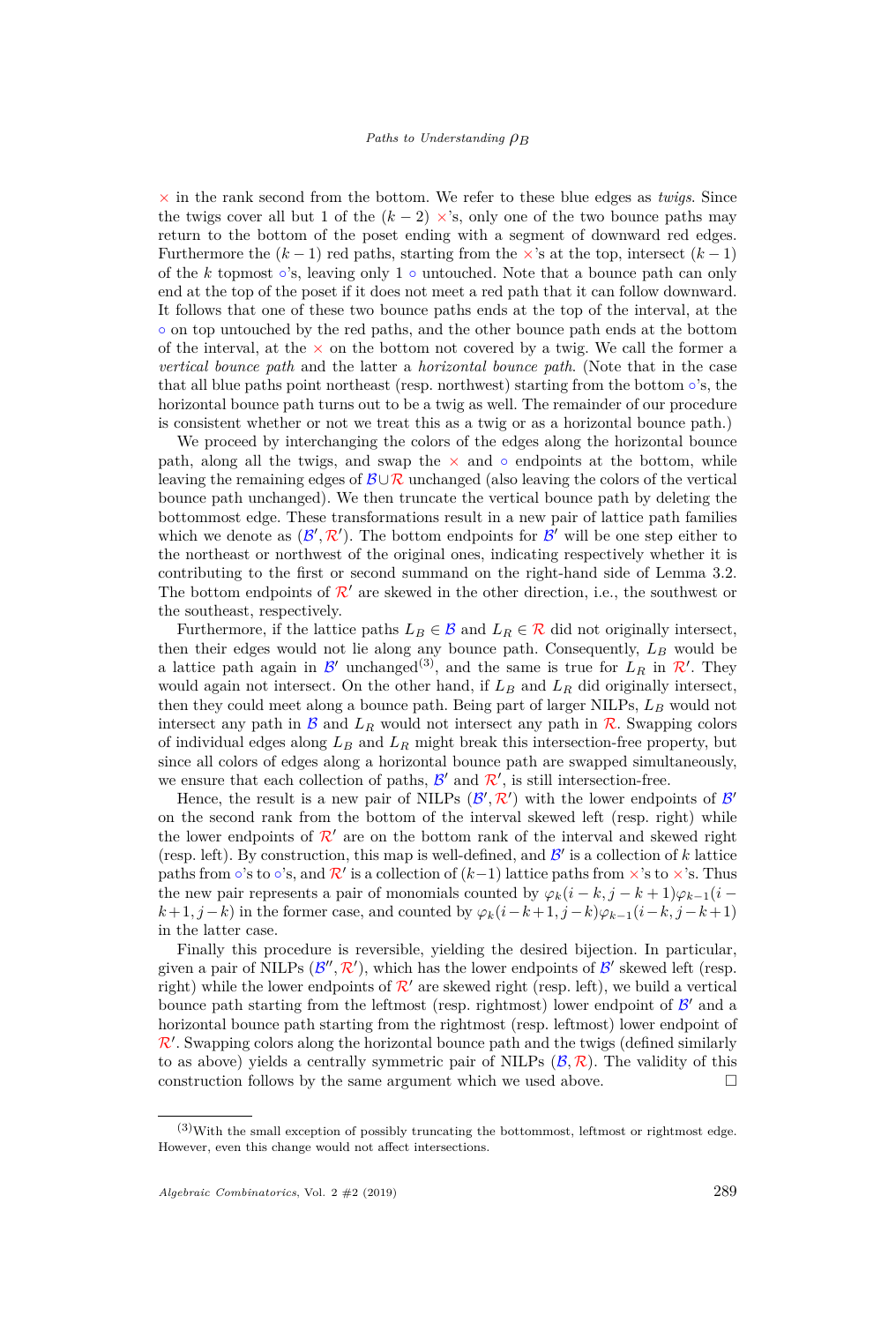$\times$  in the rank second from the bottom. We refer to these blue edges as *twigs*. Since the twigs cover all but 1 of the  $(k-2) \times s$ , only one of the two bounce paths may return to the bottom of the poset ending with a segment of downward red edges. Furthermore the  $(k-1)$  red paths, starting from the  $\times$ 's at the top, intersect  $(k-1)$ of the *k* topmost ∘'s, leaving only 1 ∘ untouched. Note that a bounce path can only end at the top of the poset if it does not meet a red path that it can follow downward. It follows that one of these two bounce paths ends at the top of the interval, at the ◦ on top untouched by the red paths, and the other bounce path ends at the bottom of the interval, at the  $\times$  on the bottom not covered by a twig. We call the former a *vertical bounce path* and the latter a *horizontal bounce path*. (Note that in the case that all blue paths point northeast (resp. northwest) starting from the bottom  $\circ$ 's, the horizontal bounce path turns out to be a twig as well. The remainder of our procedure is consistent whether or not we treat this as a twig or as a horizontal bounce path.)

We proceed by interchanging the colors of the edges along the horizontal bounce path, along all the twigs, and swap the  $\times$  and  $\circ$  endpoints at the bottom, while leaving the remaining edges of  $\mathcal{B}\cup\mathcal{R}$  unchanged (also leaving the colors of the vertical bounce path unchanged). We then truncate the vertical bounce path by deleting the bottommost edge. These transformations result in a new pair of lattice path families which we denote as  $(\mathcal{B}', \mathcal{R}')$ . The bottom endpoints for  $\mathcal{B}'$  will be one step either to the northeast or northwest of the original ones, indicating respectively whether it is contributing to the first or second summand on the right-hand side of Lemma [3.2.](#page-14-0) The bottom endpoints of  $\mathcal{R}'$  are skewed in the other direction, i.e., the southwest or the southeast, respectively.

Furthermore, if the lattice paths  $L_B \in \mathcal{B}$  and  $L_R \in \mathcal{R}$  did not originally intersect, then their edges would not lie along any bounce path. Consequently, *L<sup>B</sup>* would be a lattice path again in  $\mathcal{B}'$  unchanged<sup>(3)</sup>, and the same is true for  $L_R$  in  $\mathcal{R}'$ . They would again not intersect. On the other hand, if  $L_B$  and  $L_R$  did originally intersect, then they could meet along a bounce path. Being part of larger NILPs, *L<sup>B</sup>* would not intersect any path in  $\mathcal{B}$  and  $L_R$  would not intersect any path in  $\mathcal{R}$ . Swapping colors of individual edges along *L<sup>B</sup>* and *L<sup>R</sup>* might break this intersection-free property, but since all colors of edges along a horizontal bounce path are swapped simultaneously, we ensure that each collection of paths,  $\mathcal{B}'$  and  $\mathcal{R}'$ , is still intersection-free.

Hence, the result is a new pair of NILPs  $(\mathcal{B}', \mathcal{R}')$  with the lower endpoints of  $\mathcal{B}'$ on the second rank from the bottom of the interval skewed left (resp. right) while the lower endpoints of  $\mathcal{R}'$  are on the bottom rank of the interval and skewed right (resp. left). By construction, this map is well-defined, and  $\mathcal{B}'$  is a collection of  $k$  lattice paths from ∘'s to ∘'s, and  $\mathcal{R}'$  is a collection of  $(k-1)$  lattice paths from ×'s to ×'s. Thus the new pair represents a pair of monomials counted by  $\varphi_k(i - k, j - k + 1)\varphi_{k-1}(i$ *k*+1*, j*−*k*) in the former case, and counted by  $\varphi_k(i-k+1,j-k)\varphi_{k-1}(i-k,j-k+1)$ in the latter case.

Finally this procedure is reversible, yielding the desired bijection. In particular, given a pair of NILPs  $(\mathcal{B}'', \mathcal{R}')$ , which has the lower endpoints of  $\mathcal{B}'$  skewed left (resp. right) while the lower endpoints of  $\mathcal{R}'$  are skewed right (resp. left), we build a vertical bounce path starting from the leftmost (resp. rightmost) lower endpoint of  $\mathcal{B}'$  and a horizontal bounce path starting from the rightmost (resp. leftmost) lower endpoint of  $\mathcal{R}'$ . Swapping colors along the horizontal bounce path and the twigs (defined similarly to as above) yields a centrally symmetric pair of NILPs  $(\mathcal{B}, \mathcal{R})$ . The validity of this construction follows by the same argument which we used above.  $\Box$ 

 $(3)$ With the small exception of possibly truncating the bottommost, leftmost or rightmost edge. However, even this change would not affect intersections.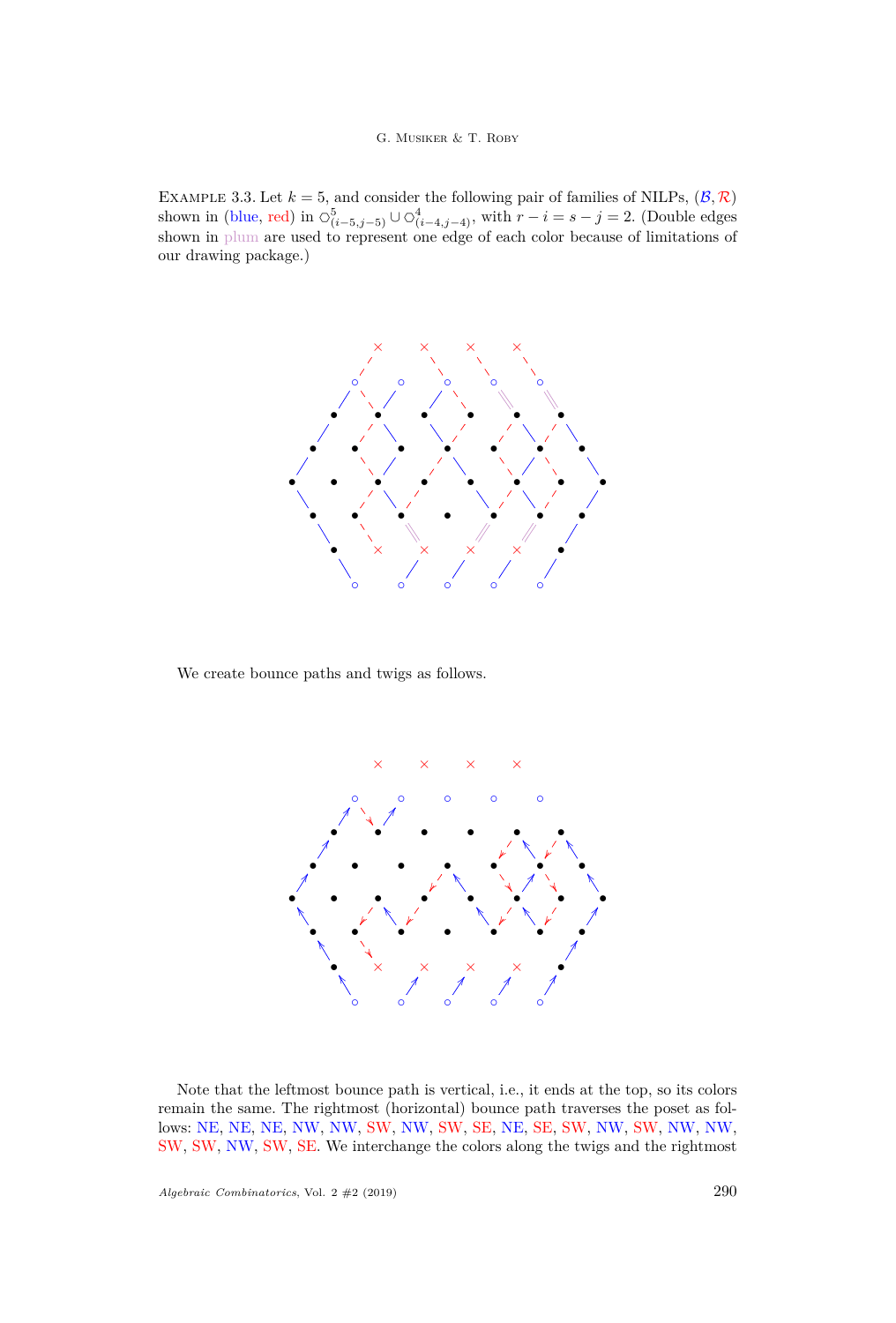#### G. Musiker & T. Roby

<span id="page-16-0"></span>EXAMPLE 3.3. Let  $k = 5$ , and consider the following pair of families of NILPs,  $(\mathcal{B}, \mathcal{R})$ shown in (blue, red) in  $\circlearrowleft_{(i-5,j-5)}^5 \cup \circlearrowleft_{(i-4,j-4)}^4$ , with  $r - i = s - j = 2$ . (Double edges shown in plum are used to represent one edge of each color because of limitations of our drawing package.)



We create bounce paths and twigs as follows.



Note that the leftmost bounce path is vertical, i.e., it ends at the top, so its colors remain the same. The rightmost (horizontal) bounce path traverses the poset as follows: NE, NE, NE, NW, NW, SW, NW, SW, SE, NE, SE, SW, NW, SW, NW, NW, SW, SW, NW, SW, SE. We interchange the colors along the twigs and the rightmost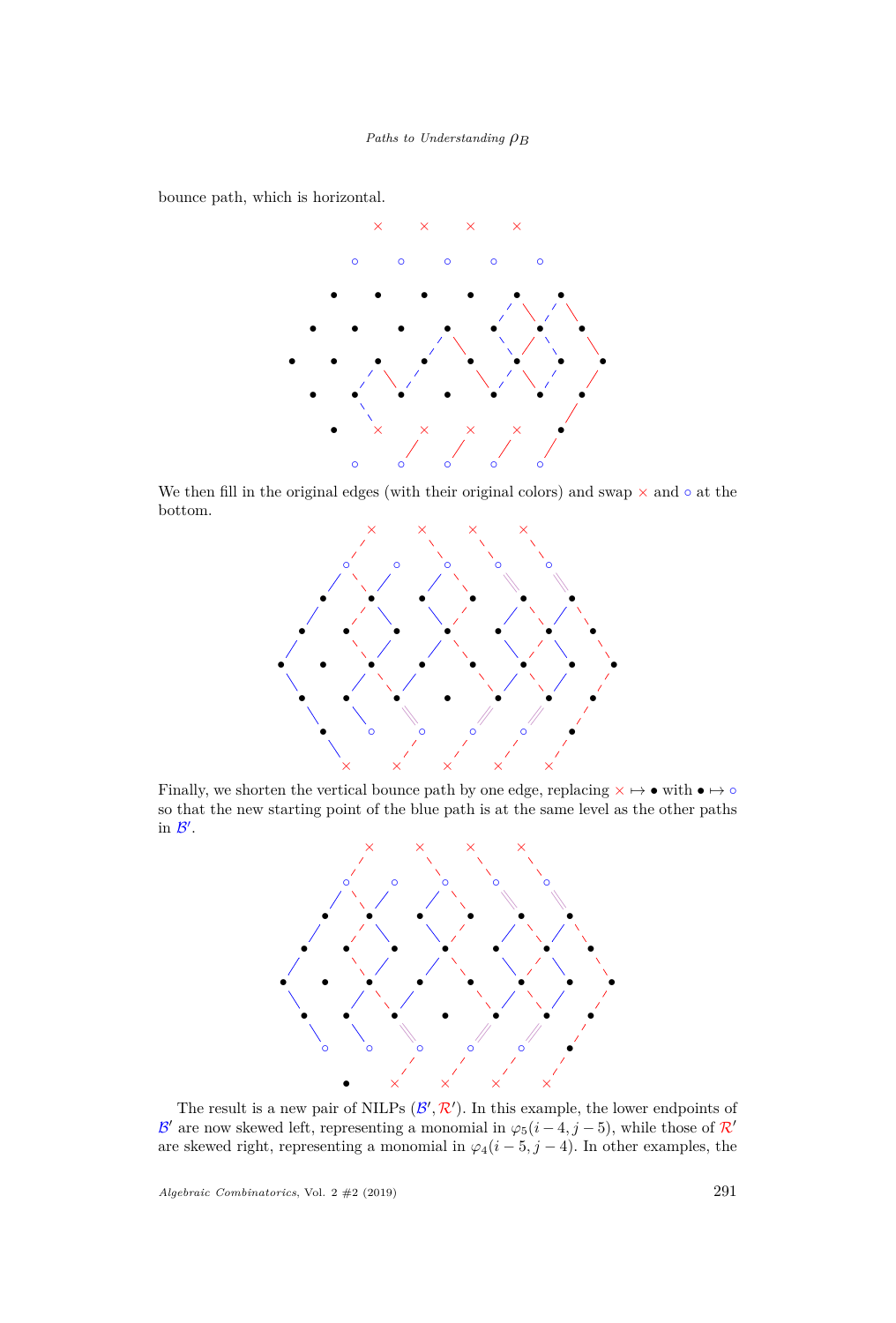*Paths to Understanding ρ<sup>B</sup>*

bounce path, which is horizontal.



We then fill in the original edges (with their original colors) and swap  $\times$  and  $\circ$  at the bottom.



Finally, we shorten the vertical bounce path by one edge, replacing  $\times \mapsto \bullet$  with  $\bullet \mapsto \circ$ so that the new starting point of the blue path is at the same level as the other paths in  $\mathcal{B}'$ .



The result is a new pair of NILPs  $(\mathcal{B}', \mathcal{R}')$ . In this example, the lower endpoints of B' are now skewed left, representing a monomial in  $\varphi_5(i-4, j-5)$ , while those of R' are skewed right, representing a monomial in  $\varphi_4(i-5,j-4)$ . In other examples, the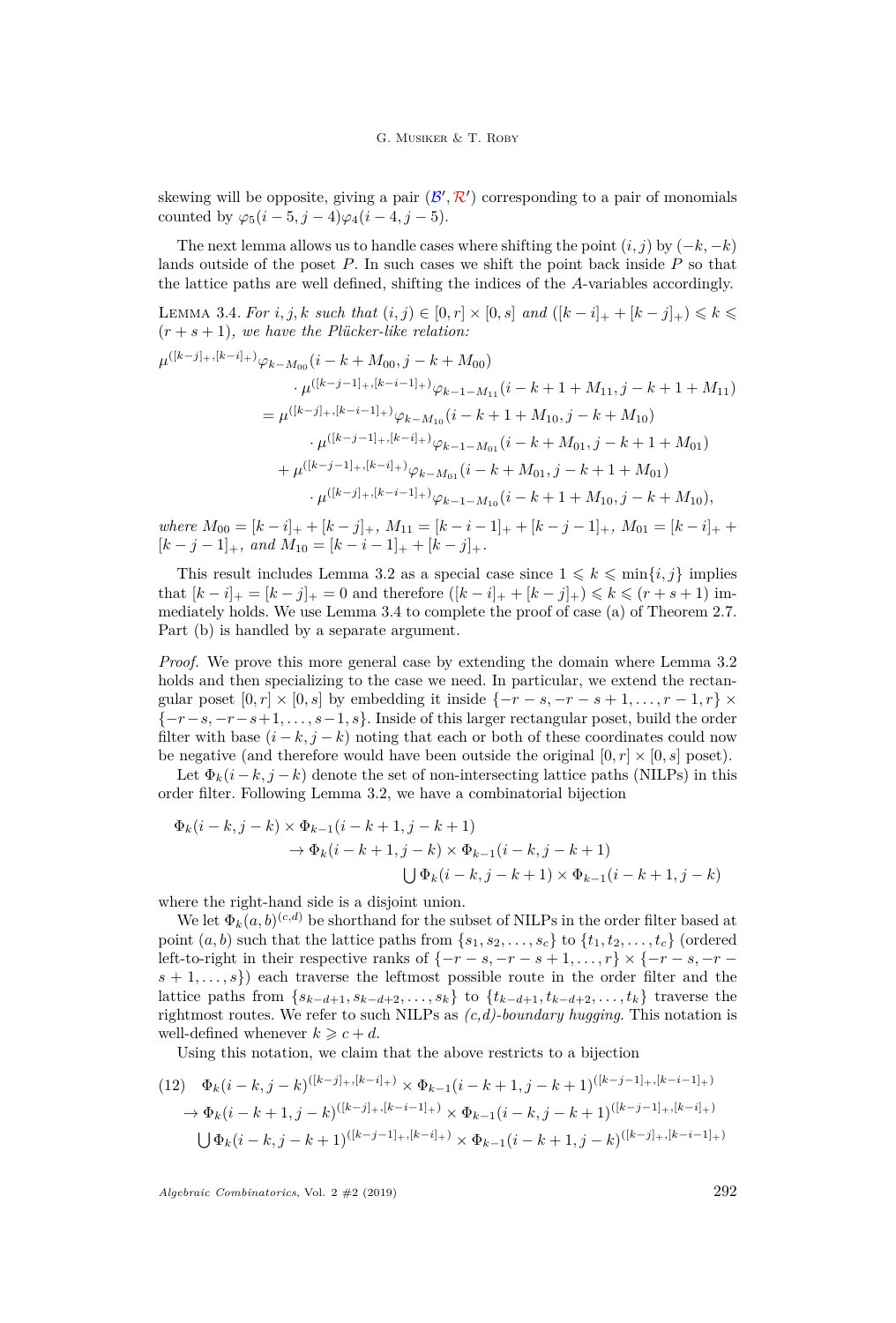#### G. MUSIKER & T. ROBY

skewing will be opposite, giving a pair  $(\mathcal{B}', \mathcal{R}')$  corresponding to a pair of monomials counted by  $\varphi_5(i-5, j-4)\varphi_4(i-4, j-5)$ .

The next lemma allows us to handle cases where shifting the point  $(i, j)$  by  $(-k, -k)$ lands outside of the poset *P*. In such cases we shift the point back inside *P* so that the lattice paths are well defined, shifting the indices of the *A*-variables accordingly.

<span id="page-18-0"></span>LEMMA 3.4. *For i*, *j*, *k such that*  $(i, j) \in [0, r] \times [0, s]$  *and*  $([k - i]_+ + [k - j]_+) \leq k$  $(r + s + 1)$ *, we have the Plücker-like relation:* 

$$
\mu^{([k-j]_+,[k-i]_+)} \varphi_{k-M_{00}}(i-k+M_{00},j-k+M_{00})
$$
\n
$$
\cdot \mu^{([k-j-1]_+,[k-i-1]_+)} \varphi_{k-1-M_{11}}(i-k+1+M_{11},j-k+1+M_{11})
$$
\n
$$
= \mu^{([k-j]_+,[k-i-1]_+)} \varphi_{k-M_{10}}(i-k+1+M_{10},j-k+M_{10})
$$
\n
$$
\cdot \mu^{([k-j-1]_+,[k-i]_+)} \varphi_{k-1-M_{01}}(i-k+M_{01},j-k+1+M_{01})
$$
\n
$$
+ \mu^{([k-j-1]_+,[k-i]_+)} \varphi_{k-M_{01}}(i-k+M_{01},j-k+1+M_{01})
$$
\n
$$
\cdot \mu^{([k-j]_+,[k-i-1]_+)} \varphi_{k-1-M_{10}}(i-k+1+M_{10},j-k+M_{10}),
$$

 $where M_{00} = [k - i]_{+} + [k - j]_{+}, M_{11} = [k - i - 1]_{+} + [k - j - 1]_{+}, M_{01} = [k - i]_{+} +$  $[k - j - 1]_+$ *, and*  $M_{10} = [k - i - 1]_+ + [k - j]_+$ *.* 

This result includes Lemma [3.2](#page-14-0) as a special case since  $1 \leq k \leq \min\{i, j\}$  implies that  $[k - i]_+ = [k - j]_+ = 0$  and therefore  $([k - i]_+ + [k - j]_+) \leq k \leq (r + s + 1)$  immediately holds. We use Lemma [3.4](#page-18-0) to complete the proof of case [\(a\)](#page-7-1) of Theorem [2.7.](#page-7-0) Part [\(b\)](#page-7-2) is handled by a separate argument.

*Proof.* We prove this more general case by extending the domain where Lemma [3.2](#page-14-0) holds and then specializing to the case we need. In particular, we extend the rectangular poset  $[0, r] \times [0, s]$  by embedding it inside  $\{-r - s, -r - s + 1, \ldots, r - 1, r\} \times$ {−*r*−*s,* −*r*−*s*+1*, . . . , s*−1*, s*}. Inside of this larger rectangular poset, build the order filter with base  $(i - k, j - k)$  noting that each or both of these coordinates could now be negative (and therefore would have been outside the original  $[0, r] \times [0, s]$  poset).

Let  $\Phi_k(i-k,j-k)$  denote the set of non-intersecting lattice paths (NILPs) in this order filter. Following Lemma [3.2,](#page-14-0) we have a combinatorial bijection

$$
\Phi_k(i-k,j-k) \times \Phi_{k-1}(i-k+1,j-k+1) \n\to \Phi_k(i-k+1,j-k) \times \Phi_{k-1}(i-k,j-k+1) \n\bigcup \Phi_k(i-k,j-k+1) \times \Phi_{k-1}(i-k+1,j-k)
$$

where the right-hand side is a disjoint union.

We let  $\Phi_k(a, b)^{(c,d)}$  be shorthand for the subset of NILPs in the order filter based at point  $(a, b)$  such that the lattice paths from  $\{s_1, s_2, \ldots, s_c\}$  to  $\{t_1, t_2, \ldots, t_c\}$  (ordered left-to-right in their respective ranks of  $\{-r - s, -r - s + 1, \ldots, r\} \times \{-r - s, -r - s\}$  $s + 1, \ldots, s$  each traverse the leftmost possible route in the order filter and the lattice paths from { $s_{k-d+1}, s_{k-d+2}, \ldots, s_k$ } to { $t_{k-d+1}, t_{k-d+2}, \ldots, t_k$ } traverse the rightmost routes. We refer to such NILPs as *(c,d)-boundary hugging*. This notation is well-defined whenever  $k \geqslant c + d$ .

Using this notation, we claim that the above restricts to a bijection

<span id="page-18-1"></span>
$$
(12) \quad \Phi_k(i-k,j-k)^{([k-j]_+,[k-i]_+)} \times \Phi_{k-1}(i-k+1,j-k+1)^{([k-j-1]_+,[k-i-1]_+)} \n\to \Phi_k(i-k+1,j-k)^{([k-j]_+,[k-i-1]_+)} \times \Phi_{k-1}(i-k,j-k+1)^{([k-j-1]_+,[k-i]_+)} \n\bigcup \Phi_k(i-k,j-k+1)^{([k-j-1]_+,[k-i]_+)} \times \Phi_{k-1}(i-k+1,j-k)^{([k-j]_+,[k-i-1]_+)}
$$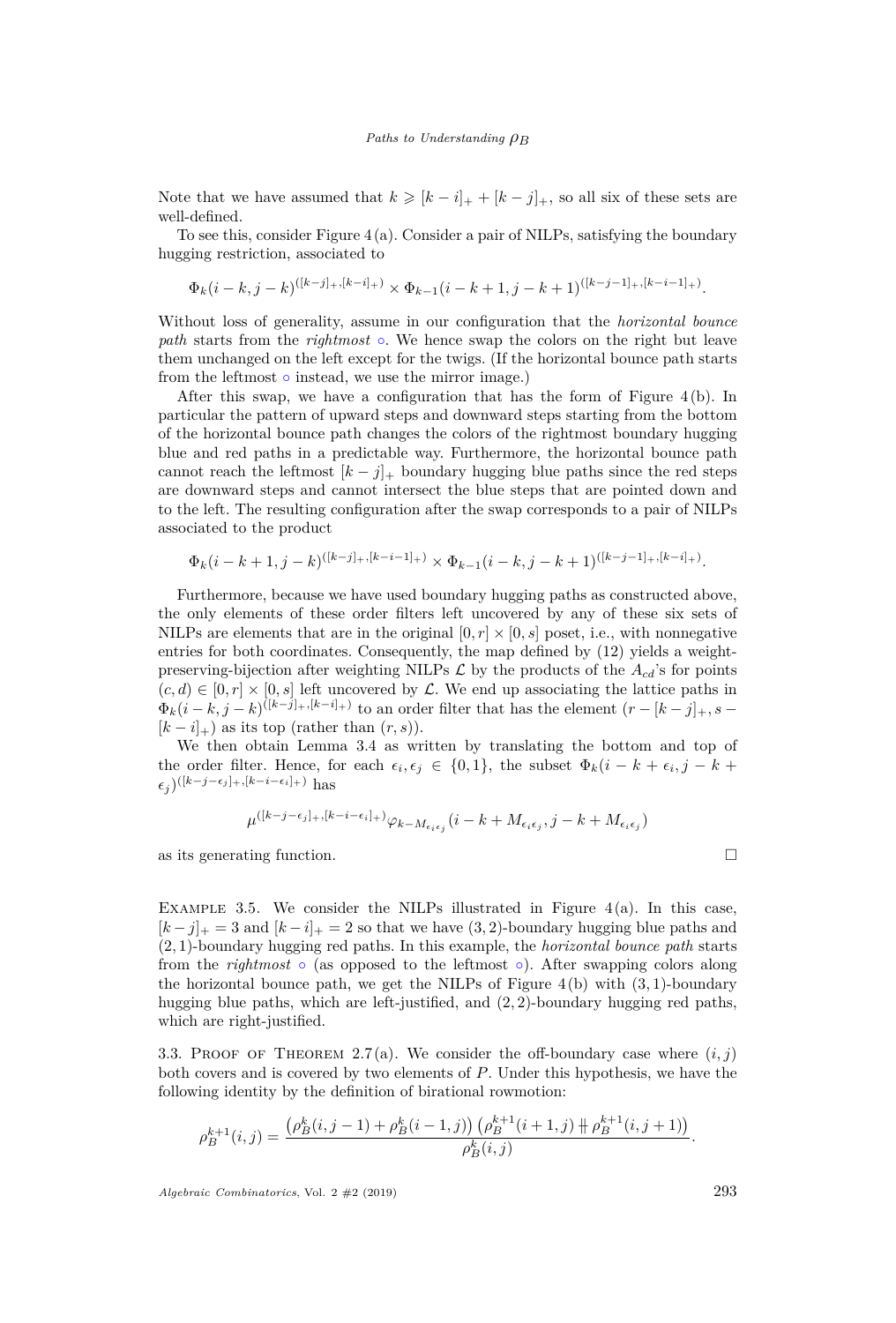Note that we have assumed that  $k \geqslant [k - i]_+ + [k - j]_+$ , so all six of these sets are well-defined.

To see this, consider Figure  $4(a)$  $4(a)$ . Consider a pair of NILPs, satisfying the boundary hugging restriction, associated to

$$
\Phi_k(i-k,j-k)^{([k-j]_+, [k-i]_+)} \times \Phi_{k-1}(i-k+1,j-k+1)^{([k-j-1]_+, [k-i-1]_+)}.
$$

Without loss of generality, assume in our configuration that the *horizontal bounce path* starts from the *rightmost*  $\circ$ . We hence swap the colors on the right but leave them unchanged on the left except for the twigs. (If the horizontal bounce path starts from the leftmost  $\circ$  instead, we use the mirror image.)

After this swap, we have a configuration that has the form of Figure [4\(](#page-20-0)b). In particular the pattern of upward steps and downward steps starting from the bottom of the horizontal bounce path changes the colors of the rightmost boundary hugging blue and red paths in a predictable way. Furthermore, the horizontal bounce path cannot reach the leftmost  $[k-j]_+$  boundary hugging blue paths since the red steps are downward steps and cannot intersect the blue steps that are pointed down and to the left. The resulting configuration after the swap corresponds to a pair of NILPs associated to the product

$$
\Phi_k(i-k+1,j-k)^{([k-j]_+, [k-i-1]_+)} \times \Phi_{k-1}(i-k,j-k+1)^{([k-j-1]_+, [k-i]_+)}
$$

Furthermore, because we have used boundary hugging paths as constructed above, the only elements of these order filters left uncovered by any of these six sets of NILPs are elements that are in the original  $[0, r] \times [0, s]$  poset, i.e., with nonnegative entries for both coordinates. Consequently, the map defined by [\(12\)](#page-18-1) yields a weightpreserving-bijection after weighting NILPs  $\mathcal L$  by the products of the  $A_{cd}$ 's for points  $(c, d) \in [0, r] \times [0, s]$  left uncovered by  $\mathcal{L}$ . We end up associating the lattice paths in  $\Phi_k(i-k,j-k)^{([k-j]_+, [k-i]_+)}$  to an order filter that has the element  $(r-[k-j]_+, s-j]$  $[k - i]_{+}$  as its top (rather than  $(r, s)$ ).

We then obtain Lemma [3.4](#page-18-0) as written by translating the bottom and top of the order filter. Hence, for each  $\epsilon_i, \epsilon_j \in \{0, 1\}$ , the subset  $\Phi_k(i - k + \epsilon_i, j - k + \epsilon_j)$  $(\epsilon_j)^{([k-j-\epsilon_j]_+, [k-i-\epsilon_i]_+)}$  has

$$
\mu^{([k-j-\epsilon_j]_+, [k-i-\epsilon_i]_+)} \varphi_{k-M_{\epsilon_i\epsilon_j}}(i-k+M_{\epsilon_i\epsilon_j}, j-k+M_{\epsilon_i\epsilon_j})
$$

as its generating function.  $\Box$ 

*.*

EXAMPLE 3.5. We consider the NILPs illustrated in Figure  $4(a)$  $4(a)$ . In this case,  $[k-j]_+ = 3$  and  $[k-i]_+ = 2$  so that we have  $(3, 2)$ -boundary hugging blue paths and (2*,* 1)-boundary hugging red paths. In this example, the *horizontal bounce path* starts from the *rightmost* ◦ (as opposed to the leftmost ◦). After swapping colors along the horizontal bounce path, we get the NILPs of Figure [4](#page-20-0)(b) with (3*,* 1)-boundary hugging blue paths, which are left-justified, and (2*,* 2)-boundary hugging red paths, which are right-justified.

3.3. PROOF OF THEOREM [2.7](#page-7-0)[\(a\)](#page-7-1). We consider the off-boundary case where  $(i, j)$ both covers and is covered by two elements of *P*. Under this hypothesis, we have the following identity by the definition of birational rowmotion:

$$
\rho_B^{k+1}(i,j) = \frac{\left(\rho_B^k(i,j-1) + \rho_B^k(i-1,j)\right)\left(\rho_B^{k+1}(i+1,j) + \rho_B^{k+1}(i,j+1)\right)}{\rho_B^k(i,j)}.
$$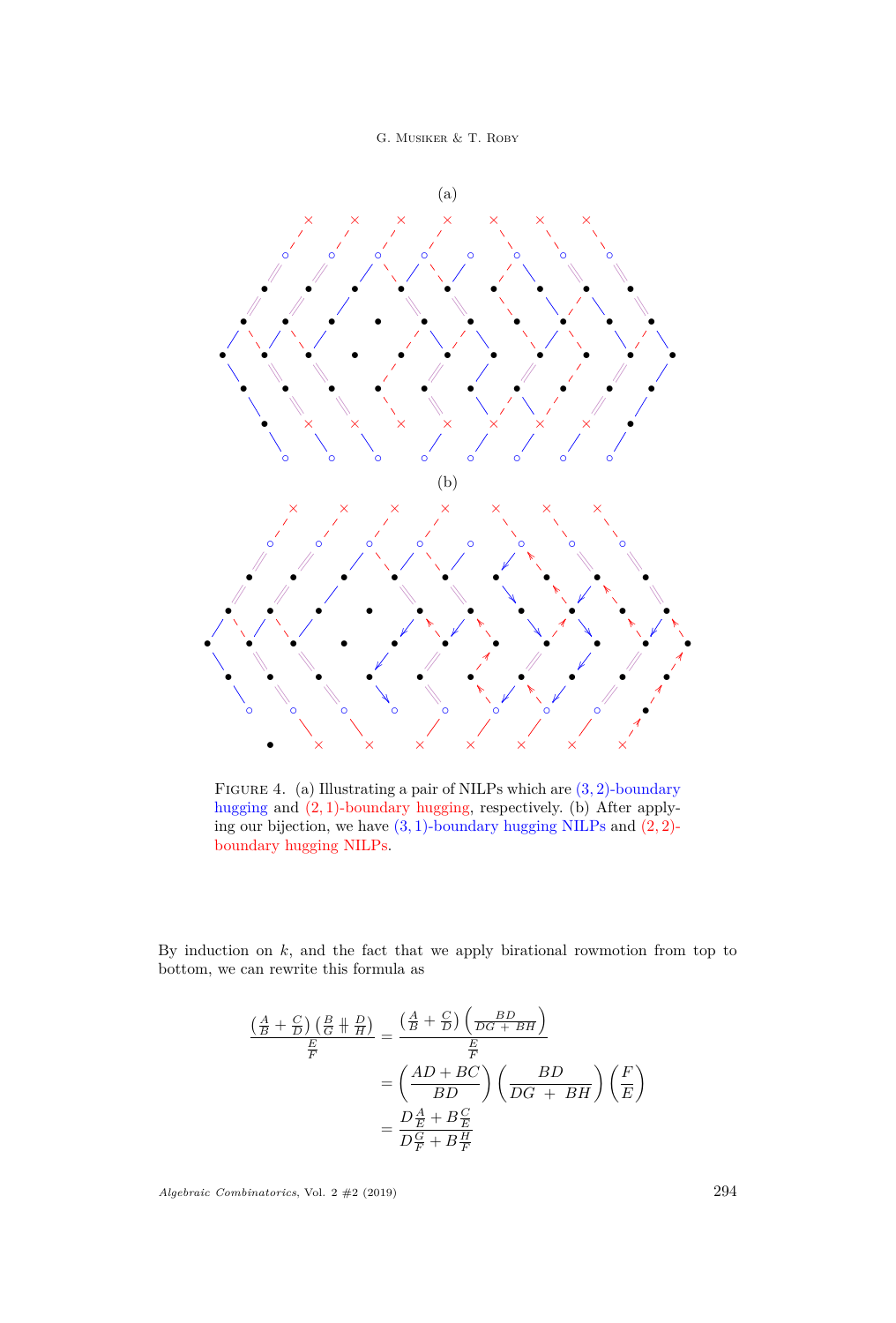

<span id="page-20-0"></span>

Figure 4. (a) Illustrating a pair of NILPs which are (3*,* 2)-boundary hugging and (2*,* 1)-boundary hugging, respectively. (b) After applying our bijection, we have (3*,* 1)-boundary hugging NILPs and (2*,* 2) boundary hugging NILPs.

By induction on *k*, and the fact that we apply birational rowmotion from top to bottom, we can rewrite this formula as

$$
\frac{\left(\frac{A}{B} + \frac{C}{D}\right)\left(\frac{B}{G} + \frac{D}{H}\right)}{\frac{E}{F}} = \frac{\left(\frac{A}{B} + \frac{C}{D}\right)\left(\frac{BD}{DG + BH}\right)}{\frac{E}{F}}
$$
\n
$$
= \left(\frac{AD + BC}{BD}\right)\left(\frac{BD}{DG + BH}\right)\left(\frac{F}{E}\right)
$$
\n
$$
= \frac{D\frac{A}{E} + B\frac{C}{E}}{D\frac{C}{F} + B\frac{H}{F}}
$$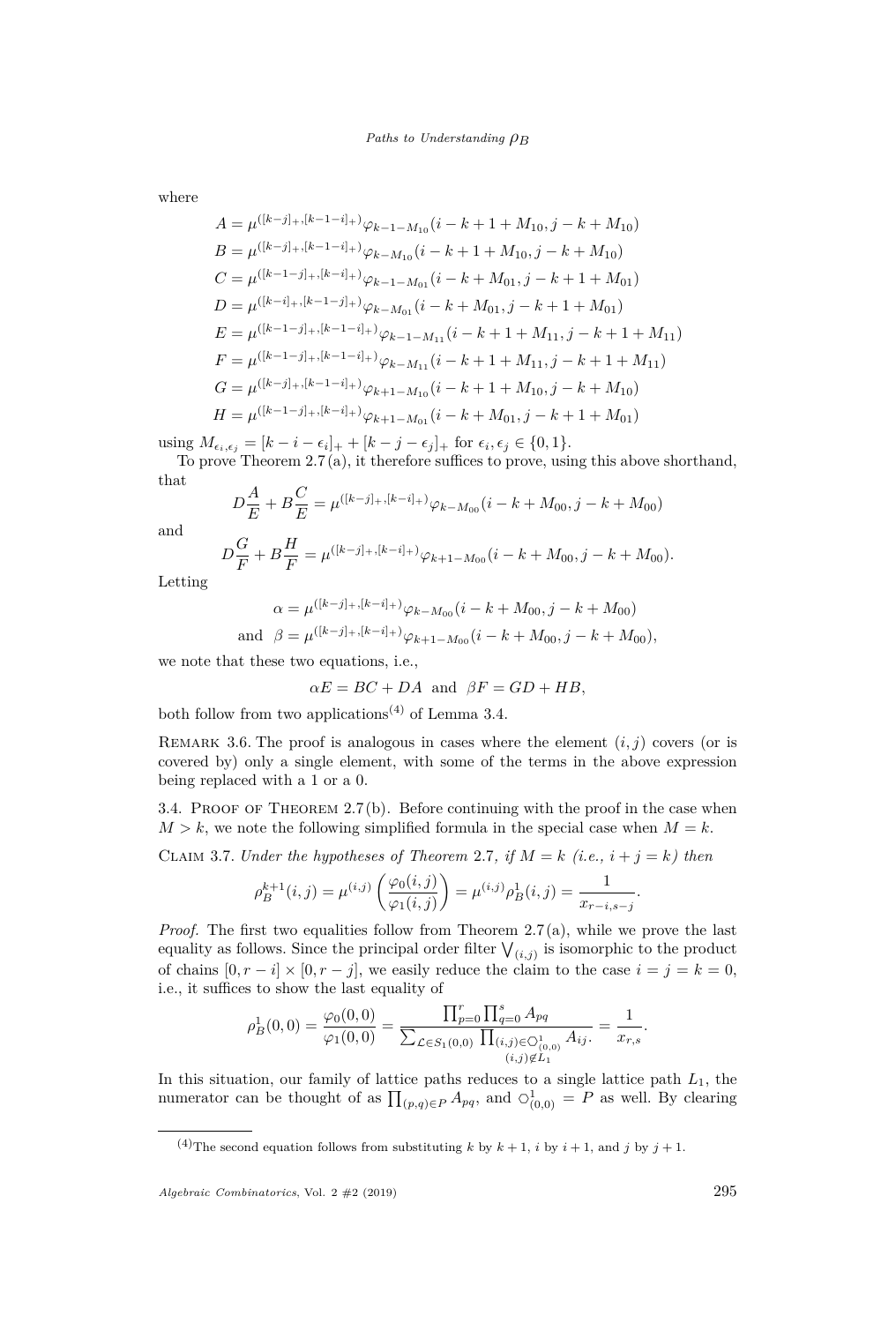where

$$
A = \mu^{([k-j]_+,[k-1-i]_+)} \varphi_{k-1-M_{10}}(i-k+1+M_{10}, j-k+M_{10})
$$
  
\n
$$
B = \mu^{([k-j]_+,[k-1-i]_+)} \varphi_{k-M_{10}}(i-k+1+M_{10}, j-k+M_{10})
$$
  
\n
$$
C = \mu^{([k-1-j]_+,[k-i]_+)} \varphi_{k-1-M_{01}}(i-k+M_{01}, j-k+1+M_{01})
$$
  
\n
$$
D = \mu^{([k-i]_+,[k-1-j]_+)} \varphi_{k-M_{01}}(i-k+M_{01}, j-k+1+M_{01})
$$
  
\n
$$
E = \mu^{([k-1-j]_+,[k-1-i]_+)} \varphi_{k-M_{11}}(i-k+1+M_{11}, j-k+1+M_{11})
$$
  
\n
$$
F = \mu^{([k-1-j]_+,[k-1-i]_+)} \varphi_{k-M_{11}}(i-k+1+M_{11}, j-k+1+M_{11})
$$
  
\n
$$
G = \mu^{([k-j]_+,[k-1-i]_+)} \varphi_{k+1-M_{10}}(i-k+1+M_{10}, j-k+M_{10})
$$
  
\n
$$
H = \mu^{([k-1-j]_+,[k-i]_+)} \varphi_{k+1-M_{01}}(i-k+M_{01}, j-k+1+M_{01})
$$

using  $M_{\epsilon_i, \epsilon_j} = [k - i - \epsilon_i]_+ + [k - j - \epsilon_j]_+$  for  $\epsilon_i, \epsilon_j \in \{0, 1\}.$ 

To prove Theorem [2.7](#page-7-0)[\(a\),](#page-7-1) it therefore suffices to prove, using this above shorthand, that

$$
D\frac{A}{E} + B\frac{C}{E} = \mu^{([k-j]_+, [k-i]_+)}\varphi_{k-M_{00}}(i-k+M_{00}, j-k+M_{00})
$$

and

$$
D\frac{G}{F} + B\frac{H}{F} = \mu^{([k-j]_+, [k-i]_+)} \varphi_{k+1-M_{00}}(i-k+M_{00}, j-k+M_{00}).
$$

Letting

$$
\alpha = \mu^{([k-j]_+,[k-i]_+)} \varphi_{k-M_{00}}(i-k+M_{00},j-k+M_{00})
$$
  
and 
$$
\beta = \mu^{([k-j]_+,[k-i]_+)} \varphi_{k+1-M_{00}}(i-k+M_{00},j-k+M_{00}),
$$

we note that these two equations, i.e.,

$$
\alpha E = BC + DA
$$
 and  $\beta F = GD + HB$ ,

both follow from two applications<sup>(4)</sup> of Lemma [3.4.](#page-18-0)

REMARK 3.6. The proof is analogous in cases where the element  $(i, j)$  covers (or is covered by) only a single element, with some of the terms in the above expression being replaced with a 1 or a 0.

3.4. PROOF OF THEOREM  $2.7(b)$  $2.7(b)$ . Before continuing with the proof in the case when  $M > k$ , we note the following simplified formula in the special case when  $M = k$ .

<span id="page-21-0"></span>CLAIM 3.7. *Under the hypotheses of Theorem [2.7](#page-7-0), if*  $M = k$  *(i.e.,*  $i + j = k$ *) then* 

$$
\rho_B^{k+1}(i,j) = \mu^{(i,j)}\left(\frac{\varphi_0(i,j)}{\varphi_1(i,j)}\right) = \mu^{(i,j)}\rho_B^1(i,j) = \frac{1}{x_{r-i,s-j}}.
$$

*Proof.* The first two equalities follow from Theorem [2.7](#page-7-0)[\(a\),](#page-7-1) while we prove the last equality as follows. Since the principal order filter  $\bigvee_{(i,j)}$  is isomorphic to the product of chains  $[0, r - i] \times [0, r - j]$ , we easily reduce the claim to the case  $i = j = k = 0$ , i.e., it suffices to show the last equality of

$$
\rho_B^1(0,0) = \frac{\varphi_0(0,0)}{\varphi_1(0,0)} = \frac{\prod_{p=0}^r \prod_{q=0}^s A_{pq}}{\sum_{\mathcal{L} \in S_1(0,0)} \prod_{\substack{(i,j) \in \mathcal{O}_{(0,0)}^1 \\ (i,j) \notin L_1}} A_{ij}} = \frac{1}{x_{r,s}}
$$

In this situation, our family of lattice paths reduces to a single lattice path *L*1, the numerator can be thought of as  $\prod_{(p,q)\in P} A_{pq}$ , and  $\bigcirc_{(0,0)}^1 = P$  as well. By clearing

<sup>(4)</sup>The second equation follows from substituting *k* by  $k + 1$ , *i* by  $i + 1$ , and *j* by  $j + 1$ .

*Algebraic Combinatorics*, Vol. 2 #2 (2019) 295

*.*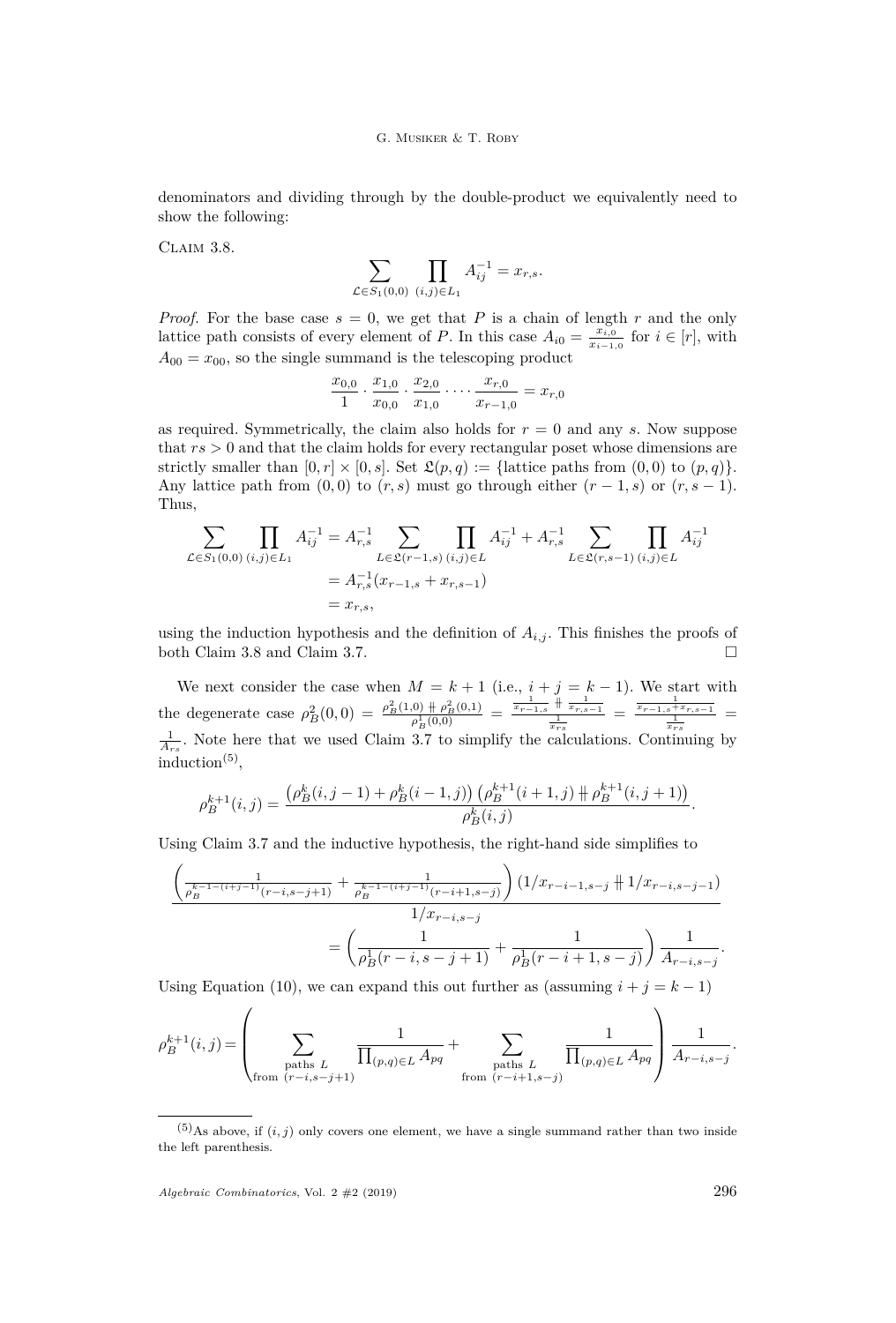denominators and dividing through by the double-product we equivalently need to show the following:

<span id="page-22-0"></span>CLAIM 3.8.

$$
\sum_{\mathcal{L}\in S_1(0,0)} \prod_{(i,j)\in L_1} A_{ij}^{-1} = x_{r,s}.
$$

*Proof.* For the base case  $s = 0$ , we get that *P* is a chain of length *r* and the only lattice path consists of every element of *P*. In this case  $A_{i0} = \frac{x_{i,0}}{x_{i,1}}$  $\frac{x_{i,0}}{x_{i-1,0}}$  for  $i \in [r]$ , with  $A_{00} = x_{00}$ , so the single summand is the telescoping product

$$
\frac{x_{0,0}}{1} \cdot \frac{x_{1,0}}{x_{0,0}} \cdot \frac{x_{2,0}}{x_{1,0}} \cdot \dots \cdot \frac{x_{r,0}}{x_{r-1,0}} = x_{r,0}
$$

as required. Symmetrically, the claim also holds for *r* = 0 and any *s*. Now suppose that *rs >* 0 and that the claim holds for every rectangular poset whose dimensions are strictly smaller than  $[0, r] \times [0, s]$ . Set  $\mathfrak{L}(p, q) := \{\text{lattice paths from } (0, 0) \text{ to } (p, q)\}.$ Any lattice path from  $(0,0)$  to  $(r, s)$  must go through either  $(r-1, s)$  or  $(r, s-1)$ . Thus,

$$
\sum_{\mathcal{L}\in S_1(0,0)}\prod_{(i,j)\in L_1} A_{ij}^{-1} = A_{r,s}^{-1} \sum_{L\in \mathfrak{L}(r-1,s)}\prod_{(i,j)\in L} A_{ij}^{-1} + A_{r,s}^{-1} \sum_{L\in \mathfrak{L}(r,s-1)}\prod_{(i,j)\in L} A_{ij}^{-1}
$$

$$
= A_{r,s}^{-1}(x_{r-1,s} + x_{r,s-1})
$$

$$
= x_{r,s},
$$

using the induction hypothesis and the definition of  $A_{i,j}$ . This finishes the proofs of both Claim [3.8](#page-22-0) and Claim [3.7.](#page-21-0)

We next consider the case when  $M = k + 1$  (i.e.,  $i + j = k - 1$ ). We start with the degenerate case  $\rho_B^2(0,0) = \frac{\rho_B^2(1,0) + \rho_B^2(0,1)}{\rho_B^1(0,0)} = \frac{\frac{1}{x_{r-1,s}} + \frac{1}{x_{r,s-1}}}{\frac{1}{x_{rs}}} = \frac{\frac{1}{x_{r-1,s} + x_{r,s-1}}}{\frac{1}{x_{rs}}}$  $\frac{1}{A_{rs}}$ . Note here that we used Claim [3.7](#page-21-0) to simplify the calculations. Continuing by  $induction<sup>(5)</sup>$ ,

$$
\rho_B^{k+1}(i,j) = \frac{\left(\rho_B^k(i,j-1) + \rho_B^k(i-1,j)\right)\left(\rho_B^{k+1}(i+1,j) + \rho_B^{k+1}(i,j+1)\right)}{\rho_B^k(i,j)}.
$$

Using Claim [3.7](#page-21-0) and the inductive hypothesis, the right-hand side simplifies to

$$
\frac{\left(\frac{1}{\rho_B^{k-1-(i+j-1)}(r-i,s-j+1)} + \frac{1}{\rho_B^{k-1-(i+j-1)}(r-i+1,s-j)}\right) (1/x_{r-i-1,s-j} + 1/x_{r-i,s-j-1})}{1/x_{r-i,s-j}} - \frac{1}{\rho_B^1(r-i,s-j+1)} + \frac{1}{\rho_B^1(r-i+1,s-j)}\right) \frac{1}{A_{r-i,s-j}}.
$$

Using Equation [\(10\)](#page-14-1), we can expand this out further as (assuming  $i + j = k - 1$ )

$$
\rho_B^{k+1}(i,j) = \left( \sum_{\substack{\text{paths } L \\ \text{from } (r-i,s-j+1)}} \frac{1}{\prod_{(p,q)\in L} A_{pq}} + \sum_{\substack{\text{paths } L \\ \text{from } (r-i+1,s-j)}} \frac{1}{\prod_{(p,q)\in L} A_{pq}} \right) \frac{1}{A_{r-i,s-j}}.
$$

*Algebraic Combinatorics*, Vol. 2 #2 (2019) 296

 $\overline{ }$ 

 $\sqrt{2}$ 

 $(5)$ As above, if  $(i, j)$  only covers one element, we have a single summand rather than two inside the left parenthesis.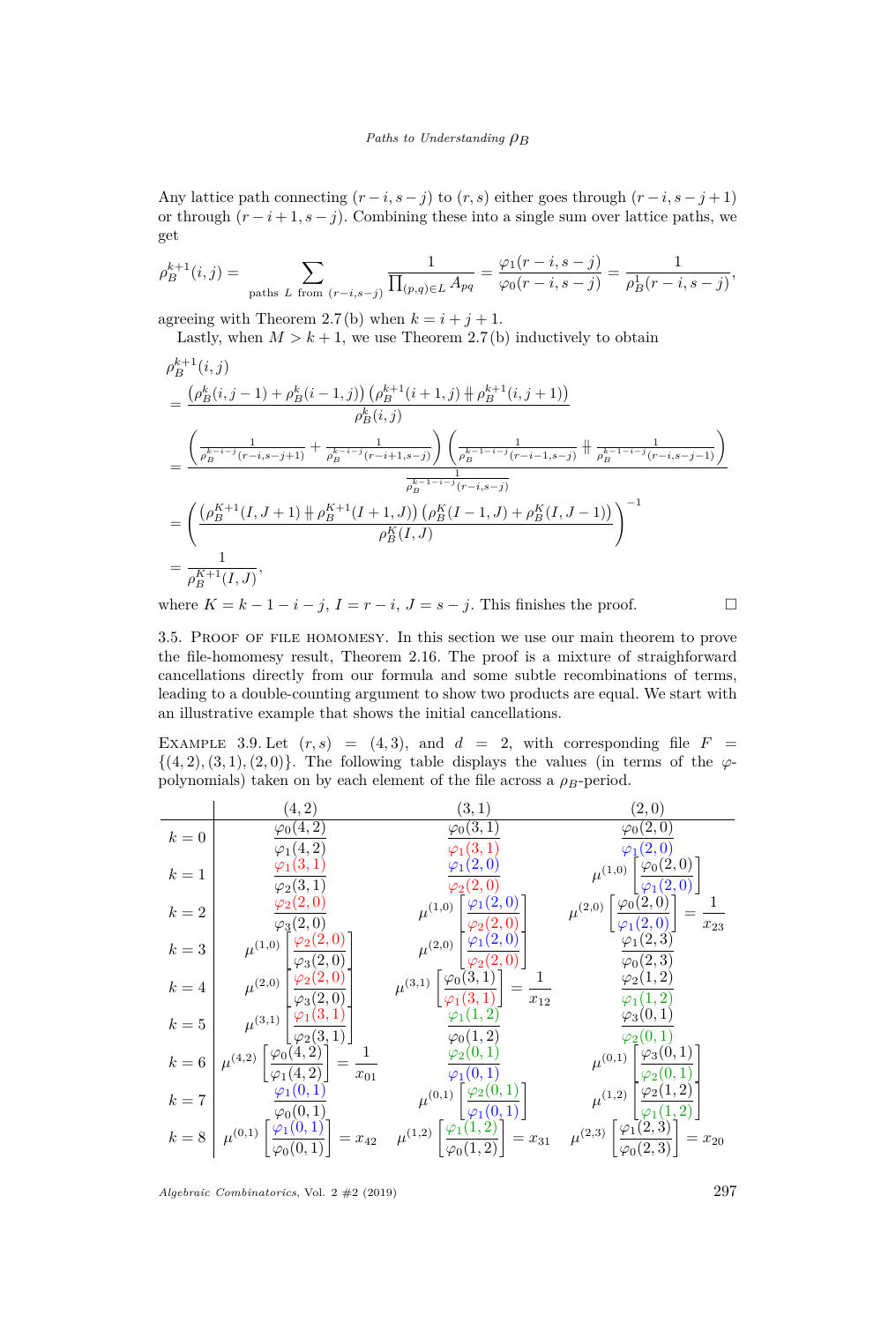Any lattice path connecting  $(r - i, s - j)$  to  $(r, s)$  either goes through  $(r - i, s - j + 1)$ or through  $(r - i + 1, s - j)$ . Combining these into a single sum over lattice paths, we get

$$
\rho_B^{k+1}(i,j) = \sum_{\text{paths } L \text{ from } (r-i,s-j)} \frac{1}{\prod_{(p,q)\in L} A_{pq}} = \frac{\varphi_1(r-i,s-j)}{\varphi_0(r-i,s-j)} = \frac{1}{\rho_B^1(r-i,s-j)},
$$

agreeing with Theorem [2.7](#page-7-0)[\(b\)](#page-7-2) when  $k = i + j + 1$ .

Lastly, when  $M > k + 1$ , we use Theorem [2.7](#page-7-0)[\(b\)](#page-7-2) inductively to obtain

$$
\rho_{B}^{k+1}(i,j)
$$
\n
$$
= \frac{\left(\rho_{B}^{k}(i,j-1) + \rho_{B}^{k}(i-1,j)\right)\left(\rho_{B}^{k+1}(i+1,j) + \rho_{B}^{k+1}(i,j+1)\right)}{\rho_{B}^{k}(i,j)}
$$
\n
$$
= \frac{\left(\frac{1}{\rho_{B}^{k-i-j}(r-i,s-j+1)} + \frac{1}{\rho_{B}^{k-i-j}(r-i+1,s-j)}\right)\left(\frac{1}{\rho_{B}^{k-1-i-j}(r-i-1,s-j)} + \frac{1}{\rho_{B}^{k-1-i-j}(r-i,s-j-1)}\right)}{\rho_{B}^{k-1-i-j}(r-i,s-j)}
$$
\n
$$
= \left(\frac{\left(\rho_{B}^{K+1}(I,J+1) + \rho_{B}^{K+1}(I+1,J)\right)\left(\rho_{B}^{K}(I-1,J) + \rho_{B}^{K}(I,J-1)\right)}{\rho_{B}^{K}(I,J)}\right)^{-1}
$$
\n
$$
= \frac{1}{\rho_{B}^{K+1}(I,J)},
$$
\n1. 
$$
K, \quad i, I, \quad i, I, \quad i, I, \quad i, I, \quad i, I, \quad i, I, \quad i, I, \quad i, I, \quad i, I, \quad i, I, \quad i, I, \quad i, I, \quad i, I, \quad i, I, \quad i, I, \quad i, I, \quad i, I, \quad i, I, \quad i, I, \quad i, I, \quad i, I, \quad i, I, \quad i, I, \quad i, I, \quad i, I, \quad i, I, \quad i, I, \quad i, I, \quad i, I, \quad i, I, \quad i, I, \quad i, I, \quad i, I, \quad i, I, \quad i, I, \quad i, I, \quad i, I, \quad i, I, \quad i, I, \quad i, I, \quad i, I, \quad i, I, \quad i, I, \quad i, I, \quad i, I, \quad i, I, \quad i, I, \quad i, I, \quad i, I, \quad i, I, \quad i, I, \quad i, I, \quad i, I, \quad i, I, \quad i, I, \quad i, I, \quad i, I, \quad i, I, \quad i, I, \quad i, I, \quad i, I, \quad i, I, \quad i, I, \quad i, I, \quad i, I
$$

where  $K = k - 1 - i - j$ ,  $I = r - i$ ,  $J = s - j$ . This finishes the proof.

3.5. Proof of file homomesy. In this section we use our main theorem to prove the file-homomesy result, Theorem [2.16.](#page-11-0) The proof is a mixture of straighforward cancellations directly from our formula and some subtle recombinations of terms, leading to a double-counting argument to show two products are equal. We start with an illustrative example that shows the initial cancellations.

<span id="page-23-0"></span>EXAMPLE 3.9. Let  $(r, s) = (4, 3)$ , and  $d = 2$ , with corresponding file  $F =$  $\{(4,2), (3,1), (2,0)\}.$  The following table displays the values (in terms of the  $\varphi$ polynomials) taken on by each element of the file across a  $\rho_B$ -period.

|         | (4, 2)                                                                                                                                                                                                                                                                                                                                                       | (3,1)                                                                                                                     | (2,0)                                                                                                                              |
|---------|--------------------------------------------------------------------------------------------------------------------------------------------------------------------------------------------------------------------------------------------------------------------------------------------------------------------------------------------------------------|---------------------------------------------------------------------------------------------------------------------------|------------------------------------------------------------------------------------------------------------------------------------|
| $k=0$   | $\varphi_0(4,\overline{2})$                                                                                                                                                                                                                                                                                                                                  | $\varphi_0(\overline{3,1})$                                                                                               | $\varphi_0(\overline{2,0})$                                                                                                        |
|         | $\varphi_1(4,2)$                                                                                                                                                                                                                                                                                                                                             | $\varphi_1(3,1)$                                                                                                          | $\varphi_1(2,0)$                                                                                                                   |
| $k=1$   | $\varphi_1(3,1)$                                                                                                                                                                                                                                                                                                                                             | $\varphi_1(2,0)$                                                                                                          | $\mu^{(1,0)}\left[\frac{\varphi_0(2,0)}{\varphi_1(2,0)}\right]$                                                                    |
|         | $\varphi_2(3,1)$                                                                                                                                                                                                                                                                                                                                             | $\varphi_2(2,0)$                                                                                                          |                                                                                                                                    |
| $k=2\,$ | $\frac{\varphi_2(2,0)}{2}$                                                                                                                                                                                                                                                                                                                                   | $\mu^{(1,0)}\begin{bmatrix} \frac{\varphi_1(2,0)}{\varphi_2(2,0)} \\ \frac{\varphi_2(2,0)}{\varphi_2(2,0)} \end{bmatrix}$ | $\mu^{(2,0)}\left[\frac{\varphi_0(2,0)}{\varphi_1(2,0)}\right] = \frac{1}{x_{23}}$                                                 |
|         | $\varphi_3(2,0)$                                                                                                                                                                                                                                                                                                                                             |                                                                                                                           |                                                                                                                                    |
| $k=3$   |                                                                                                                                                                                                                                                                                                                                                              |                                                                                                                           | $\varphi_1(2,3)$                                                                                                                   |
|         |                                                                                                                                                                                                                                                                                                                                                              |                                                                                                                           | $\varphi_0(2,3)$                                                                                                                   |
| $k=4$   |                                                                                                                                                                                                                                                                                                                                                              | $\mu^{(3,1)}\left[\frac{\varphi_0(\dot{3},\dot{1})}{\varphi_1(\dot{3},1)}\right]=\frac{1}{x_{12}}$                        | $\varphi_2(1,2)$                                                                                                                   |
|         |                                                                                                                                                                                                                                                                                                                                                              |                                                                                                                           | $\varphi_1(1,2)$                                                                                                                   |
| $k=5$   | $\mu^{(1,0)}\begin{bmatrix} \frac{\varphi_2(2,0)}{\varphi_3(2,0)} \\ \frac{\varphi_2(2,0)}{\varphi_3(2,0)} \\ \frac{\varphi_2(2,0)}{\varphi_3(2,0)} \\ \frac{\varphi_1(3,1)}{\varphi_2(3,1)} \end{bmatrix}$                                                                                                                                                  | $\varphi_1(1,2)$                                                                                                          | $\varphi_3(0,1)$                                                                                                                   |
|         |                                                                                                                                                                                                                                                                                                                                                              | $\varphi_0(1,2)$                                                                                                          | $\varphi_2(0,1)$                                                                                                                   |
|         | $\left \ \mu^{(4,2)}\left[\frac{\varphi_0(4,2)}{\varphi_1(4,2)}\right] = \frac{1}{x_{01}}\right $                                                                                                                                                                                                                                                            | $\varphi_2(0,1)$                                                                                                          |                                                                                                                                    |
| $k = 6$ |                                                                                                                                                                                                                                                                                                                                                              | $\varphi_1(0,1)$                                                                                                          |                                                                                                                                    |
| $k=7$   | $\varphi_1(0,1)$                                                                                                                                                                                                                                                                                                                                             |                                                                                                                           |                                                                                                                                    |
|         |                                                                                                                                                                                                                                                                                                                                                              | $\mu^{(0,1)}\left[\frac{\varphi_2(0,1)}{\varphi_1(0,1)}\right]$                                                           | $\mu^{(0,1)}\left[\frac{\varphi_3(0,1)}{\varphi_2(0,1)}\right]$<br>$\mu^{(1,2)}\left[\frac{\varphi_2(1,2)}{\varphi_1(1,2)}\right]$ |
|         | $k = 8 \begin{bmatrix} \overline{\varphi_0(0,1)} & \mu^{(1)} \end{bmatrix}$<br>$k = 8 \begin{bmatrix} \overline{\varphi_1(0,1)} & \mu^{(1)} \end{bmatrix}$<br>$k = 8 \mu^{(0,1)} \begin{bmatrix} \overline{\varphi_1(0,1)} \end{bmatrix} = x_{42} \mu^{(1,2)} \begin{bmatrix} \overline{\varphi_1(1,2)} \\ \overline{\varphi_0(1,2)} \end{bmatrix} = x_{31}$ |                                                                                                                           | $\mu^{(2,3)}\left[\frac{\varphi_1(2,3)}{\varphi_0(2,3)}\right] = x_{20}$                                                           |
|         |                                                                                                                                                                                                                                                                                                                                                              |                                                                                                                           |                                                                                                                                    |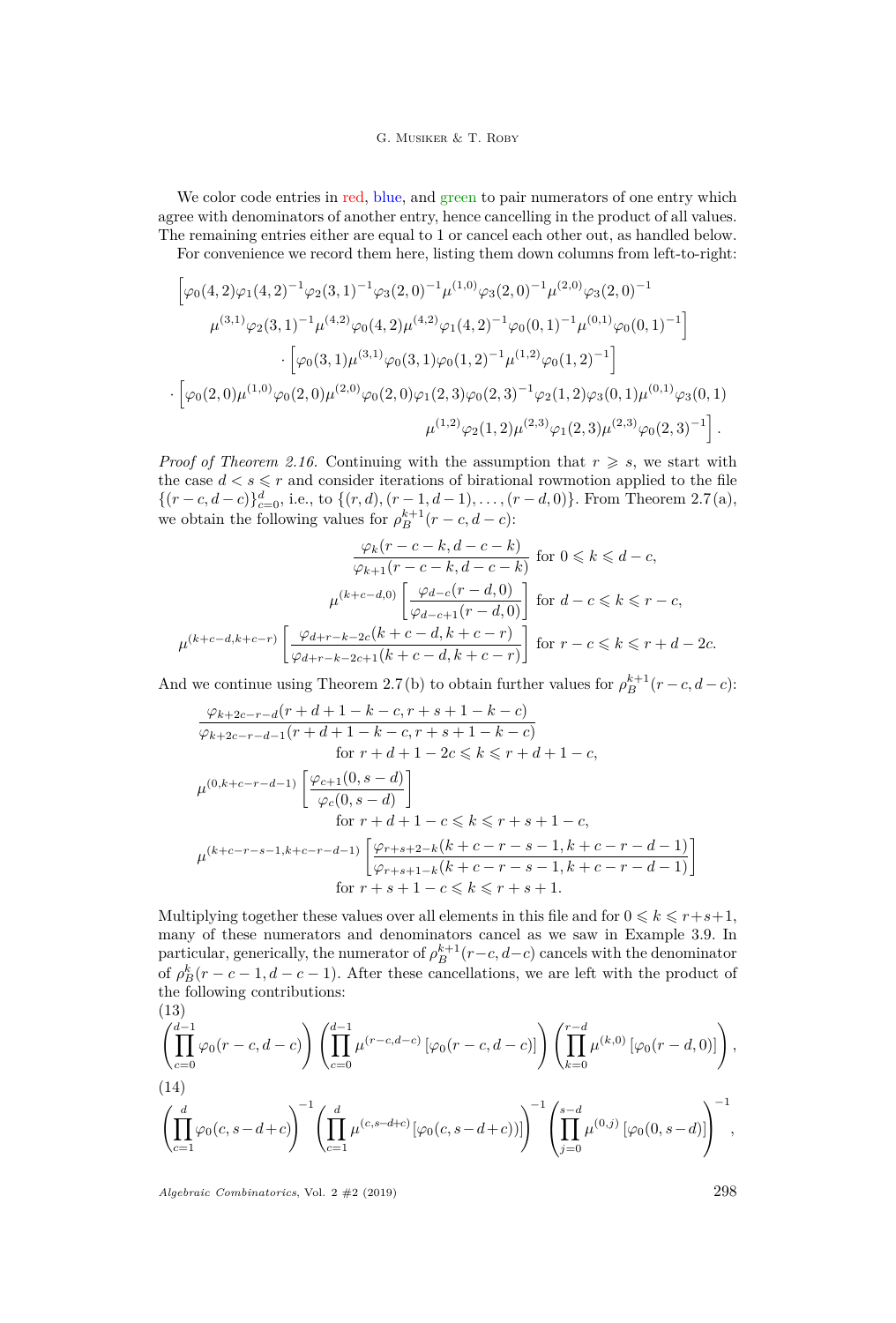We color code entries in red, blue, and green to pair numerators of one entry which agree with denominators of another entry, hence cancelling in the product of all values. The remaining entries either are equal to 1 or cancel each other out, as handled below.

For convenience we record them here, listing them down columns from left-to-right:

$$
\begin{split} &\left[\varphi_{0}(4,2)\varphi_{1}(4,2)^{-1}\varphi_{2}(3,1)^{-1}\varphi_{3}(2,0)^{-1}\mu^{(1,0)}\varphi_{3}(2,0)^{-1}\mu^{(2,0)}\varphi_{3}(2,0)^{-1}\right.\\ &\left.\mu^{(3,1)}\varphi_{2}(3,1)^{-1}\mu^{(4,2)}\varphi_{0}(4,2)\mu^{(4,2)}\varphi_{1}(4,2)^{-1}\varphi_{0}(0,1)^{-1}\mu^{(0,1)}\varphi_{0}(0,1)^{-1}\right]\\ &\cdot\left[\varphi_{0}(3,1)\mu^{(3,1)}\varphi_{0}(3,1)\varphi_{0}(1,2)^{-1}\mu^{(1,2)}\varphi_{0}(1,2)^{-1}\right]\\ &\cdot\left[\varphi_{0}(2,0)\mu^{(1,0)}\varphi_{0}(2,0)\mu^{(2,0)}\varphi_{0}(2,0)\varphi_{1}(2,3)\varphi_{0}(2,3)^{-1}\varphi_{2}(1,2)\varphi_{3}(0,1)\mu^{(0,1)}\varphi_{3}(0,1)\right.\\ &\left.\mu^{(1,2)}\varphi_{2}(1,2)\mu^{(2,3)}\varphi_{1}(2,3)\mu^{(2,3)}\varphi_{0}(2,3)^{-1}\right]. \end{split}
$$

*Proof of Theorem [2.16.](#page-11-0)* Continuing with the assumption that  $r \geq s$ , we start with the case  $d < s \leq r$  and consider iterations of birational rowmotion applied to the file  $\{(r - c, d - c)\}_{c=0}^d$ , i.e., to  $\{(r, d), (r - 1, d - 1), \ldots, (r - d, 0)\}$ . From Theorem [2.7](#page-7-0)[\(a\),](#page-7-1) we obtain the following values for  $\rho_B^{k+1}(r-c, d-c)$ :

$$
\frac{\varphi_k(r-c-k,d-c-k)}{\varphi_{k+1}(r-c-k,d-c-k)} \text{ for } 0 \leq k \leq d-c,
$$
  

$$
\mu^{(k+c-d,0)}\left[\frac{\varphi_{d-c}(r-d,0)}{\varphi_{d-c+1}(r-d,0)}\right] \text{ for } d-c \leq k \leq r-c,
$$
  

$$
\mu^{(k+c-d,k+c-r)}\left[\frac{\varphi_{d+r-k-2c}(k+c-d,k+c-r)}{\varphi_{d+r-k-2c+1}(k+c-d,k+c-r)}\right] \text{ for } r-c \leq k \leq r+d-2c.
$$

And we continue using Theorem [2.7](#page-7-0)[\(b\)](#page-7-2) to obtain further values for  $\rho_B^{k+1}(r-c, d-c)$ :

$$
\frac{\varphi_{k+2c-r-d}(r+d+1-k-c,r+s+1-k-c)}{\varphi_{k+2c-r-d-1}(r+d+1-k-c,r+s+1-k-c)}
$$
  
for  $r+d+1-2c \le k \le r+d+1-c$ ,  

$$
\mu^{(0,k+c-r-d-1)}\left[\frac{\varphi_{c+1}(0,s-d)}{\varphi_c(0,s-d)}\right]
$$
  
for  $r+d+1-c \le k \le r+s+1-c$ ,  

$$
\mu^{(k+c-r-s-1,k+c-r-d-1)}\left[\frac{\varphi_{r+s+2-k}(k+c-r-s-1,k+c-r-d-1)}{\varphi_{r+s+1-k}(k+c-r-s-1,k+c-r-d-1)}\right]
$$
  
for  $r+s+1-c \le k \le r+s+1$ .

Multiplying together these values over all elements in this file and for  $0 \leq k \leq r+s+1$ , many of these numerators and denominators cancel as we saw in Example [3.9.](#page-23-0) In particular, generically, the numerator of  $\rho_B^{k+1}(r-c, d-c)$  cancels with the denominator of  $\rho_B^k(r-c-1,d-c-1)$ . After these cancellations, we are left with the product of the following contributions:  $(19)$ 

<span id="page-24-1"></span><span id="page-24-0"></span>
$$
\left(\prod_{c=0}^{d-1} \varphi_0(r-c,d-c)\right) \left(\prod_{c=0}^{d-1} \mu^{(r-c,d-c)}\left[\varphi_0(r-c,d-c)\right]\right) \left(\prod_{k=0}^{r-d} \mu^{(k,0)}\left[\varphi_0(r-d,0)\right]\right),
$$
\n(14)\n
$$
\left(\prod_{c=1}^{d} \varphi_0(c,s-d+c)\right)^{-1} \left(\prod_{c=1}^{d} \mu^{(c,s-d+c)}\left[\varphi_0(c,s-d+c)\right]\right)^{-1} \left(\prod_{j=0}^{s-d} \mu^{(0,j)}\left[\varphi_0(0,s-d)\right]\right)^{-1},
$$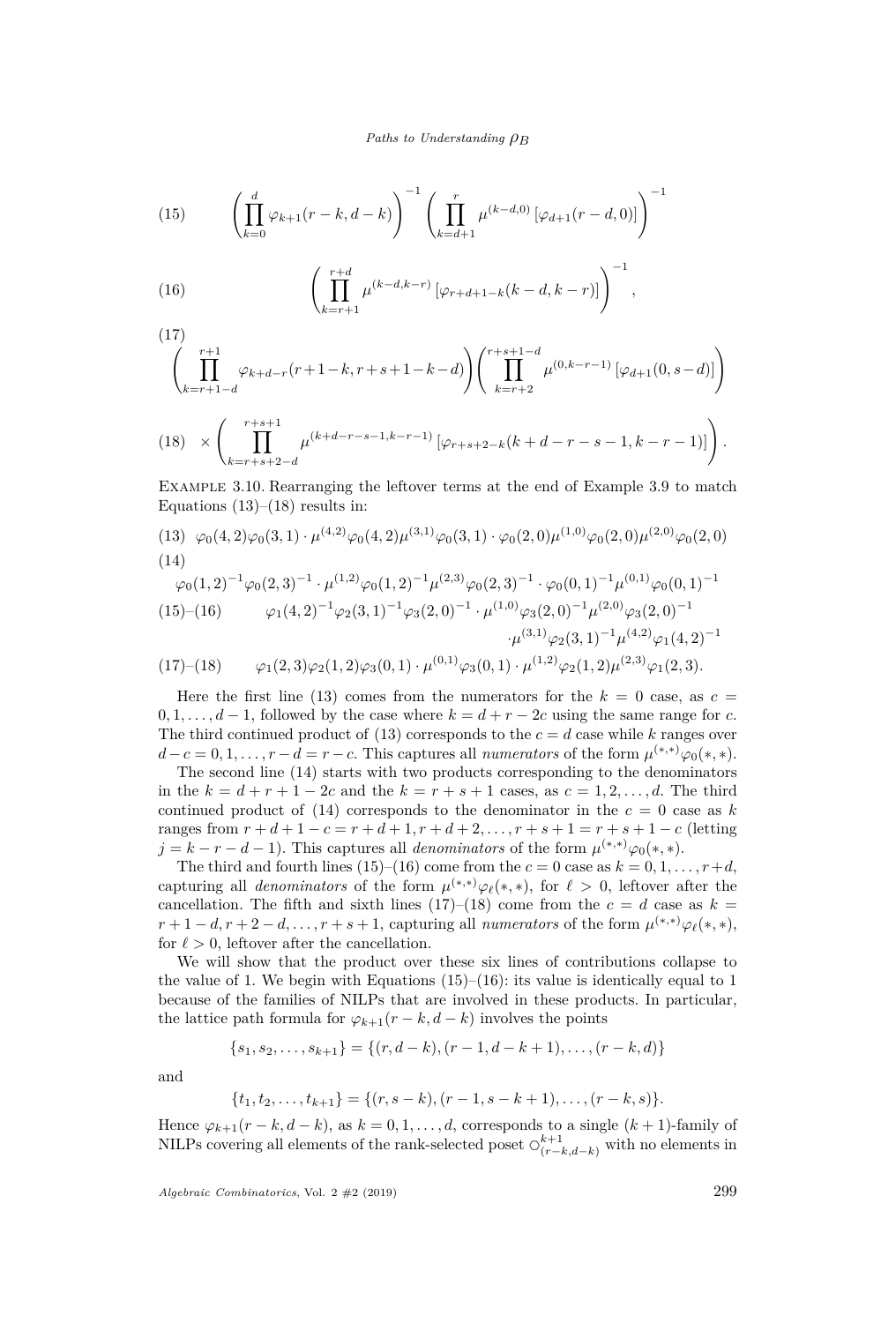<span id="page-25-1"></span>(15) 
$$
\left(\prod_{k=0}^{d} \varphi_{k+1}(r-k,d-k)\right)^{-1} \left(\prod_{k=d+1}^{r} \mu^{(k-d,0)}\left[\varphi_{d+1}(r-d,0)\right]\right)^{-1}
$$

<span id="page-25-2"></span>(16) 
$$
\left(\prod_{k=r+1}^{r+d} \mu^{(k-d,k-r)} \left[\varphi_{r+d+1-k}(k-d,k-r)\right]\right)^{-1},
$$

 $(17)$ 

<span id="page-25-3"></span>
$$
\left(\prod_{k=r+1-d}^{r+1} \varphi_{k+d-r}(r+1-k,r+s+1-k-d)\right)\left(\prod_{k=r+2}^{r+s+1-d} \mu^{(0,k-r-1)}\left[\varphi_{d+1}(0,s-d)\right]\right)
$$

<span id="page-25-0"></span>(18) 
$$
\times \left( \prod_{k=r+s+2-d}^{r+s+1} \mu^{(k+d-r-s-1,k-r-1)} \left[ \varphi_{r+s+2-k}(k+d-r-s-1,k-r-1) \right] \right).
$$

Example 3.10. Rearranging the leftover terms at the end of Example [3.9](#page-23-0) to match Equations  $(13)$ – $(18)$  results in:

[\(13\)](#page-24-0)  $\varphi_0(4,2)\varphi_0(3,1)\cdot\mu^{(4,2)}\varphi_0(4,2)\mu^{(3,1)}\varphi_0(3,1)\cdot\varphi_0(2,0)\mu^{(1,0)}\varphi_0(2,0)\mu^{(2,0)}\varphi_0(2,0)$ [\(14\)](#page-24-1)

$$
\varphi_0(1,2)^{-1} \varphi_0(2,3)^{-1} \cdot \mu^{(1,2)} \varphi_0(1,2)^{-1} \mu^{(2,3)} \varphi_0(2,3)^{-1} \cdot \varphi_0(0,1)^{-1} \mu^{(0,1)} \varphi_0(0,1)^{-1}
$$
  
(15)–(16) 
$$
\varphi_1(4,2)^{-1} \varphi_2(3,1)^{-1} \varphi_3(2,0)^{-1} \cdot \mu^{(1,0)} \varphi_3(2,0)^{-1} \mu^{(2,0)} \varphi_3(2,0)^{-1}
$$

$$
\cdot \mu^{(3,1)} \varphi_2(3,1)^{-1} \mu^{(4,2)} \varphi_1(4,2)^{-1} (17)-(18) \qquad \varphi_1(2,3) \varphi_2(1,2) \varphi_3(0,1) \cdot \mu^{(0,1)} \varphi_3(0,1) \cdot \mu^{(1,2)} \varphi_2(1,2) \mu^{(2,3)} \varphi_1(2,3).
$$

Here the first line [\(13\)](#page-24-0) comes from the numerators for the  $k = 0$  case, as  $c =$  $0, 1, \ldots, d-1$ , followed by the case where  $k = d + r - 2c$  using the same range for *c*. The third continued product of [\(13\)](#page-24-0) corresponds to the  $c = d$  case while k ranges over  $d - c = 0, 1, \ldots, r - d = r - c$ . This captures all *numerators* of the form  $\mu^{(*,*)} \varphi_0(*,*)$ .

The second line [\(14\)](#page-24-1) starts with two products corresponding to the denominators in the  $k = d + r + 1 - 2c$  and the  $k = r + s + 1$  cases, as  $c = 1, 2, \ldots, d$ . The third continued product of  $(14)$  corresponds to the denominator in the  $c = 0$  case as k ranges from  $r + d + 1 - c = r + d + 1, r + d + 2, \ldots, r + s + 1 = r + s + 1 - c$  (letting  $j = k - r - d - 1$ ). This captures all *denominators* of the form  $\mu^{(*,*)} \varphi_0(*,*)$ .

The third and fourth lines [\(15\)](#page-25-1)–[\(16\)](#page-25-2) come from the  $c = 0$  case as  $k = 0, 1, \ldots, r+d$ , capturing all *denominators* of the form  $\mu^{(*,*)}\varphi_{\ell}(*,*)$ , for  $\ell > 0$ , leftover after the cancellation. The fifth and sixth lines  $(17)$ – $(18)$  come from the  $c = d$  case as  $k =$  $r+1-d, r+2-d, \ldots, r+s+1$ , capturing all *numerators* of the form  $\mu^{(*,*)}\varphi_{\ell}(*,*)$ , for  $\ell > 0$ , leftover after the cancellation.

We will show that the product over these six lines of contributions collapse to the value of 1. We begin with Equations  $(15)$ – $(16)$ : its value is identically equal to 1 because of the families of NILPs that are involved in these products. In particular, the lattice path formula for  $\varphi_{k+1}(r-k, d-k)$  involves the points

$$
\{s_1, s_2, \ldots, s_{k+1}\} = \{(r, d-k), (r-1, d-k+1), \ldots, (r-k, d)\}
$$

and

$$
\{t_1, t_2, \ldots, t_{k+1}\} = \{(r, s-k), (r-1, s-k+1), \ldots, (r-k, s)\}.
$$

Hence  $\varphi_{k+1}(r-k, d-k)$ , as  $k = 0, 1, \ldots, d$ , corresponds to a single  $(k+1)$ -family of NILPs covering all elements of the rank-selected poset  $\circlearrowleft_{(r-k,d-k)}^{k+1}$  with no elements in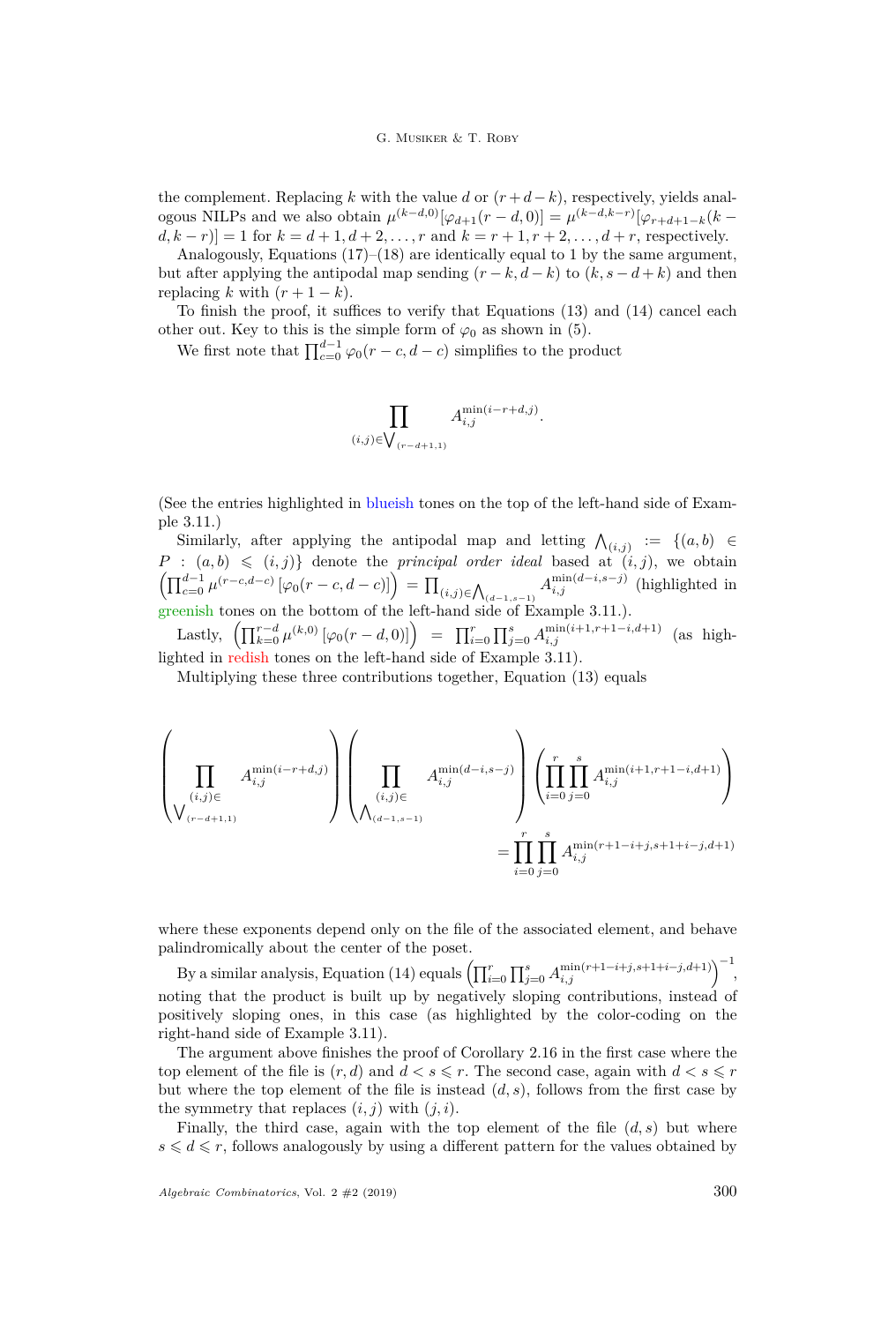the complement. Replacing  $k$  with the value  $d$  or  $(r+d-k)$ , respectively, yields analogous NILPs and we also obtain  $\mu^{(k-d,0)}[\varphi_{d+1}(r-d,0)] = \mu^{(k-d,k-r)}[\varphi_{r+d+1-k}(k-d,0)]$  $d, k - r$ ] = 1 for  $k = d + 1, d + 2, ..., r$  and  $k = r + 1, r + 2, ..., d + r$ , respectively.

Analogously, Equations  $(17)$ – $(18)$  are identically equal to 1 by the same argument, but after applying the antipodal map sending  $(r - k, d - k)$  to  $(k, s - d + k)$  and then replacing *k* with  $(r+1-k)$ .

To finish the proof, it suffices to verify that Equations [\(13\)](#page-24-0) and [\(14\)](#page-24-1) cancel each other out. Key to this is the simple form of  $\varphi_0$  as shown in [\(5\)](#page-7-4).

We first note that  $\prod_{c=0}^{d-1} \varphi_0(r-c, d-c)$  simplifies to the product

$$
\prod_{(i,j)\in\bigvee_{(r-d+1,1)}}A_{i,j}^{\min(i-r+d,j)}.
$$

(See the entries highlighted in blueish tones on the top of the left-hand side of Example [3.11.](#page-27-0))

Similarly, after applying the antipodal map and letting  $\bigwedge_{(i,j)} := \{(a,b) \in$  $P : (a, b) \leq (i, j)$  denote the *principal order ideal* based at  $(i, j)$ , we obtain  $\left( \prod_{c=0}^{d-1} \mu^{(r-c,d-c)} \left[ \varphi_0(r-c, d-c) \right] \right) = \prod_{(i,j) \in \bigwedge_{(d-1,s-1)}} A^{\min(d-i,s-j)}_{i,j}$  (highlighted in greenish tones on the bottom of the left-hand side of Example [3.11.](#page-27-0)).

Lastly,  $\left( \prod_{k=0}^{r-d} \mu^{(k,0)} \left[ \varphi_0(r - d, 0) \right] \right) = \prod_{i=0}^{r} \prod_{j=0}^{s} A_{i,j}^{\min(i+1, r+1-i, d+1)}$  (as highlighted in redish tones on the left-hand side of Example [3.11\)](#page-27-0).

Multiplying these three contributions together, Equation [\(13\)](#page-24-0) equals

$$
\left(\prod_{\substack{(i,j)\in\\(r_{-d+1,1)}}}A^{\min(i-r+d,j)}_{i,j}\right)\left(\prod_{\substack{(i,j)\in\\(\lambda_{(d-1,s-1)}}}A^{\min(d-i,s-j)}_{i,j}\right)\left(\prod_{i=0}^{r}\prod_{j=0}^{s}A^{\min(i+1,r+1-i,d+1)}_{i,j}\right)\\=\prod_{i=0}^{r}\prod_{j=0}^{s}A^{\min(r+1-i+j,s+1+i-j,d+1)}_{i,j}
$$

where these exponents depend only on the file of the associated element, and behave palindromically about the center of the poset.

By a similar analysis, Equation [\(14\)](#page-24-1) equals  $\left(\prod_{i=0}^{r} \prod_{j=0}^{s} A_{i,j}^{\min(r+1-i+j,s+1+i-j,d+1)}\right)^{-1}$ noting that the product is built up by negatively sloping contributions, instead of positively sloping ones, in this case (as highlighted by the color-coding on the right-hand side of Example [3.11\)](#page-27-0).

The argument above finishes the proof of Corollary [2.16](#page-11-0) in the first case where the top element of the file is  $(r, d)$  and  $d < s \leqslant r$ . The second case, again with  $d < s \leqslant r$ but where the top element of the file is instead  $(d, s)$ , follows from the first case by the symmetry that replaces  $(i, j)$  with  $(j, i)$ .

Finally, the third case, again with the top element of the file  $(d, s)$  but where  $s \leq d \leq r$ , follows analogously by using a different pattern for the values obtained by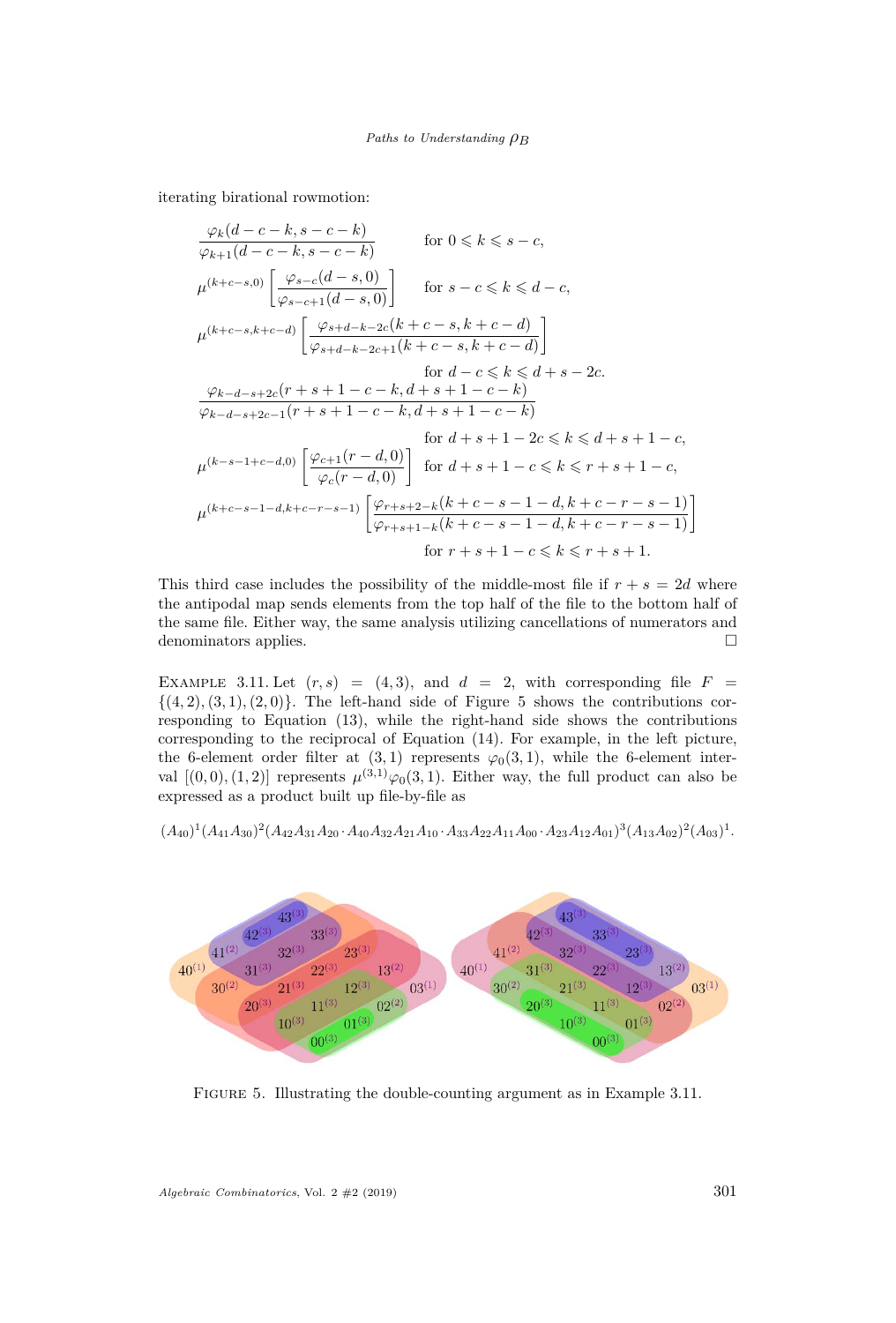iterating birational rowmotion:

$$
\frac{\varphi_k(d-c-k, s-c-k)}{\varphi_{k+1}(d-c-k, s-c-k)} \quad \text{for } 0 \le k \le s-c,
$$
\n
$$
\mu^{(k+c-s,0)} \left[ \frac{\varphi_{s-c}(d-s,0)}{\varphi_{s-c+1}(d-s,0)} \right] \quad \text{for } s-c \le k \le d-c,
$$
\n
$$
\mu^{(k+c-s,k+c-d)} \left[ \frac{\varphi_{s+d-k-2c}(k+c-s, k+c-d)}{\varphi_{s+d-k-2c+1}(k+c-s, k+c-d)} \right] \quad \text{for } d-c \le k \le d+s-2c.
$$
\n
$$
\frac{\varphi_{k-d-s+2c}(r+s+1-c-k, d+s+1-c-k)}{\varphi_{k-d-s+2c-1}(r+s+1-c-k, d+s+1-c-k)} \quad \text{for } d+s+1-2c \le k \le d+s+1-c,
$$
\n
$$
\mu^{(k-s-1+c-d,0)} \left[ \frac{\varphi_{c+1}(r-d,0)}{\varphi_c(r-d,0)} \right] \quad \text{for } d+s+1-c \le k \le r+s+1-c,
$$
\n
$$
\mu^{(k+c-s-1-d,k+c-r-s-1)} \left[ \frac{\varphi_{r+s+2-k}(k+c-s-1-d, k+c-r-s-1)}{\varphi_{r+s+1-k}(k+c-s-1-d, k+c-r-s-1)} \right] \quad \text{for } r+s+1-c \le k \le r+s+1.
$$

This third case includes the possibility of the middle-most file if  $r + s = 2d$  where the antipodal map sends elements from the top half of the file to the bottom half of the same file. Either way, the same analysis utilizing cancellations of numerators and denominators applies.  $\Box$ 

<span id="page-27-0"></span>EXAMPLE 3.11. Let  $(r, s) = (4, 3)$ , and  $d = 2$ , with corresponding file  $F =$  $\{(4,2), (3,1), (2,0)\}.$  The left-hand side of Figure [5](#page-27-1) shows the contributions corresponding to Equation [\(13\)](#page-24-0), while the right-hand side shows the contributions corresponding to the reciprocal of Equation [\(14\)](#page-24-1). For example, in the left picture, the 6-element order filter at  $(3, 1)$  represents  $\varphi_0(3, 1)$ , while the 6-element interval  $[(0,0), (1,2)]$  represents  $\mu^{(3,1)}\varphi_0(3,1)$ . Either way, the full product can also be expressed as a product built up file-by-file as

$$
(A_{40})^1 (A_{41}A_{30})^2 (A_{42}A_{31}A_{20}A_{40}A_{32}A_{21}A_{10}A_{33}A_{22}A_{11}A_{00}A_{23}A_{12}A_{01})^3 (A_{13}A_{02})^2 (A_{03})^1.
$$

<span id="page-27-1"></span>

Figure 5. Illustrating the double-counting argument as in Example [3.11.](#page-27-0)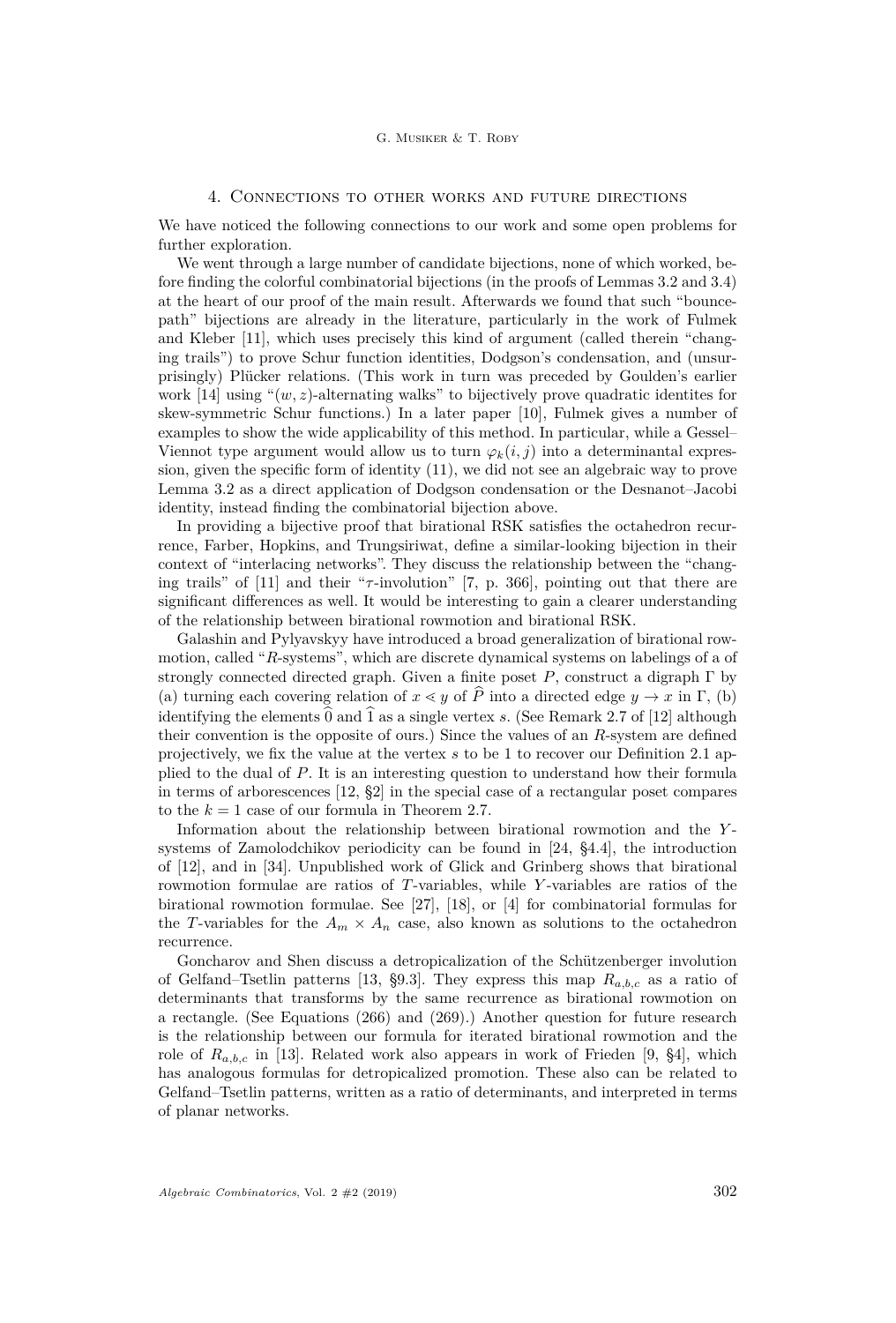# 4. Connections to other works and future directions

We have noticed the following connections to our work and some open problems for further exploration.

We went through a large number of candidate bijections, none of which worked, before finding the colorful combinatorial bijections (in the proofs of Lemmas [3.2](#page-14-0) and [3.4\)](#page-18-0) at the heart of our proof of the main result. Afterwards we found that such "bouncepath" bijections are already in the literature, particularly in the work of Fulmek and Kleber [\[11\]](#page-29-9), which uses precisely this kind of argument (called therein "changing trails") to prove Schur function identities, Dodgson's condensation, and (unsurprisingly) Plücker relations. (This work in turn was preceded by Goulden's earlier work [\[14\]](#page-29-10) using " $(w, z)$ -alternating walks" to bijectively prove quadratic identites for skew-symmetric Schur functions.) In a later paper [\[10\]](#page-29-11), Fulmek gives a number of examples to show the wide applicability of this method. In particular, while a Gessel– Viennot type argument would allow us to turn  $\varphi_k(i,j)$  into a determinantal expression, given the specific form of identity [\(11\)](#page-14-2), we did not see an algebraic way to prove Lemma [3.2](#page-14-0) as a direct application of Dodgson condensation or the Desnanot–Jacobi identity, instead finding the combinatorial bijection above.

In providing a bijective proof that birational RSK satisfies the octahedron recurrence, Farber, Hopkins, and Trungsiriwat, define a similar-looking bijection in their context of "interlacing networks". They discuss the relationship between the "changing trails" of [\[11\]](#page-29-9) and their "*τ* -involution" [\[7,](#page-29-12) p. 366], pointing out that there are significant differences as well. It would be interesting to gain a clearer understanding of the relationship between birational rowmotion and birational RSK.

Galashin and Pylyavskyy have introduced a broad generalization of birational rowmotion, called "*R*-systems", which are discrete dynamical systems on labelings of a of strongly connected directed graph. Given a finite poset *P*, construct a digraph Γ by (a) turning each covering relation of  $x \leq y$  of  $\widehat{P}$  into a directed edge  $y \to x$  in  $\Gamma$ , (b) identifying the elements  $\hat{0}$  and  $\hat{1}$  as a single vertex *s*. (See Remark 2.7 of [\[12\]](#page-29-13) although their convention is the opposite of ours.) Since the values of an *R*-system are defined projectively, we fix the value at the vertex *s* to be 1 to recover our Definition [2.1](#page-3-1) applied to the dual of *P*. It is an interesting question to understand how their formula in terms of arborescences [\[12,](#page-29-13) §2] in the special case of a rectangular poset compares to the  $k = 1$  case of our formula in Theorem [2.7.](#page-7-0)

Information about the relationship between birational rowmotion and the *Y* systems of Zamolodchikov periodicity can be found in [\[24,](#page-30-12) §4.4], the introduction of [\[12\]](#page-29-13), and in [\[34\]](#page-30-14). Unpublished work of Glick and Grinberg shows that birational rowmotion formulae are ratios of *T*-variables, while *Y* -variables are ratios of the birational rowmotion formulae. See [\[27\]](#page-30-15), [\[18\]](#page-29-14), or [\[4\]](#page-29-15) for combinatorial formulas for the *T*-variables for the  $A_m \times A_n$  case, also known as solutions to the octahedron recurrence.

Goncharov and Shen discuss a detropicalization of the Schützenberger involution of Gelfand–Tsetlin patterns [\[13,](#page-29-16) §9.3]. They express this map *Ra,b,c* as a ratio of determinants that transforms by the same recurrence as birational rowmotion on a rectangle. (See Equations (266) and (269).) Another question for future research is the relationship between our formula for iterated birational rowmotion and the role of *Ra,b,c* in [\[13\]](#page-29-16). Related work also appears in work of Frieden [\[9,](#page-29-17) §4], which has analogous formulas for detropicalized promotion. These also can be related to Gelfand–Tsetlin patterns, written as a ratio of determinants, and interpreted in terms of planar networks.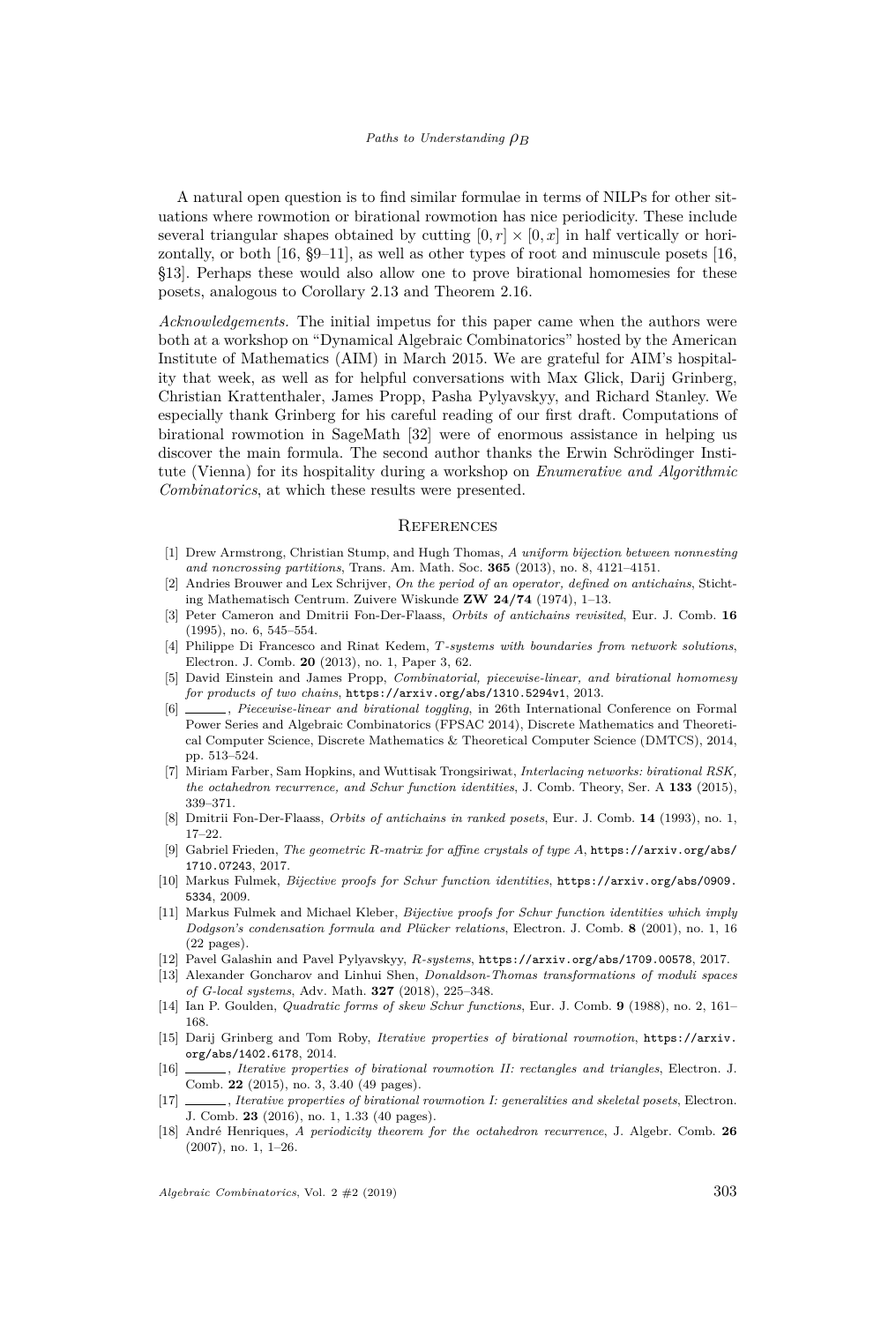A natural open question is to find similar formulae in terms of NILPs for other situations where rowmotion or birational rowmotion has nice periodicity. These include several triangular shapes obtained by cutting  $[0, r] \times [0, x]$  in half vertically or horizontally, or both [\[16,](#page-29-8) §9–11], as well as other types of root and minuscule posets [\[16,](#page-29-8) §13]. Perhaps these would also allow one to prove birational homomesies for these posets, analogous to Corollary [2.13](#page-10-2) and Theorem [2.16.](#page-11-0)

*Acknowledgements.* The initial impetus for this paper came when the authors were both at a workshop on "Dynamical Algebraic Combinatorics" hosted by the American Institute of Mathematics (AIM) in March 2015. We are grateful for AIM's hospitality that week, as well as for helpful conversations with Max Glick, Darij Grinberg, Christian Krattenthaler, James Propp, Pasha Pylyavskyy, and Richard Stanley. We especially thank Grinberg for his careful reading of our first draft. Computations of birational rowmotion in SageMath [\[32\]](#page-30-16) were of enormous assistance in helping us discover the main formula. The second author thanks the Erwin Schrödinger Institute (Vienna) for its hospitality during a workshop on *Enumerative and Algorithmic Combinatorics*, at which these results were presented.

#### **REFERENCES**

- <span id="page-29-0"></span>[1] Drew Armstrong, Christian Stump, and Hugh Thomas, *A uniform bijection between nonnesting and noncrossing partitions*, Trans. Am. Math. Soc. **365** (2013), no. 8, 4121–4151.
- <span id="page-29-1"></span>[2] Andries Brouwer and Lex Schrijver, *On the period of an operator, defined on antichains*, Stichting Mathematisch Centrum. Zuivere Wiskunde **ZW 24/74** (1974), 1–13.
- <span id="page-29-3"></span>[3] Peter Cameron and Dmitrii Fon-Der-Flaass, *Orbits of antichains revisited*, Eur. J. Comb. **16** (1995), no. 6, 545–554.
- <span id="page-29-15"></span>[4] Philippe Di Francesco and Rinat Kedem, *T-systems with boundaries from network solutions*, Electron. J. Comb. **20** (2013), no. 1, Paper 3, 62.
- <span id="page-29-4"></span>[5] David Einstein and James Propp, *Combinatorial, piecewise-linear, and birational homomesy for products of two chains*, <https://arxiv.org/abs/1310.5294v1>, 2013.
- <span id="page-29-5"></span>[6] , *Piecewise-linear and birational toggling*, in 26th International Conference on Formal Power Series and Algebraic Combinatorics (FPSAC 2014), Discrete Mathematics and Theoretical Computer Science, Discrete Mathematics & Theoretical Computer Science (DMTCS), 2014, pp. 513–524.
- <span id="page-29-12"></span>[7] Miriam Farber, Sam Hopkins, and Wuttisak Trongsiriwat, *Interlacing networks: birational RSK, the octahedron recurrence, and Schur function identities*, J. Comb. Theory, Ser. A **133** (2015), 339–371.
- <span id="page-29-2"></span>[8] Dmitrii Fon-Der-Flaass, *Orbits of antichains in ranked posets*, Eur. J. Comb. **14** (1993), no. 1, 17–22.
- <span id="page-29-17"></span>[9] Gabriel Frieden, *The geometric R-matrix for affine crystals of type A*, [https://arxiv.org/abs/](https://arxiv.org/abs/1710.07243) [1710.07243](https://arxiv.org/abs/1710.07243), 2017.
- <span id="page-29-11"></span>[10] Markus Fulmek, *Bijective proofs for Schur function identities*, [https://arxiv.org/abs/0909.](https://arxiv.org/abs/0909.5334) [5334](https://arxiv.org/abs/0909.5334), 2009.
- <span id="page-29-9"></span>[11] Markus Fulmek and Michael Kleber, *Bijective proofs for Schur function identities which imply Dodgson's condensation formula and Plücker relations*, Electron. J. Comb. **8** (2001), no. 1, 16 (22 pages).
- <span id="page-29-13"></span>[12] Pavel Galashin and Pavel Pylyavskyy, *R-systems*, <https://arxiv.org/abs/1709.00578>, 2017.
- <span id="page-29-16"></span>[13] Alexander Goncharov and Linhui Shen, *Donaldson-Thomas transformations of moduli spaces of G-local systems*, Adv. Math. **327** (2018), 225–348.
- <span id="page-29-10"></span>[14] Ian P. Goulden, *Quadratic forms of skew Schur functions*, Eur. J. Comb. **9** (1988), no. 2, 161– 168.
- <span id="page-29-6"></span>[15] Darij Grinberg and Tom Roby, *Iterative properties of birational rowmotion*, [https://arxiv.](https://arxiv.org/abs/1402.6178) [org/abs/1402.6178](https://arxiv.org/abs/1402.6178), 2014.
- <span id="page-29-8"></span>[16] , *Iterative properties of birational rowmotion II: rectangles and triangles*, Electron. J. Comb. **22** (2015), no. 3, 3.40 (49 pages).
- <span id="page-29-7"></span>[17] , *Iterative properties of birational rowmotion I: generalities and skeletal posets*, Electron. J. Comb. **23** (2016), no. 1, 1.33 (40 pages).
- <span id="page-29-14"></span>[18] André Henriques, *A periodicity theorem for the octahedron recurrence*, J. Algebr. Comb. **26** (2007), no. 1, 1–26.